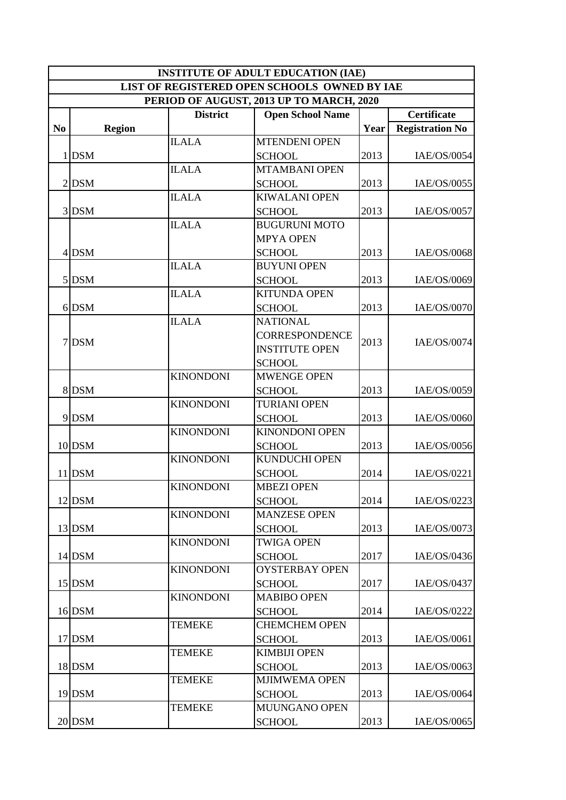|                | <b>INSTITUTE OF ADULT EDUCATION (IAE)</b>    |               |                  |                         |      |                        |  |  |  |
|----------------|----------------------------------------------|---------------|------------------|-------------------------|------|------------------------|--|--|--|
|                | LIST OF REGISTERED OPEN SCHOOLS OWNED BY IAE |               |                  |                         |      |                        |  |  |  |
|                | PERIOD OF AUGUST, 2013 UP TO MARCH, 2020     |               |                  |                         |      |                        |  |  |  |
|                |                                              |               | <b>District</b>  | <b>Open School Name</b> |      | <b>Certificate</b>     |  |  |  |
| N <sub>0</sub> |                                              | <b>Region</b> |                  |                         | Year | <b>Registration No</b> |  |  |  |
|                |                                              |               | <b>ILALA</b>     | <b>MTENDENI OPEN</b>    |      |                        |  |  |  |
|                | $1$ DSM                                      |               |                  | <b>SCHOOL</b>           | 2013 | IAE/OS/0054            |  |  |  |
|                |                                              |               | <b>ILALA</b>     | <b>MTAMBANI OPEN</b>    |      |                        |  |  |  |
|                | $2$ DSM                                      |               |                  | <b>SCHOOL</b>           | 2013 | IAE/OS/0055            |  |  |  |
|                |                                              |               | <b>ILALA</b>     | <b>KIWALANI OPEN</b>    |      |                        |  |  |  |
|                | 3 DSM                                        |               |                  | <b>SCHOOL</b>           | 2013 | IAE/OS/0057            |  |  |  |
|                |                                              |               | <b>ILALA</b>     | <b>BUGURUNI MOTO</b>    |      |                        |  |  |  |
|                |                                              |               |                  | <b>MPYA OPEN</b>        |      |                        |  |  |  |
|                | 4 DSM                                        |               |                  | <b>SCHOOL</b>           | 2013 | IAE/OS/0068            |  |  |  |
|                |                                              |               | <b>ILALA</b>     | <b>BUYUNI OPEN</b>      |      |                        |  |  |  |
|                | $5$ DSM                                      |               |                  | <b>SCHOOL</b>           | 2013 | IAE/OS/0069            |  |  |  |
|                |                                              |               | <b>ILALA</b>     | <b>KITUNDA OPEN</b>     |      |                        |  |  |  |
|                | 6 DSM                                        |               |                  | <b>SCHOOL</b>           | 2013 | IAE/OS/0070            |  |  |  |
|                |                                              |               | <b>ILALA</b>     | <b>NATIONAL</b>         |      |                        |  |  |  |
|                |                                              |               |                  | <b>CORRESPONDENCE</b>   |      |                        |  |  |  |
|                | 7 DSM                                        |               |                  | <b>INSTITUTE OPEN</b>   | 2013 | IAE/OS/0074            |  |  |  |
|                |                                              |               |                  | <b>SCHOOL</b>           |      |                        |  |  |  |
|                |                                              |               | <b>KINONDONI</b> | <b>MWENGE OPEN</b>      |      |                        |  |  |  |
|                | 8 DSM                                        |               |                  | <b>SCHOOL</b>           | 2013 | IAE/OS/0059            |  |  |  |
|                |                                              |               | <b>KINONDONI</b> | <b>TURIANI OPEN</b>     |      |                        |  |  |  |
|                | 9 DSM                                        |               |                  | <b>SCHOOL</b>           | 2013 | IAE/OS/0060            |  |  |  |
|                |                                              |               | <b>KINONDONI</b> | <b>KINONDONI OPEN</b>   |      |                        |  |  |  |
|                | 10 DSM                                       |               |                  | <b>SCHOOL</b>           | 2013 | IAE/OS/0056            |  |  |  |
|                |                                              |               | <b>KINONDONI</b> | <b>KUNDUCHI OPEN</b>    |      |                        |  |  |  |
|                | 11 DSM                                       |               |                  | <b>SCHOOL</b>           | 2014 | IAE/OS/0221            |  |  |  |
|                |                                              |               | <b>KINONDONI</b> | <b>MBEZI OPEN</b>       |      |                        |  |  |  |
|                | 12 DSM                                       |               |                  | <b>SCHOOL</b>           | 2014 | IAE/OS/0223            |  |  |  |
|                |                                              |               | <b>KINONDONI</b> | <b>MANZESE OPEN</b>     |      |                        |  |  |  |
|                | 13 DSM                                       |               |                  | <b>SCHOOL</b>           | 2013 | IAE/OS/0073            |  |  |  |
|                |                                              |               | <b>KINONDONI</b> | <b>TWIGA OPEN</b>       |      |                        |  |  |  |
|                | 14 DSM                                       |               |                  | <b>SCHOOL</b>           | 2017 | IAE/OS/0436            |  |  |  |
|                |                                              |               | <b>KINONDONI</b> | <b>OYSTERBAY OPEN</b>   |      |                        |  |  |  |
|                | 15 DSM                                       |               |                  | <b>SCHOOL</b>           | 2017 | IAE/OS/0437            |  |  |  |
|                |                                              |               | <b>KINONDONI</b> | <b>MABIBO OPEN</b>      |      |                        |  |  |  |
|                | 16 DSM                                       |               |                  | <b>SCHOOL</b>           | 2014 | IAE/OS/0222            |  |  |  |
|                |                                              |               | <b>TEMEKE</b>    | <b>CHEMCHEM OPEN</b>    |      |                        |  |  |  |
|                | 17 DSM                                       |               |                  | <b>SCHOOL</b>           | 2013 | IAE/OS/0061            |  |  |  |
|                |                                              |               | <b>TEMEKE</b>    | <b>KIMBIJI OPEN</b>     |      |                        |  |  |  |
|                | 18 DSM                                       |               |                  | <b>SCHOOL</b>           | 2013 | IAE/OS/0063            |  |  |  |
|                |                                              |               | <b>TEMEKE</b>    | <b>MJIMWEMA OPEN</b>    |      |                        |  |  |  |
|                | 19 DSM                                       |               |                  | <b>SCHOOL</b>           | 2013 | IAE/OS/0064            |  |  |  |
|                |                                              |               | <b>TEMEKE</b>    | MUUNGANO OPEN           |      |                        |  |  |  |
|                | <b>20 DSM</b>                                |               |                  | <b>SCHOOL</b>           | 2013 | IAE/OS/0065            |  |  |  |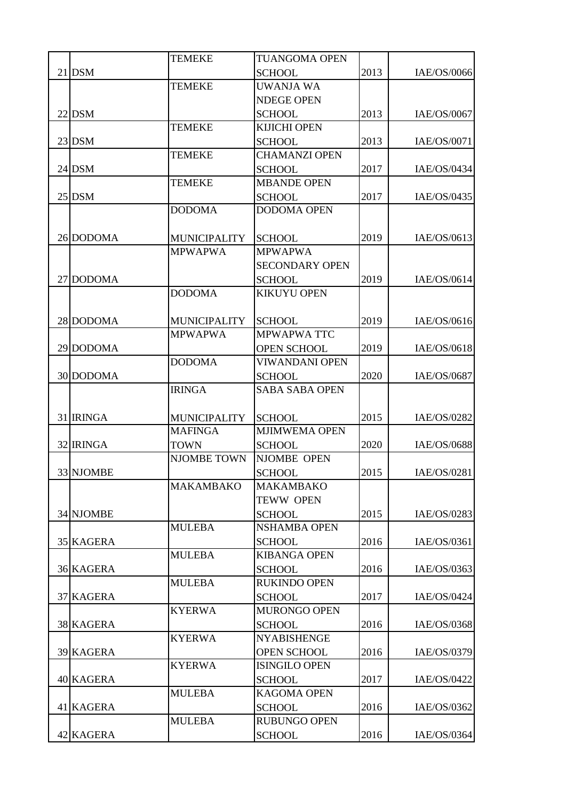|                  | <b>TEMEKE</b>       | <b>TUANGOMA OPEN</b>  |      |             |
|------------------|---------------------|-----------------------|------|-------------|
| <b>21 DSM</b>    |                     | <b>SCHOOL</b>         | 2013 | IAE/OS/0066 |
|                  | <b>TEMEKE</b>       | <b>UWANJA WA</b>      |      |             |
|                  |                     | <b>NDEGE OPEN</b>     |      |             |
| <b>22 DSM</b>    |                     | <b>SCHOOL</b>         | 2013 | IAE/OS/0067 |
|                  | <b>TEMEKE</b>       | <b>KIJICHI OPEN</b>   |      |             |
| 23 DSM           |                     | <b>SCHOOL</b>         | 2013 | IAE/OS/0071 |
|                  | <b>TEMEKE</b>       | <b>CHAMANZI OPEN</b>  |      |             |
| 24 DSM           |                     | <b>SCHOOL</b>         | 2017 | IAE/OS/0434 |
|                  | <b>TEMEKE</b>       | <b>MBANDE OPEN</b>    |      |             |
| 25 DSM           |                     | <b>SCHOOL</b>         | 2017 | IAE/OS/0435 |
|                  | <b>DODOMA</b>       | <b>DODOMA OPEN</b>    |      |             |
|                  |                     |                       |      |             |
| 26 DODOMA        | <b>MUNICIPALITY</b> | <b>SCHOOL</b>         | 2019 | IAE/OS/0613 |
|                  | <b>MPWAPWA</b>      | <b>MPWAPWA</b>        |      |             |
|                  |                     | <b>SECONDARY OPEN</b> |      |             |
| 27 DODOMA        |                     | <b>SCHOOL</b>         | 2019 | IAE/OS/0614 |
|                  | <b>DODOMA</b>       | <b>KIKUYU OPEN</b>    |      |             |
|                  |                     |                       |      |             |
| 28 DODOMA        | <b>MUNICIPALITY</b> | <b>SCHOOL</b>         | 2019 | IAE/OS/0616 |
|                  | <b>MPWAPWA</b>      | <b>MPWAPWA TTC</b>    |      |             |
| 29 DODOMA        |                     | <b>OPEN SCHOOL</b>    | 2019 | IAE/OS/0618 |
|                  | <b>DODOMA</b>       | <b>VIWANDANI OPEN</b> |      |             |
| 30 DODOMA        |                     | <b>SCHOOL</b>         | 2020 | IAE/OS/0687 |
|                  | <b>IRINGA</b>       | <b>SABA SABA OPEN</b> |      |             |
|                  |                     |                       |      |             |
| 31 IRINGA        | <b>MUNICIPALITY</b> | <b>SCHOOL</b>         | 2015 | IAE/OS/0282 |
|                  | <b>MAFINGA</b>      | <b>MJIMWEMA OPEN</b>  |      |             |
| 32 IRINGA        | <b>TOWN</b>         | <b>SCHOOL</b>         | 2020 | IAE/OS/0688 |
|                  | <b>NJOMBE TOWN</b>  | <b>NJOMBE OPEN</b>    |      |             |
| 33 NJOMBE        |                     | <b>SCHOOL</b>         | 2015 | IAE/OS/0281 |
|                  | <b>MAKAMBAKO</b>    | <b>MAKAMBAKO</b>      |      |             |
|                  |                     | <b>TEWW OPEN</b>      |      |             |
| 34 NJOMBE        |                     | <b>SCHOOL</b>         | 2015 | IAE/OS/0283 |
|                  | <b>MULEBA</b>       | <b>NSHAMBA OPEN</b>   |      |             |
| 35 KAGERA        |                     | <b>SCHOOL</b>         | 2016 | IAE/OS/0361 |
|                  | <b>MULEBA</b>       | <b>KIBANGA OPEN</b>   |      |             |
| <b>36 KAGERA</b> |                     | <b>SCHOOL</b>         | 2016 | IAE/OS/0363 |
|                  | <b>MULEBA</b>       | <b>RUKINDO OPEN</b>   |      |             |
| 37 KAGERA        |                     | <b>SCHOOL</b>         | 2017 | IAE/OS/0424 |
|                  | <b>KYERWA</b>       | MURONGO OPEN          |      |             |
| <b>38 KAGERA</b> |                     | <b>SCHOOL</b>         | 2016 | IAE/OS/0368 |
|                  | <b>KYERWA</b>       | <b>NYABISHENGE</b>    |      |             |
| <b>39 KAGERA</b> |                     | <b>OPEN SCHOOL</b>    | 2016 | IAE/OS/0379 |
|                  | <b>KYERWA</b>       | <b>ISINGILO OPEN</b>  |      |             |
| 40 KAGERA        |                     | <b>SCHOOL</b>         | 2017 | IAE/OS/0422 |
|                  | <b>MULEBA</b>       | <b>KAGOMA OPEN</b>    |      |             |
| 41 KAGERA        |                     | <b>SCHOOL</b>         | 2016 | IAE/OS/0362 |
|                  | <b>MULEBA</b>       | <b>RUBUNGO OPEN</b>   |      |             |
| 42 KAGERA        |                     | <b>SCHOOL</b>         | 2016 | IAE/OS/0364 |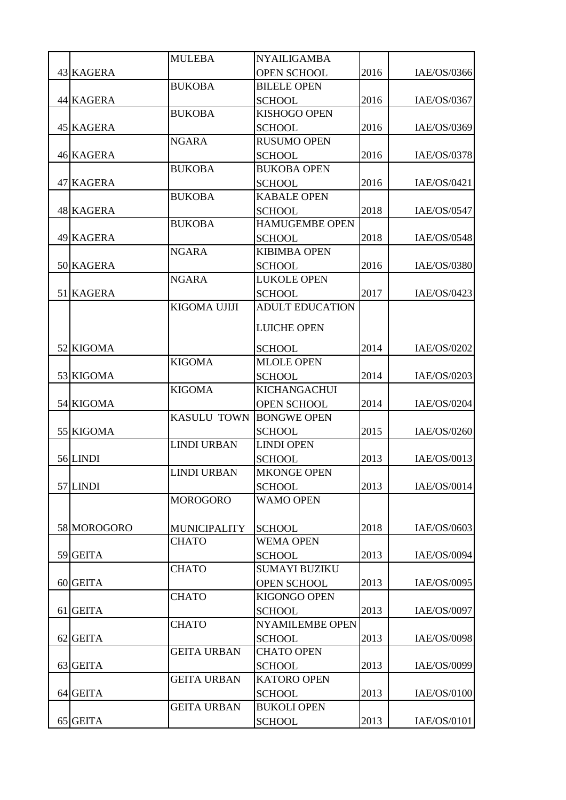|                  | <b>MULEBA</b>       | <b>NYAILIGAMBA</b>                  |      |             |
|------------------|---------------------|-------------------------------------|------|-------------|
| 43 KAGERA        |                     | <b>OPEN SCHOOL</b>                  | 2016 | IAE/OS/0366 |
|                  | <b>BUKOBA</b>       | <b>BILELE OPEN</b>                  |      |             |
| 44 KAGERA        |                     | <b>SCHOOL</b>                       | 2016 | IAE/OS/0367 |
|                  | <b>BUKOBA</b>       | <b>KISHOGO OPEN</b>                 |      |             |
| 45 KAGERA        |                     | <b>SCHOOL</b>                       | 2016 | IAE/OS/0369 |
|                  | <b>NGARA</b>        | <b>RUSUMO OPEN</b>                  |      |             |
| <b>46 KAGERA</b> |                     | <b>SCHOOL</b>                       | 2016 | IAE/OS/0378 |
|                  | <b>BUKOBA</b>       | <b>BUKOBA OPEN</b>                  |      |             |
| 47 KAGERA        |                     | <b>SCHOOL</b>                       | 2016 | IAE/OS/0421 |
|                  | <b>BUKOBA</b>       | <b>KABALE OPEN</b>                  |      |             |
| <b>48 KAGERA</b> |                     | <b>SCHOOL</b>                       | 2018 | IAE/OS/0547 |
|                  | <b>BUKOBA</b>       | <b>HAMUGEMBE OPEN</b>               |      |             |
| 49 KAGERA        |                     | <b>SCHOOL</b>                       | 2018 | IAE/OS/0548 |
|                  | <b>NGARA</b>        | <b>KIBIMBA OPEN</b>                 |      |             |
| 50 KAGERA        |                     | <b>SCHOOL</b>                       | 2016 | IAE/OS/0380 |
|                  | <b>NGARA</b>        | <b>LUKOLE OPEN</b>                  |      |             |
| 51 KAGERA        |                     | <b>SCHOOL</b>                       | 2017 | IAE/OS/0423 |
|                  | <b>KIGOMA UJIJI</b> | <b>ADULT EDUCATION</b>              |      |             |
|                  |                     | <b>LUICHE OPEN</b>                  |      |             |
| 52 KIGOMA        |                     | <b>SCHOOL</b>                       | 2014 | IAE/OS/0202 |
|                  | <b>KIGOMA</b>       | <b>MLOLE OPEN</b>                   |      |             |
| 53 KIGOMA        |                     | <b>SCHOOL</b>                       | 2014 | IAE/OS/0203 |
|                  | <b>KIGOMA</b>       | <b>KICHANGACHUI</b>                 |      |             |
| 54 KIGOMA        |                     | <b>OPEN SCHOOL</b>                  | 2014 | IAE/OS/0204 |
|                  | <b>KASULU TOWN</b>  | <b>BONGWE OPEN</b>                  |      |             |
| 55 KIGOMA        |                     | <b>SCHOOL</b>                       | 2015 | IAE/OS/0260 |
|                  | <b>LINDI URBAN</b>  | <b>LINDI OPEN</b>                   |      |             |
| 56 LINDI         |                     | <b>SCHOOL</b>                       | 2013 | IAE/OS/0013 |
|                  | <b>LINDI URBAN</b>  | <b>MKONGE OPEN</b>                  |      |             |
| 57 LINDI         |                     | <b>SCHOOL</b>                       | 2013 | IAE/OS/0014 |
|                  | <b>MOROGORO</b>     | <b>WAMO OPEN</b>                    |      |             |
|                  |                     |                                     |      |             |
| 58 MOROGORO      | <b>MUNICIPALITY</b> | <b>SCHOOL</b>                       | 2018 | IAE/OS/0603 |
|                  | <b>CHATO</b>        | <b>WEMA OPEN</b>                    |      |             |
| 59 GEITA         |                     | <b>SCHOOL</b>                       | 2013 | IAE/OS/0094 |
|                  | <b>CHATO</b>        | <b>SUMAYI BUZIKU</b>                |      |             |
| 60 GEITA         |                     | <b>OPEN SCHOOL</b>                  | 2013 | IAE/OS/0095 |
|                  | <b>CHATO</b>        | <b>KIGONGO OPEN</b>                 |      |             |
| 61 GEITA         |                     | <b>SCHOOL</b>                       | 2013 | IAE/OS/0097 |
|                  | <b>CHATO</b>        | <b>NYAMILEMBE OPEN</b>              |      |             |
| 62 GEITA         | <b>GEITA URBAN</b>  | <b>SCHOOL</b><br><b>CHATO OPEN</b>  | 2013 | IAE/OS/0098 |
|                  |                     |                                     |      |             |
| 63 GEITA         | <b>GEITA URBAN</b>  | <b>SCHOOL</b>                       | 2013 | IAE/OS/0099 |
|                  |                     | <b>KATORO OPEN</b>                  |      |             |
| 64 GEITA         | <b>GEITA URBAN</b>  | <b>SCHOOL</b><br><b>BUKOLI OPEN</b> | 2013 | IAE/OS/0100 |
|                  |                     |                                     |      |             |
| 65 GEITA         |                     | <b>SCHOOL</b>                       | 2013 | IAE/OS/0101 |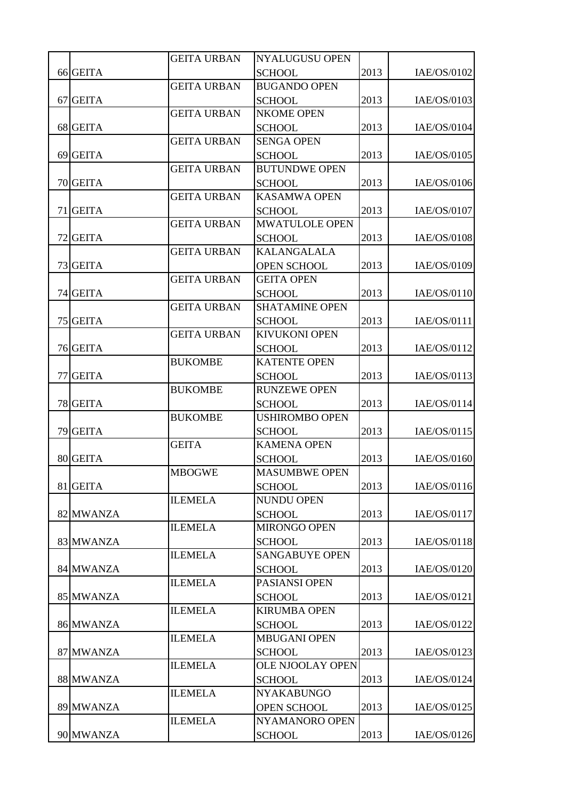|           | <b>GEITA URBAN</b> | <b>NYALUGUSU OPEN</b>   |      |             |
|-----------|--------------------|-------------------------|------|-------------|
| 66 GEITA  |                    | <b>SCHOOL</b>           | 2013 | IAE/OS/0102 |
|           | <b>GEITA URBAN</b> | <b>BUGANDO OPEN</b>     |      |             |
| 67 GEITA  |                    | <b>SCHOOL</b>           | 2013 | IAE/OS/0103 |
|           | <b>GEITA URBAN</b> | <b>NKOME OPEN</b>       |      |             |
| 68 GEITA  |                    | <b>SCHOOL</b>           | 2013 | IAE/OS/0104 |
|           | <b>GEITA URBAN</b> | <b>SENGA OPEN</b>       |      |             |
| 69 GEITA  |                    | <b>SCHOOL</b>           | 2013 | IAE/OS/0105 |
|           | <b>GEITA URBAN</b> | <b>BUTUNDWE OPEN</b>    |      |             |
| 70 GEITA  |                    | <b>SCHOOL</b>           | 2013 | IAE/OS/0106 |
|           | <b>GEITA URBAN</b> | <b>KASAMWA OPEN</b>     |      |             |
| 71 GEITA  |                    | <b>SCHOOL</b>           | 2013 | IAE/OS/0107 |
|           | <b>GEITA URBAN</b> | MWATULOLE OPEN          |      |             |
| 72 GEITA  |                    | <b>SCHOOL</b>           | 2013 | IAE/OS/0108 |
|           | <b>GEITA URBAN</b> | <b>KALANGALALA</b>      |      |             |
| 73 GEITA  |                    | OPEN SCHOOL             | 2013 | IAE/OS/0109 |
|           | <b>GEITA URBAN</b> | <b>GEITA OPEN</b>       |      |             |
| 74 GEITA  |                    | <b>SCHOOL</b>           | 2013 | IAE/OS/0110 |
|           | <b>GEITA URBAN</b> | <b>SHATAMINE OPEN</b>   |      |             |
| 75 GEITA  |                    | <b>SCHOOL</b>           | 2013 | IAE/OS/0111 |
|           | <b>GEITA URBAN</b> | <b>KIVUKONI OPEN</b>    |      |             |
| 76 GEITA  |                    | <b>SCHOOL</b>           | 2013 | IAE/OS/0112 |
|           | <b>BUKOMBE</b>     | <b>KATENTE OPEN</b>     |      |             |
| 77 GEITA  |                    | <b>SCHOOL</b>           | 2013 | IAE/OS/0113 |
|           | <b>BUKOMBE</b>     | <b>RUNZEWE OPEN</b>     |      |             |
| 78 GEITA  |                    | <b>SCHOOL</b>           | 2013 | IAE/OS/0114 |
|           | <b>BUKOMBE</b>     | <b>USHIROMBO OPEN</b>   |      |             |
| 79 GEITA  |                    | <b>SCHOOL</b>           | 2013 | IAE/OS/0115 |
|           | <b>GEITA</b>       | <b>KAMENA OPEN</b>      |      |             |
| 80 GEITA  |                    | <b>SCHOOL</b>           | 2013 | IAE/OS/0160 |
|           | <b>MBOGWE</b>      | <b>MASUMBWE OPEN</b>    |      |             |
| 81 GEITA  |                    | <b>SCHOOL</b>           | 2013 | IAE/OS/0116 |
|           | <b>ILEMELA</b>     | <b>NUNDU OPEN</b>       |      |             |
| 82 MWANZA |                    | <b>SCHOOL</b>           | 2013 | IAE/OS/0117 |
|           | <b>ILEMELA</b>     | <b>MIRONGO OPEN</b>     |      |             |
| 83 MWANZA |                    | <b>SCHOOL</b>           | 2013 | IAE/OS/0118 |
|           | <b>ILEMELA</b>     | <b>SANGABUYE OPEN</b>   |      |             |
| 84 MWANZA |                    | <b>SCHOOL</b>           | 2013 | IAE/OS/0120 |
|           | <b>ILEMELA</b>     | PASIANSI OPEN           |      |             |
| 85 MWANZA |                    | <b>SCHOOL</b>           | 2013 | IAE/OS/0121 |
|           | <b>ILEMELA</b>     | <b>KIRUMBA OPEN</b>     |      |             |
| 86 MWANZA |                    | <b>SCHOOL</b>           | 2013 | IAE/OS/0122 |
|           | <b>ILEMELA</b>     | <b>MBUGANI OPEN</b>     |      |             |
| 87 MWANZA |                    | <b>SCHOOL</b>           | 2013 | IAE/OS/0123 |
|           | <b>ILEMELA</b>     | <b>OLE NJOOLAY OPEN</b> |      |             |
| 88 MWANZA |                    | <b>SCHOOL</b>           | 2013 | IAE/OS/0124 |
|           | <b>ILEMELA</b>     | <b>NYAKABUNGO</b>       |      |             |
| 89 MWANZA |                    | <b>OPEN SCHOOL</b>      | 2013 | IAE/OS/0125 |
|           | <b>ILEMELA</b>     | NYAMANORO OPEN          |      |             |
| 90 MWANZA |                    | <b>SCHOOL</b>           | 2013 | IAE/OS/0126 |
|           |                    |                         |      |             |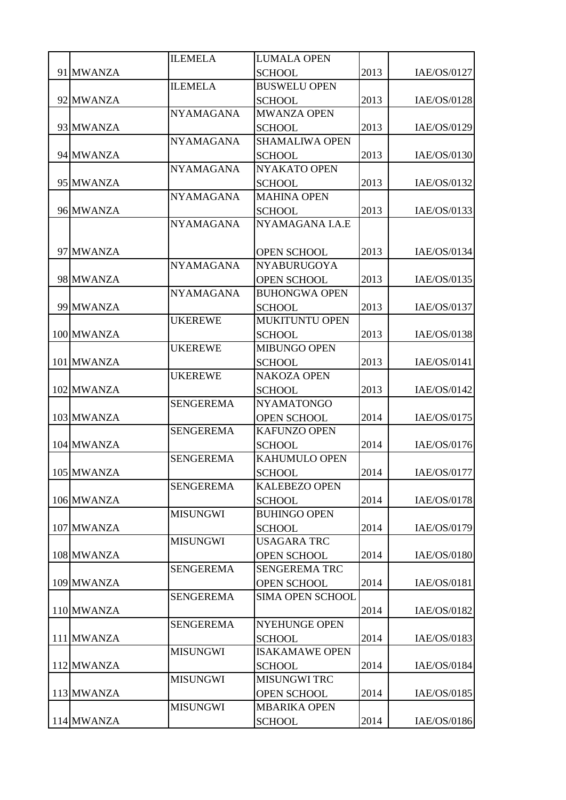|            | <b>ILEMELA</b>   | <b>LUMALA OPEN</b>                  |      |             |
|------------|------------------|-------------------------------------|------|-------------|
| 91 MWANZA  |                  | <b>SCHOOL</b>                       | 2013 | IAE/OS/0127 |
|            | <b>ILEMELA</b>   | <b>BUSWELU OPEN</b>                 |      |             |
| 92 MWANZA  |                  | <b>SCHOOL</b>                       | 2013 | IAE/OS/0128 |
|            | <b>NYAMAGANA</b> | <b>MWANZA OPEN</b>                  |      |             |
| 93 MWANZA  |                  | <b>SCHOOL</b>                       | 2013 | IAE/OS/0129 |
|            | <b>NYAMAGANA</b> | <b>SHAMALIWA OPEN</b>               |      |             |
| 94 MWANZA  |                  | <b>SCHOOL</b>                       | 2013 | IAE/OS/0130 |
|            | <b>NYAMAGANA</b> | NYAKATO OPEN                        |      |             |
| 95 MWANZA  |                  | <b>SCHOOL</b>                       | 2013 | IAE/OS/0132 |
|            | <b>NYAMAGANA</b> | <b>MAHINA OPEN</b>                  |      |             |
| 96 MWANZA  |                  | <b>SCHOOL</b>                       | 2013 | IAE/OS/0133 |
|            | <b>NYAMAGANA</b> | NYAMAGANA I.A.E                     |      |             |
|            |                  |                                     |      |             |
| 97 MWANZA  |                  | <b>OPEN SCHOOL</b>                  | 2013 | IAE/OS/0134 |
|            | <b>NYAMAGANA</b> | <b>NYABURUGOYA</b>                  |      |             |
| 98 MWANZA  |                  | <b>OPEN SCHOOL</b>                  | 2013 | IAE/OS/0135 |
|            | <b>NYAMAGANA</b> | <b>BUHONGWA OPEN</b>                |      |             |
| 99 MWANZA  |                  | <b>SCHOOL</b>                       | 2013 | IAE/OS/0137 |
|            | <b>UKEREWE</b>   | MUKITUNTU OPEN                      |      |             |
| 100 MWANZA |                  | <b>SCHOOL</b>                       | 2013 | IAE/OS/0138 |
|            | <b>UKEREWE</b>   | <b>MIBUNGO OPEN</b>                 |      |             |
| 101 MWANZA |                  | <b>SCHOOL</b>                       | 2013 | IAE/OS/0141 |
|            | <b>UKEREWE</b>   | <b>NAKOZA OPEN</b>                  |      |             |
| 102 MWANZA |                  | <b>SCHOOL</b>                       | 2013 | IAE/OS/0142 |
|            | <b>SENGEREMA</b> | <b>NYAMATONGO</b>                   |      |             |
| 103 MWANZA |                  | <b>OPEN SCHOOL</b>                  | 2014 | IAE/OS/0175 |
|            | <b>SENGEREMA</b> | <b>KAFUNZO OPEN</b>                 |      |             |
| 104 MWANZA |                  | <b>SCHOOL</b>                       | 2014 | IAE/OS/0176 |
|            | <b>SENGEREMA</b> | <b>KAHUMULO OPEN</b>                |      |             |
| 105 MWANZA |                  | <b>SCHOOL</b>                       | 2014 | IAE/OS/0177 |
|            | <b>SENGEREMA</b> | <b>KALEBEZO OPEN</b>                |      |             |
| 106 MWANZA |                  | <b>SCHOOL</b>                       | 2014 | IAE/OS/0178 |
|            | <b>MISUNGWI</b>  | <b>BUHINGO OPEN</b>                 |      |             |
| 107 MWANZA |                  |                                     | 2014 | IAE/OS/0179 |
|            | <b>MISUNGWI</b>  | <b>SCHOOL</b><br><b>USAGARA TRC</b> |      |             |
| 108 MWANZA |                  |                                     | 2014 | IAE/OS/0180 |
|            | <b>SENGEREMA</b> | <b>OPEN SCHOOL</b>                  |      |             |
|            |                  | <b>SENGEREMA TRC</b>                |      |             |
| 109 MWANZA |                  | <b>OPEN SCHOOL</b>                  | 2014 | IAE/OS/0181 |
|            | <b>SENGEREMA</b> | <b>SIMA OPEN SCHOOL</b>             |      |             |
| 110 MWANZA |                  |                                     | 2014 | IAE/OS/0182 |
|            | <b>SENGEREMA</b> | <b>NYEHUNGE OPEN</b>                |      |             |
| 111 MWANZA |                  | <b>SCHOOL</b>                       | 2014 | IAE/OS/0183 |
|            | <b>MISUNGWI</b>  | <b>ISAKAMAWE OPEN</b>               |      |             |
| 112 MWANZA |                  | <b>SCHOOL</b>                       | 2014 | IAE/OS/0184 |
|            | <b>MISUNGWI</b>  | <b>MISUNGWI TRC</b>                 |      |             |
| 113 MWANZA |                  | OPEN SCHOOL                         | 2014 | IAE/OS/0185 |
|            | <b>MISUNGWI</b>  | <b>MBARIKA OPEN</b>                 |      |             |
| 114 MWANZA |                  | <b>SCHOOL</b>                       | 2014 | IAE/OS/0186 |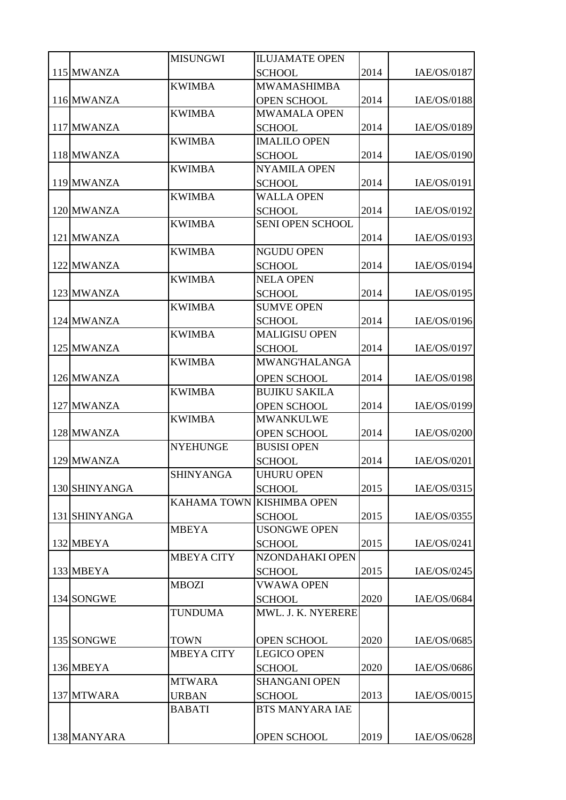|               | <b>MISUNGWI</b>   | <b>ILUJAMATE OPEN</b>     |      |             |
|---------------|-------------------|---------------------------|------|-------------|
| 115 MWANZA    |                   | <b>SCHOOL</b>             | 2014 | IAE/OS/0187 |
|               | <b>KWIMBA</b>     | <b>MWAMASHIMBA</b>        |      |             |
| 116 MWANZA    |                   | <b>OPEN SCHOOL</b>        | 2014 | IAE/OS/0188 |
|               | <b>KWIMBA</b>     | <b>MWAMALA OPEN</b>       |      |             |
| 117 MWANZA    |                   | <b>SCHOOL</b>             | 2014 | IAE/OS/0189 |
|               | <b>KWIMBA</b>     | <b>IMALILO OPEN</b>       |      |             |
| 118 MWANZA    |                   | <b>SCHOOL</b>             | 2014 | IAE/OS/0190 |
|               | <b>KWIMBA</b>     | <b>NYAMILA OPEN</b>       |      |             |
| 119 MWANZA    |                   | <b>SCHOOL</b>             | 2014 | IAE/OS/0191 |
|               | <b>KWIMBA</b>     | <b>WALLA OPEN</b>         |      |             |
| 120 MWANZA    |                   | <b>SCHOOL</b>             | 2014 | IAE/OS/0192 |
|               | <b>KWIMBA</b>     | SENI OPEN SCHOOL          |      |             |
| 121 MWANZA    |                   |                           | 2014 | IAE/OS/0193 |
|               | <b>KWIMBA</b>     | <b>NGUDU OPEN</b>         |      |             |
| 122 MWANZA    |                   | <b>SCHOOL</b>             | 2014 | IAE/OS/0194 |
|               | <b>KWIMBA</b>     | <b>NELA OPEN</b>          |      |             |
| 123 MWANZA    |                   | <b>SCHOOL</b>             | 2014 | IAE/OS/0195 |
|               | <b>KWIMBA</b>     | <b>SUMVE OPEN</b>         |      |             |
| 124 MWANZA    |                   | <b>SCHOOL</b>             | 2014 | IAE/OS/0196 |
|               | <b>KWIMBA</b>     | <b>MALIGISU OPEN</b>      |      |             |
| 125 MWANZA    |                   | <b>SCHOOL</b>             | 2014 | IAE/OS/0197 |
|               | <b>KWIMBA</b>     | <b>MWANG'HALANGA</b>      |      |             |
| 126 MWANZA    |                   | <b>OPEN SCHOOL</b>        | 2014 | IAE/OS/0198 |
|               | <b>KWIMBA</b>     | <b>BUJIKU SAKILA</b>      |      |             |
| 127 MWANZA    |                   | <b>OPEN SCHOOL</b>        | 2014 | IAE/OS/0199 |
|               | <b>KWIMBA</b>     | <b>MWANKULWE</b>          |      |             |
| 128 MWANZA    |                   | <b>OPEN SCHOOL</b>        | 2014 | IAE/OS/0200 |
|               | <b>NYEHUNGE</b>   | <b>BUSISI OPEN</b>        |      |             |
| 129 MWANZA    |                   | <b>SCHOOL</b>             | 2014 | IAE/OS/0201 |
|               | <b>SHINYANGA</b>  | <b>UHURU OPEN</b>         |      |             |
| 130 SHINYANGA |                   | <b>SCHOOL</b>             | 2015 | IAE/OS/0315 |
|               |                   | KAHAMA TOWN KISHIMBA OPEN |      |             |
| 131 SHINYANGA |                   | <b>SCHOOL</b>             | 2015 | IAE/OS/0355 |
|               | <b>MBEYA</b>      | <b>USONGWE OPEN</b>       |      |             |
| 132 MBEYA     |                   | <b>SCHOOL</b>             | 2015 | IAE/OS/0241 |
|               | <b>MBEYA CITY</b> | NZONDAHAKI OPEN           |      |             |
| 133 MBEYA     |                   | <b>SCHOOL</b>             | 2015 | IAE/OS/0245 |
|               | <b>MBOZI</b>      | <b>VWAWA OPEN</b>         |      |             |
| 134 SONGWE    |                   | <b>SCHOOL</b>             | 2020 | IAE/OS/0684 |
|               | <b>TUNDUMA</b>    | MWL. J. K. NYERERE        |      |             |
|               |                   |                           |      |             |
| 135 SONGWE    | <b>TOWN</b>       | OPEN SCHOOL               | 2020 | IAE/OS/0685 |
|               | <b>MBEYA CITY</b> | <b>LEGICO OPEN</b>        |      |             |
| 136 MBEYA     |                   | <b>SCHOOL</b>             | 2020 | IAE/OS/0686 |
|               | <b>MTWARA</b>     | <b>SHANGANI OPEN</b>      |      |             |
| 137 MTWARA    | <b>URBAN</b>      | <b>SCHOOL</b>             | 2013 | IAE/OS/0015 |
|               | <b>BABATI</b>     | <b>BTS MANYARA IAE</b>    |      |             |
|               |                   |                           |      |             |
| 138 MANYARA   |                   | <b>OPEN SCHOOL</b>        | 2019 | IAE/OS/0628 |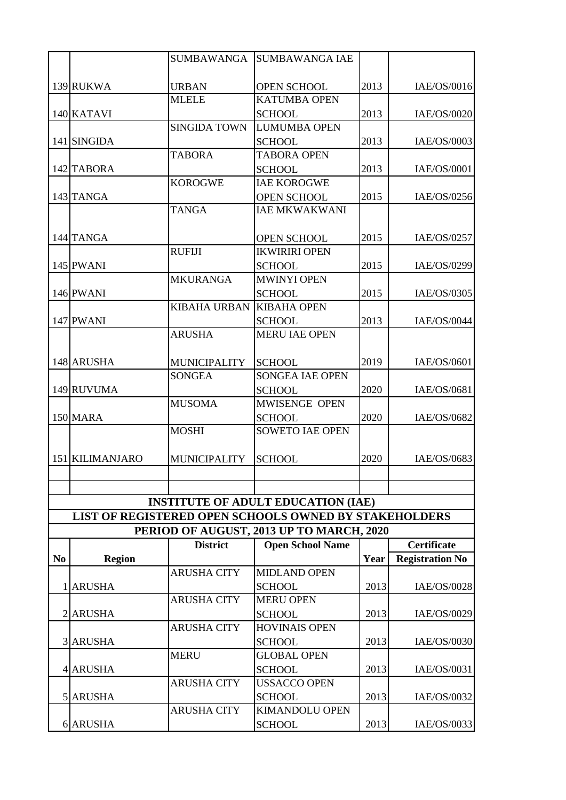|                |                 | SUMBAWANGA          | <b>SUMBAWANGA IAE</b>                                        |      |                        |
|----------------|-----------------|---------------------|--------------------------------------------------------------|------|------------------------|
|                |                 |                     |                                                              |      |                        |
|                | 139 RUKWA       | <b>URBAN</b>        | OPEN SCHOOL                                                  | 2013 | IAE/OS/0016            |
|                |                 | <b>MLELE</b>        | <b>KATUMBA OPEN</b>                                          |      |                        |
|                | 140 KATAVI      |                     | <b>SCHOOL</b>                                                | 2013 | IAE/OS/0020            |
|                |                 | <b>SINGIDA TOWN</b> | <b>LUMUMBA OPEN</b>                                          |      |                        |
|                | 141 SINGIDA     |                     | <b>SCHOOL</b>                                                | 2013 | IAE/OS/0003            |
|                |                 | <b>TABORA</b>       | <b>TABORA OPEN</b>                                           |      |                        |
|                | 142 TABORA      |                     | <b>SCHOOL</b>                                                | 2013 | IAE/OS/0001            |
|                |                 | <b>KOROGWE</b>      | <b>IAE KOROGWE</b>                                           |      |                        |
|                | 143 TANGA       |                     | <b>OPEN SCHOOL</b>                                           | 2015 | IAE/OS/0256            |
|                |                 | <b>TANGA</b>        | <b>IAE MKWAKWANI</b>                                         |      |                        |
|                |                 |                     |                                                              |      |                        |
|                | 144 TANGA       |                     | <b>OPEN SCHOOL</b>                                           | 2015 | IAE/OS/0257            |
|                |                 | <b>RUFIJI</b>       | <b>IKWIRIRI OPEN</b>                                         |      |                        |
|                | 145 PWANI       |                     | <b>SCHOOL</b>                                                | 2015 | IAE/OS/0299            |
|                |                 | <b>MKURANGA</b>     | <b>MWINYI OPEN</b>                                           |      |                        |
|                | 146 PWANI       |                     | <b>SCHOOL</b>                                                | 2015 | IAE/OS/0305            |
|                |                 | <b>KIBAHA URBAN</b> | <b>KIBAHA OPEN</b>                                           |      |                        |
|                | 147 PWANI       |                     | <b>SCHOOL</b>                                                | 2013 | IAE/OS/0044            |
|                |                 | <b>ARUSHA</b>       | <b>MERU IAE OPEN</b>                                         |      |                        |
|                |                 |                     |                                                              |      |                        |
|                | 148 ARUSHA      | <b>MUNICIPALITY</b> | <b>SCHOOL</b>                                                | 2019 | IAE/OS/0601            |
|                |                 | <b>SONGEA</b>       | <b>SONGEA IAE OPEN</b>                                       |      |                        |
|                | 149 RUVUMA      |                     | <b>SCHOOL</b>                                                | 2020 | IAE/OS/0681            |
|                |                 | <b>MUSOMA</b>       | MWISENGE OPEN                                                |      |                        |
|                | 150 MARA        |                     | <b>SCHOOL</b>                                                | 2020 | IAE/OS/0682            |
|                |                 | <b>MOSHI</b>        | <b>SOWETO IAE OPEN</b>                                       |      |                        |
|                |                 |                     |                                                              |      |                        |
|                | 151 KILIMANJARO | <b>MUNICIPALITY</b> | <b>SCHOOL</b>                                                | 2020 | IAE/OS/0683            |
|                |                 |                     |                                                              |      |                        |
|                |                 |                     |                                                              |      |                        |
|                |                 |                     | <b>INSTITUTE OF ADULT EDUCATION (IAE)</b>                    |      |                        |
|                |                 |                     | <b>LIST OF REGISTERED OPEN SCHOOLS OWNED BY STAKEHOLDERS</b> |      |                        |
|                |                 |                     | PERIOD OF AUGUST, 2013 UP TO MARCH, 2020                     |      |                        |
|                |                 | <b>District</b>     | <b>Open School Name</b>                                      |      | <b>Certificate</b>     |
| N <sub>0</sub> | <b>Region</b>   |                     |                                                              | Year | <b>Registration No</b> |
|                |                 | <b>ARUSHA CITY</b>  | <b>MIDLAND OPEN</b>                                          |      |                        |
|                | <b>ARUSHA</b>   |                     | <b>SCHOOL</b>                                                | 2013 | IAE/OS/0028            |
|                |                 | <b>ARUSHA CITY</b>  | <b>MERU OPEN</b>                                             |      |                        |
|                | 2 ARUSHA        |                     | <b>SCHOOL</b>                                                | 2013 | IAE/OS/0029            |
|                |                 | <b>ARUSHA CITY</b>  | <b>HOVINAIS OPEN</b>                                         |      |                        |
|                | <b>3 ARUSHA</b> |                     | <b>SCHOOL</b>                                                | 2013 | IAE/OS/0030            |
|                |                 | <b>MERU</b>         | <b>GLOBAL OPEN</b>                                           |      |                        |
|                | 4 ARUSHA        |                     | <b>SCHOOL</b>                                                | 2013 | IAE/OS/0031            |
|                |                 | <b>ARUSHA CITY</b>  | <b>USSACCO OPEN</b>                                          |      |                        |
|                | 5 ARUSHA        |                     | <b>SCHOOL</b>                                                | 2013 | IAE/OS/0032            |
|                |                 | <b>ARUSHA CITY</b>  | <b>KIMANDOLU OPEN</b>                                        |      |                        |
|                | 6 ARUSHA        |                     | <b>SCHOOL</b>                                                | 2013 | IAE/OS/0033            |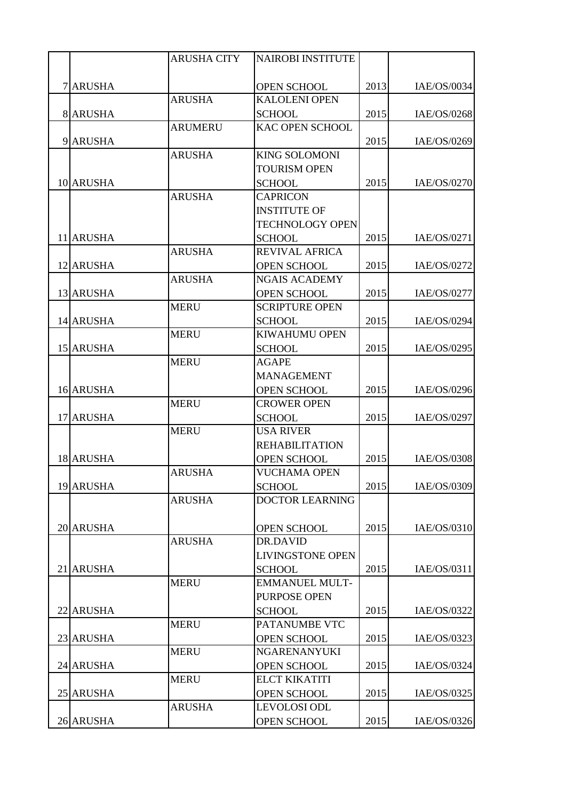|           | <b>ARUSHA CITY</b> | <b>NAIROBI INSTITUTE</b> |      |             |
|-----------|--------------------|--------------------------|------|-------------|
|           |                    |                          |      |             |
| 7 ARUSHA  |                    | <b>OPEN SCHOOL</b>       | 2013 | IAE/OS/0034 |
|           | <b>ARUSHA</b>      | <b>KALOLENI OPEN</b>     |      |             |
| 8 ARUSHA  |                    | <b>SCHOOL</b>            | 2015 | IAE/OS/0268 |
|           | <b>ARUMERU</b>     | <b>KAC OPEN SCHOOL</b>   |      |             |
| 9 ARUSHA  |                    |                          | 2015 | IAE/OS/0269 |
|           | <b>ARUSHA</b>      | <b>KING SOLOMONI</b>     |      |             |
|           |                    | <b>TOURISM OPEN</b>      |      |             |
| 10 ARUSHA |                    | <b>SCHOOL</b>            | 2015 | IAE/OS/0270 |
|           | <b>ARUSHA</b>      | <b>CAPRICON</b>          |      |             |
|           |                    | <b>INSTITUTE OF</b>      |      |             |
|           |                    | <b>TECHNOLOGY OPEN</b>   |      |             |
| 11 ARUSHA |                    | <b>SCHOOL</b>            | 2015 | IAE/OS/0271 |
|           | <b>ARUSHA</b>      | <b>REVIVAL AFRICA</b>    |      |             |
| 12 ARUSHA |                    | <b>OPEN SCHOOL</b>       | 2015 | IAE/OS/0272 |
|           | <b>ARUSHA</b>      | <b>NGAIS ACADEMY</b>     |      |             |
| 13 ARUSHA |                    | <b>OPEN SCHOOL</b>       | 2015 | IAE/OS/0277 |
|           | <b>MERU</b>        | <b>SCRIPTURE OPEN</b>    |      |             |
| 14 ARUSHA |                    | <b>SCHOOL</b>            | 2015 | IAE/OS/0294 |
|           | <b>MERU</b>        | <b>KIWAHUMU OPEN</b>     |      |             |
| 15 ARUSHA |                    | <b>SCHOOL</b>            | 2015 | IAE/OS/0295 |
|           | <b>MERU</b>        | <b>AGAPE</b>             |      |             |
|           |                    | <b>MANAGEMENT</b>        |      |             |
| 16 ARUSHA |                    | <b>OPEN SCHOOL</b>       | 2015 | IAE/OS/0296 |
|           | <b>MERU</b>        | <b>CROWER OPEN</b>       |      |             |
| 17 ARUSHA |                    | <b>SCHOOL</b>            | 2015 | IAE/OS/0297 |
|           | <b>MERU</b>        | <b>USA RIVER</b>         |      |             |
|           |                    | <b>REHABILITATION</b>    |      |             |
| 18 ARUSHA |                    | <b>OPEN SCHOOL</b>       | 2015 | IAE/OS/0308 |
|           | <b>ARUSHA</b>      | <b>VUCHAMA OPEN</b>      |      |             |
| 19 ARUSHA |                    | <b>SCHOOL</b>            | 2015 | IAE/OS/0309 |
|           | <b>ARUSHA</b>      | <b>DOCTOR LEARNING</b>   |      |             |
|           |                    |                          |      |             |
| 20 ARUSHA |                    | OPEN SCHOOL              | 2015 | IAE/OS/0310 |
|           | <b>ARUSHA</b>      | <b>DR.DAVID</b>          |      |             |
|           |                    | <b>LIVINGSTONE OPEN</b>  |      |             |
| 21 ARUSHA |                    | <b>SCHOOL</b>            | 2015 | IAE/OS/0311 |
|           | <b>MERU</b>        | <b>EMMANUEL MULT-</b>    |      |             |
|           |                    | PURPOSE OPEN             |      |             |
| 22 ARUSHA |                    | <b>SCHOOL</b>            | 2015 | IAE/OS/0322 |
|           | <b>MERU</b>        | PATANUMBE VTC            |      |             |
| 23 ARUSHA |                    | <b>OPEN SCHOOL</b>       | 2015 | IAE/OS/0323 |
|           | <b>MERU</b>        | NGARENANYUKI             |      |             |
| 24 ARUSHA |                    | <b>OPEN SCHOOL</b>       | 2015 | IAE/OS/0324 |
|           | <b>MERU</b>        | <b>ELCT KIKATITI</b>     |      |             |
| 25 ARUSHA |                    | OPEN SCHOOL              | 2015 | IAE/OS/0325 |
|           | <b>ARUSHA</b>      | <b>LEVOLOSI ODL</b>      |      |             |
| 26 ARUSHA |                    | <b>OPEN SCHOOL</b>       | 2015 | IAE/OS/0326 |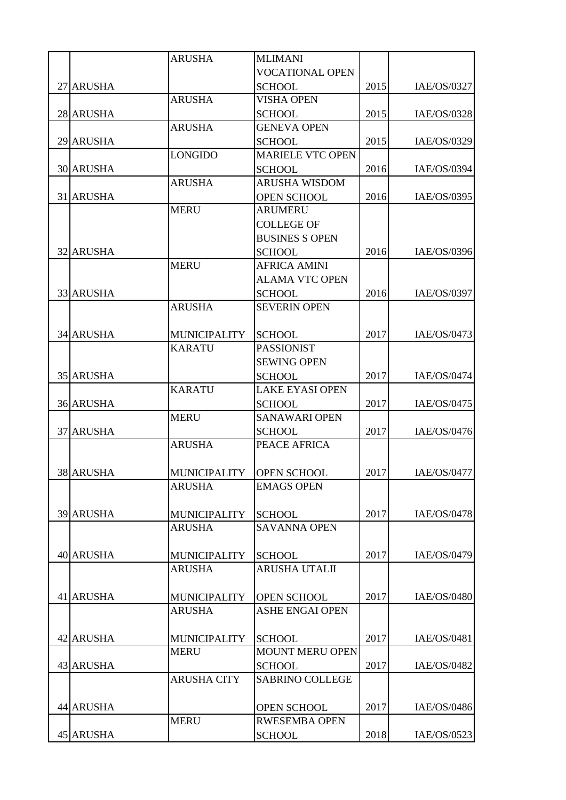|                  | <b>ARUSHA</b>       | <b>MLIMANI</b>          |      |             |
|------------------|---------------------|-------------------------|------|-------------|
|                  |                     | <b>VOCATIONAL OPEN</b>  |      |             |
| 27 ARUSHA        |                     | <b>SCHOOL</b>           | 2015 | IAE/OS/0327 |
|                  | <b>ARUSHA</b>       | <b>VISHA OPEN</b>       |      |             |
| 28 ARUSHA        |                     | <b>SCHOOL</b>           | 2015 | IAE/OS/0328 |
|                  | <b>ARUSHA</b>       | <b>GENEVA OPEN</b>      |      |             |
| 29 ARUSHA        |                     | <b>SCHOOL</b>           | 2015 | IAE/OS/0329 |
|                  | <b>LONGIDO</b>      | <b>MARIELE VTC OPEN</b> |      |             |
| <b>30 ARUSHA</b> |                     | <b>SCHOOL</b>           | 2016 | IAE/OS/0394 |
|                  | <b>ARUSHA</b>       | <b>ARUSHA WISDOM</b>    |      |             |
| 31 ARUSHA        |                     | <b>OPEN SCHOOL</b>      | 2016 | IAE/OS/0395 |
|                  | <b>MERU</b>         | <b>ARUMERU</b>          |      |             |
|                  |                     | <b>COLLEGE OF</b>       |      |             |
|                  |                     | <b>BUSINES S OPEN</b>   |      |             |
| <b>32 ARUSHA</b> |                     | <b>SCHOOL</b>           | 2016 | IAE/OS/0396 |
|                  | <b>MERU</b>         | <b>AFRICA AMINI</b>     |      |             |
|                  |                     | <b>ALAMA VTC OPEN</b>   |      |             |
| 33 ARUSHA        |                     | <b>SCHOOL</b>           | 2016 | IAE/OS/0397 |
|                  | <b>ARUSHA</b>       | <b>SEVERIN OPEN</b>     |      |             |
|                  |                     |                         |      |             |
| <b>34 ARUSHA</b> | <b>MUNICIPALITY</b> | <b>SCHOOL</b>           | 2017 | IAE/OS/0473 |
|                  | <b>KARATU</b>       | <b>PASSIONIST</b>       |      |             |
|                  |                     | <b>SEWING OPEN</b>      |      |             |
| <b>35 ARUSHA</b> |                     | <b>SCHOOL</b>           | 2017 | IAE/OS/0474 |
|                  | <b>KARATU</b>       | <b>LAKE EYASI OPEN</b>  |      |             |
| <b>36 ARUSHA</b> |                     | <b>SCHOOL</b>           | 2017 | IAE/OS/0475 |
|                  | <b>MERU</b>         | <b>SANAWARI OPEN</b>    |      |             |
| <b>37 ARUSHA</b> |                     | <b>SCHOOL</b>           | 2017 | IAE/OS/0476 |
|                  | <b>ARUSHA</b>       | PEACE AFRICA            |      |             |
|                  |                     |                         |      |             |
| <b>38 ARUSHA</b> | <b>MUNICIPALITY</b> | <b>OPEN SCHOOL</b>      | 2017 | IAE/OS/0477 |
|                  | <b>ARUSHA</b>       | <b>EMAGS OPEN</b>       |      |             |
|                  |                     |                         |      |             |
| <b>39 ARUSHA</b> | <b>MUNICIPALITY</b> | <b>SCHOOL</b>           | 2017 | IAE/OS/0478 |
|                  | <b>ARUSHA</b>       | <b>SAVANNA OPEN</b>     |      |             |
|                  |                     |                         |      |             |
| <b>40 ARUSHA</b> | <b>MUNICIPALITY</b> | <b>SCHOOL</b>           | 2017 | IAE/OS/0479 |
|                  | <b>ARUSHA</b>       | ARUSHA UTALII           |      |             |
|                  |                     |                         |      |             |
| 41 ARUSHA        | <b>MUNICIPALITY</b> | <b>OPEN SCHOOL</b>      | 2017 | IAE/OS/0480 |
|                  | <b>ARUSHA</b>       | <b>ASHE ENGAI OPEN</b>  |      |             |
|                  |                     |                         |      |             |
| 42 ARUSHA        | <b>MUNICIPALITY</b> | <b>SCHOOL</b>           | 2017 | IAE/OS/0481 |
|                  | <b>MERU</b>         | <b>MOUNT MERU OPEN</b>  |      |             |
| <b>43 ARUSHA</b> |                     | <b>SCHOOL</b>           | 2017 | IAE/OS/0482 |
|                  | <b>ARUSHA CITY</b>  | <b>SABRINO COLLEGE</b>  |      |             |
|                  |                     |                         |      |             |
| 44 ARUSHA        |                     | OPEN SCHOOL             | 2017 | IAE/OS/0486 |
|                  | <b>MERU</b>         | <b>RWESEMBA OPEN</b>    |      |             |
| 45 ARUSHA        |                     | <b>SCHOOL</b>           | 2018 | IAE/OS/0523 |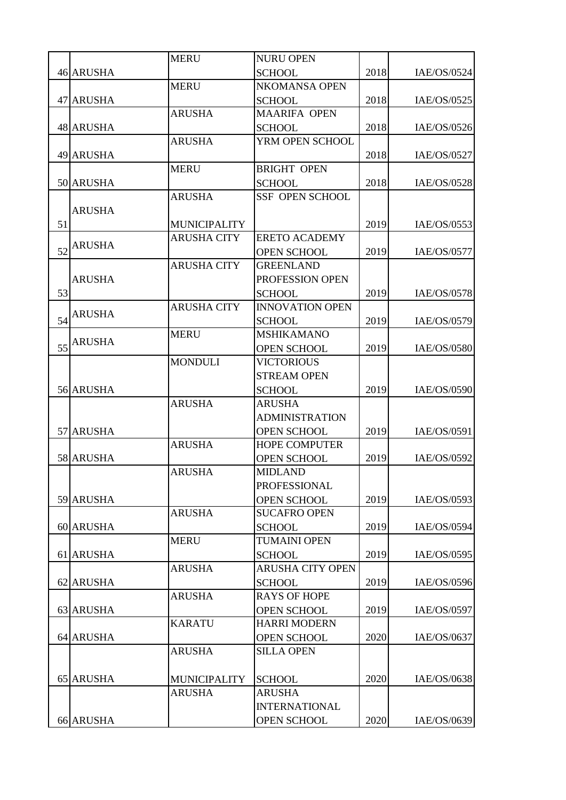| <b>46 ARUSHA</b><br>2018<br>IAE/OS/0524<br><b>SCHOOL</b><br><b>MERU</b><br><b>NKOMANSA OPEN</b><br><b>47 ARUSHA</b><br>2018<br>IAE/OS/0525<br><b>SCHOOL</b><br><b>ARUSHA</b><br><b>MAARIFA OPEN</b><br>2018<br><b>48 ARUSHA</b><br>IAE/OS/0526<br><b>SCHOOL</b><br><b>ARUSHA</b><br>YRM OPEN SCHOOL<br><b>49 ARUSHA</b><br>2018<br>IAE/OS/0527<br><b>MERU</b><br><b>BRIGHT OPEN</b><br>2018<br>50 ARUSHA<br><b>SCHOOL</b><br>IAE/OS/0528<br><b>ARUSHA</b><br><b>SSF OPEN SCHOOL</b><br><b>ARUSHA</b><br>51<br>2019<br>IAE/OS/0553<br><b>MUNICIPALITY</b><br><b>ARUSHA CITY</b><br><b>ERETO ACADEMY</b><br><b>ARUSHA</b><br>52<br>2019<br><b>OPEN SCHOOL</b><br>IAE/OS/0577<br><b>ARUSHA CITY</b><br><b>GREENLAND</b><br><b>ARUSHA</b><br>PROFESSION OPEN<br>53<br>2019<br>IAE/OS/0578<br><b>SCHOOL</b><br><b>ARUSHA CITY</b><br><b>INNOVATION OPEN</b><br><b>ARUSHA</b><br>54<br>2019<br>IAE/OS/0579<br><b>SCHOOL</b><br><b>MERU</b><br><b>MSHIKAMANO</b><br><b>ARUSHA</b><br>55<br>2019<br>IAE/OS/0580<br><b>OPEN SCHOOL</b><br><b>MONDULI</b><br><b>VICTORIOUS</b><br><b>STREAM OPEN</b><br>56 ARUSHA<br>2019<br>IAE/OS/0590<br><b>SCHOOL</b><br><b>ARUSHA</b><br><b>ARUSHA</b><br><b>ADMINISTRATION</b><br>57 ARUSHA<br>2019<br>IAE/OS/0591<br><b>OPEN SCHOOL</b><br><b>ARUSHA</b><br><b>HOPE COMPUTER</b><br>58 ARUSHA<br>2019<br>IAE/OS/0592<br><b>OPEN SCHOOL</b><br><b>ARUSHA</b><br><b>MIDLAND</b><br><b>PROFESSIONAL</b><br>2019<br>59 ARUSHA<br>IAE/OS/0593<br><b>OPEN SCHOOL</b><br><b>ARUSHA</b><br><b>SUCAFRO OPEN</b><br>60 ARUSHA<br>2019<br>IAE/OS/0594<br><b>SCHOOL</b><br><b>MERU</b><br><b>TUMAINI OPEN</b><br>61 ARUSHA<br><b>SCHOOL</b><br>2019<br>IAE/OS/0595<br><b>ARUSHA</b><br><b>ARUSHA CITY OPEN</b><br>62 ARUSHA<br>2019<br><b>SCHOOL</b><br><b>ARUSHA</b><br><b>RAYS OF HOPE</b><br>63 ARUSHA<br>2019<br><b>OPEN SCHOOL</b><br>IAE/OS/0597<br><b>KARATU</b><br><b>HARRI MODERN</b><br>2020<br>64 ARUSHA<br><b>OPEN SCHOOL</b><br>IAE/OS/0637<br><b>ARUSHA</b><br><b>SILLA OPEN</b><br>2020<br>65 ARUSHA<br><b>SCHOOL</b><br>IAE/OS/0638<br><b>MUNICIPALITY</b><br><b>ARUSHA</b><br><b>ARUSHA</b><br><b>INTERNATIONAL</b> |                  | <b>MERU</b> | <b>NURU OPEN</b>   |      |             |
|-------------------------------------------------------------------------------------------------------------------------------------------------------------------------------------------------------------------------------------------------------------------------------------------------------------------------------------------------------------------------------------------------------------------------------------------------------------------------------------------------------------------------------------------------------------------------------------------------------------------------------------------------------------------------------------------------------------------------------------------------------------------------------------------------------------------------------------------------------------------------------------------------------------------------------------------------------------------------------------------------------------------------------------------------------------------------------------------------------------------------------------------------------------------------------------------------------------------------------------------------------------------------------------------------------------------------------------------------------------------------------------------------------------------------------------------------------------------------------------------------------------------------------------------------------------------------------------------------------------------------------------------------------------------------------------------------------------------------------------------------------------------------------------------------------------------------------------------------------------------------------------------------------------------------------------------------------------------------------------------------------------------------------------------------------------------------------------------------------------------------------------------------------|------------------|-------------|--------------------|------|-------------|
|                                                                                                                                                                                                                                                                                                                                                                                                                                                                                                                                                                                                                                                                                                                                                                                                                                                                                                                                                                                                                                                                                                                                                                                                                                                                                                                                                                                                                                                                                                                                                                                                                                                                                                                                                                                                                                                                                                                                                                                                                                                                                                                                                       |                  |             |                    |      |             |
|                                                                                                                                                                                                                                                                                                                                                                                                                                                                                                                                                                                                                                                                                                                                                                                                                                                                                                                                                                                                                                                                                                                                                                                                                                                                                                                                                                                                                                                                                                                                                                                                                                                                                                                                                                                                                                                                                                                                                                                                                                                                                                                                                       |                  |             |                    |      |             |
|                                                                                                                                                                                                                                                                                                                                                                                                                                                                                                                                                                                                                                                                                                                                                                                                                                                                                                                                                                                                                                                                                                                                                                                                                                                                                                                                                                                                                                                                                                                                                                                                                                                                                                                                                                                                                                                                                                                                                                                                                                                                                                                                                       |                  |             |                    |      |             |
|                                                                                                                                                                                                                                                                                                                                                                                                                                                                                                                                                                                                                                                                                                                                                                                                                                                                                                                                                                                                                                                                                                                                                                                                                                                                                                                                                                                                                                                                                                                                                                                                                                                                                                                                                                                                                                                                                                                                                                                                                                                                                                                                                       |                  |             |                    |      |             |
|                                                                                                                                                                                                                                                                                                                                                                                                                                                                                                                                                                                                                                                                                                                                                                                                                                                                                                                                                                                                                                                                                                                                                                                                                                                                                                                                                                                                                                                                                                                                                                                                                                                                                                                                                                                                                                                                                                                                                                                                                                                                                                                                                       |                  |             |                    |      |             |
|                                                                                                                                                                                                                                                                                                                                                                                                                                                                                                                                                                                                                                                                                                                                                                                                                                                                                                                                                                                                                                                                                                                                                                                                                                                                                                                                                                                                                                                                                                                                                                                                                                                                                                                                                                                                                                                                                                                                                                                                                                                                                                                                                       |                  |             |                    |      |             |
|                                                                                                                                                                                                                                                                                                                                                                                                                                                                                                                                                                                                                                                                                                                                                                                                                                                                                                                                                                                                                                                                                                                                                                                                                                                                                                                                                                                                                                                                                                                                                                                                                                                                                                                                                                                                                                                                                                                                                                                                                                                                                                                                                       |                  |             |                    |      |             |
|                                                                                                                                                                                                                                                                                                                                                                                                                                                                                                                                                                                                                                                                                                                                                                                                                                                                                                                                                                                                                                                                                                                                                                                                                                                                                                                                                                                                                                                                                                                                                                                                                                                                                                                                                                                                                                                                                                                                                                                                                                                                                                                                                       |                  |             |                    |      |             |
| IAE/OS/0596                                                                                                                                                                                                                                                                                                                                                                                                                                                                                                                                                                                                                                                                                                                                                                                                                                                                                                                                                                                                                                                                                                                                                                                                                                                                                                                                                                                                                                                                                                                                                                                                                                                                                                                                                                                                                                                                                                                                                                                                                                                                                                                                           |                  |             |                    |      |             |
|                                                                                                                                                                                                                                                                                                                                                                                                                                                                                                                                                                                                                                                                                                                                                                                                                                                                                                                                                                                                                                                                                                                                                                                                                                                                                                                                                                                                                                                                                                                                                                                                                                                                                                                                                                                                                                                                                                                                                                                                                                                                                                                                                       |                  |             |                    |      |             |
|                                                                                                                                                                                                                                                                                                                                                                                                                                                                                                                                                                                                                                                                                                                                                                                                                                                                                                                                                                                                                                                                                                                                                                                                                                                                                                                                                                                                                                                                                                                                                                                                                                                                                                                                                                                                                                                                                                                                                                                                                                                                                                                                                       |                  |             |                    |      |             |
|                                                                                                                                                                                                                                                                                                                                                                                                                                                                                                                                                                                                                                                                                                                                                                                                                                                                                                                                                                                                                                                                                                                                                                                                                                                                                                                                                                                                                                                                                                                                                                                                                                                                                                                                                                                                                                                                                                                                                                                                                                                                                                                                                       |                  |             |                    |      |             |
|                                                                                                                                                                                                                                                                                                                                                                                                                                                                                                                                                                                                                                                                                                                                                                                                                                                                                                                                                                                                                                                                                                                                                                                                                                                                                                                                                                                                                                                                                                                                                                                                                                                                                                                                                                                                                                                                                                                                                                                                                                                                                                                                                       |                  |             |                    |      |             |
|                                                                                                                                                                                                                                                                                                                                                                                                                                                                                                                                                                                                                                                                                                                                                                                                                                                                                                                                                                                                                                                                                                                                                                                                                                                                                                                                                                                                                                                                                                                                                                                                                                                                                                                                                                                                                                                                                                                                                                                                                                                                                                                                                       |                  |             |                    |      |             |
|                                                                                                                                                                                                                                                                                                                                                                                                                                                                                                                                                                                                                                                                                                                                                                                                                                                                                                                                                                                                                                                                                                                                                                                                                                                                                                                                                                                                                                                                                                                                                                                                                                                                                                                                                                                                                                                                                                                                                                                                                                                                                                                                                       |                  |             |                    |      |             |
|                                                                                                                                                                                                                                                                                                                                                                                                                                                                                                                                                                                                                                                                                                                                                                                                                                                                                                                                                                                                                                                                                                                                                                                                                                                                                                                                                                                                                                                                                                                                                                                                                                                                                                                                                                                                                                                                                                                                                                                                                                                                                                                                                       |                  |             |                    |      |             |
|                                                                                                                                                                                                                                                                                                                                                                                                                                                                                                                                                                                                                                                                                                                                                                                                                                                                                                                                                                                                                                                                                                                                                                                                                                                                                                                                                                                                                                                                                                                                                                                                                                                                                                                                                                                                                                                                                                                                                                                                                                                                                                                                                       |                  |             |                    |      |             |
|                                                                                                                                                                                                                                                                                                                                                                                                                                                                                                                                                                                                                                                                                                                                                                                                                                                                                                                                                                                                                                                                                                                                                                                                                                                                                                                                                                                                                                                                                                                                                                                                                                                                                                                                                                                                                                                                                                                                                                                                                                                                                                                                                       |                  |             |                    |      |             |
|                                                                                                                                                                                                                                                                                                                                                                                                                                                                                                                                                                                                                                                                                                                                                                                                                                                                                                                                                                                                                                                                                                                                                                                                                                                                                                                                                                                                                                                                                                                                                                                                                                                                                                                                                                                                                                                                                                                                                                                                                                                                                                                                                       |                  |             |                    |      |             |
|                                                                                                                                                                                                                                                                                                                                                                                                                                                                                                                                                                                                                                                                                                                                                                                                                                                                                                                                                                                                                                                                                                                                                                                                                                                                                                                                                                                                                                                                                                                                                                                                                                                                                                                                                                                                                                                                                                                                                                                                                                                                                                                                                       |                  |             |                    |      |             |
|                                                                                                                                                                                                                                                                                                                                                                                                                                                                                                                                                                                                                                                                                                                                                                                                                                                                                                                                                                                                                                                                                                                                                                                                                                                                                                                                                                                                                                                                                                                                                                                                                                                                                                                                                                                                                                                                                                                                                                                                                                                                                                                                                       |                  |             |                    |      |             |
|                                                                                                                                                                                                                                                                                                                                                                                                                                                                                                                                                                                                                                                                                                                                                                                                                                                                                                                                                                                                                                                                                                                                                                                                                                                                                                                                                                                                                                                                                                                                                                                                                                                                                                                                                                                                                                                                                                                                                                                                                                                                                                                                                       |                  |             |                    |      |             |
|                                                                                                                                                                                                                                                                                                                                                                                                                                                                                                                                                                                                                                                                                                                                                                                                                                                                                                                                                                                                                                                                                                                                                                                                                                                                                                                                                                                                                                                                                                                                                                                                                                                                                                                                                                                                                                                                                                                                                                                                                                                                                                                                                       |                  |             |                    |      |             |
|                                                                                                                                                                                                                                                                                                                                                                                                                                                                                                                                                                                                                                                                                                                                                                                                                                                                                                                                                                                                                                                                                                                                                                                                                                                                                                                                                                                                                                                                                                                                                                                                                                                                                                                                                                                                                                                                                                                                                                                                                                                                                                                                                       |                  |             |                    |      |             |
|                                                                                                                                                                                                                                                                                                                                                                                                                                                                                                                                                                                                                                                                                                                                                                                                                                                                                                                                                                                                                                                                                                                                                                                                                                                                                                                                                                                                                                                                                                                                                                                                                                                                                                                                                                                                                                                                                                                                                                                                                                                                                                                                                       |                  |             |                    |      |             |
|                                                                                                                                                                                                                                                                                                                                                                                                                                                                                                                                                                                                                                                                                                                                                                                                                                                                                                                                                                                                                                                                                                                                                                                                                                                                                                                                                                                                                                                                                                                                                                                                                                                                                                                                                                                                                                                                                                                                                                                                                                                                                                                                                       |                  |             |                    |      |             |
|                                                                                                                                                                                                                                                                                                                                                                                                                                                                                                                                                                                                                                                                                                                                                                                                                                                                                                                                                                                                                                                                                                                                                                                                                                                                                                                                                                                                                                                                                                                                                                                                                                                                                                                                                                                                                                                                                                                                                                                                                                                                                                                                                       |                  |             |                    |      |             |
|                                                                                                                                                                                                                                                                                                                                                                                                                                                                                                                                                                                                                                                                                                                                                                                                                                                                                                                                                                                                                                                                                                                                                                                                                                                                                                                                                                                                                                                                                                                                                                                                                                                                                                                                                                                                                                                                                                                                                                                                                                                                                                                                                       |                  |             |                    |      |             |
|                                                                                                                                                                                                                                                                                                                                                                                                                                                                                                                                                                                                                                                                                                                                                                                                                                                                                                                                                                                                                                                                                                                                                                                                                                                                                                                                                                                                                                                                                                                                                                                                                                                                                                                                                                                                                                                                                                                                                                                                                                                                                                                                                       |                  |             |                    |      |             |
|                                                                                                                                                                                                                                                                                                                                                                                                                                                                                                                                                                                                                                                                                                                                                                                                                                                                                                                                                                                                                                                                                                                                                                                                                                                                                                                                                                                                                                                                                                                                                                                                                                                                                                                                                                                                                                                                                                                                                                                                                                                                                                                                                       |                  |             |                    |      |             |
|                                                                                                                                                                                                                                                                                                                                                                                                                                                                                                                                                                                                                                                                                                                                                                                                                                                                                                                                                                                                                                                                                                                                                                                                                                                                                                                                                                                                                                                                                                                                                                                                                                                                                                                                                                                                                                                                                                                                                                                                                                                                                                                                                       |                  |             |                    |      |             |
|                                                                                                                                                                                                                                                                                                                                                                                                                                                                                                                                                                                                                                                                                                                                                                                                                                                                                                                                                                                                                                                                                                                                                                                                                                                                                                                                                                                                                                                                                                                                                                                                                                                                                                                                                                                                                                                                                                                                                                                                                                                                                                                                                       |                  |             |                    |      |             |
|                                                                                                                                                                                                                                                                                                                                                                                                                                                                                                                                                                                                                                                                                                                                                                                                                                                                                                                                                                                                                                                                                                                                                                                                                                                                                                                                                                                                                                                                                                                                                                                                                                                                                                                                                                                                                                                                                                                                                                                                                                                                                                                                                       |                  |             |                    |      |             |
|                                                                                                                                                                                                                                                                                                                                                                                                                                                                                                                                                                                                                                                                                                                                                                                                                                                                                                                                                                                                                                                                                                                                                                                                                                                                                                                                                                                                                                                                                                                                                                                                                                                                                                                                                                                                                                                                                                                                                                                                                                                                                                                                                       |                  |             |                    |      |             |
|                                                                                                                                                                                                                                                                                                                                                                                                                                                                                                                                                                                                                                                                                                                                                                                                                                                                                                                                                                                                                                                                                                                                                                                                                                                                                                                                                                                                                                                                                                                                                                                                                                                                                                                                                                                                                                                                                                                                                                                                                                                                                                                                                       |                  |             |                    |      |             |
|                                                                                                                                                                                                                                                                                                                                                                                                                                                                                                                                                                                                                                                                                                                                                                                                                                                                                                                                                                                                                                                                                                                                                                                                                                                                                                                                                                                                                                                                                                                                                                                                                                                                                                                                                                                                                                                                                                                                                                                                                                                                                                                                                       |                  |             |                    |      |             |
|                                                                                                                                                                                                                                                                                                                                                                                                                                                                                                                                                                                                                                                                                                                                                                                                                                                                                                                                                                                                                                                                                                                                                                                                                                                                                                                                                                                                                                                                                                                                                                                                                                                                                                                                                                                                                                                                                                                                                                                                                                                                                                                                                       |                  |             |                    |      |             |
|                                                                                                                                                                                                                                                                                                                                                                                                                                                                                                                                                                                                                                                                                                                                                                                                                                                                                                                                                                                                                                                                                                                                                                                                                                                                                                                                                                                                                                                                                                                                                                                                                                                                                                                                                                                                                                                                                                                                                                                                                                                                                                                                                       |                  |             |                    |      |             |
|                                                                                                                                                                                                                                                                                                                                                                                                                                                                                                                                                                                                                                                                                                                                                                                                                                                                                                                                                                                                                                                                                                                                                                                                                                                                                                                                                                                                                                                                                                                                                                                                                                                                                                                                                                                                                                                                                                                                                                                                                                                                                                                                                       |                  |             |                    |      |             |
|                                                                                                                                                                                                                                                                                                                                                                                                                                                                                                                                                                                                                                                                                                                                                                                                                                                                                                                                                                                                                                                                                                                                                                                                                                                                                                                                                                                                                                                                                                                                                                                                                                                                                                                                                                                                                                                                                                                                                                                                                                                                                                                                                       |                  |             |                    |      |             |
|                                                                                                                                                                                                                                                                                                                                                                                                                                                                                                                                                                                                                                                                                                                                                                                                                                                                                                                                                                                                                                                                                                                                                                                                                                                                                                                                                                                                                                                                                                                                                                                                                                                                                                                                                                                                                                                                                                                                                                                                                                                                                                                                                       |                  |             |                    |      |             |
|                                                                                                                                                                                                                                                                                                                                                                                                                                                                                                                                                                                                                                                                                                                                                                                                                                                                                                                                                                                                                                                                                                                                                                                                                                                                                                                                                                                                                                                                                                                                                                                                                                                                                                                                                                                                                                                                                                                                                                                                                                                                                                                                                       |                  |             |                    |      |             |
|                                                                                                                                                                                                                                                                                                                                                                                                                                                                                                                                                                                                                                                                                                                                                                                                                                                                                                                                                                                                                                                                                                                                                                                                                                                                                                                                                                                                                                                                                                                                                                                                                                                                                                                                                                                                                                                                                                                                                                                                                                                                                                                                                       |                  |             |                    |      |             |
|                                                                                                                                                                                                                                                                                                                                                                                                                                                                                                                                                                                                                                                                                                                                                                                                                                                                                                                                                                                                                                                                                                                                                                                                                                                                                                                                                                                                                                                                                                                                                                                                                                                                                                                                                                                                                                                                                                                                                                                                                                                                                                                                                       |                  |             |                    |      |             |
|                                                                                                                                                                                                                                                                                                                                                                                                                                                                                                                                                                                                                                                                                                                                                                                                                                                                                                                                                                                                                                                                                                                                                                                                                                                                                                                                                                                                                                                                                                                                                                                                                                                                                                                                                                                                                                                                                                                                                                                                                                                                                                                                                       |                  |             |                    |      |             |
|                                                                                                                                                                                                                                                                                                                                                                                                                                                                                                                                                                                                                                                                                                                                                                                                                                                                                                                                                                                                                                                                                                                                                                                                                                                                                                                                                                                                                                                                                                                                                                                                                                                                                                                                                                                                                                                                                                                                                                                                                                                                                                                                                       |                  |             |                    |      |             |
|                                                                                                                                                                                                                                                                                                                                                                                                                                                                                                                                                                                                                                                                                                                                                                                                                                                                                                                                                                                                                                                                                                                                                                                                                                                                                                                                                                                                                                                                                                                                                                                                                                                                                                                                                                                                                                                                                                                                                                                                                                                                                                                                                       | <b>66 ARUSHA</b> |             | <b>OPEN SCHOOL</b> | 2020 | IAE/OS/0639 |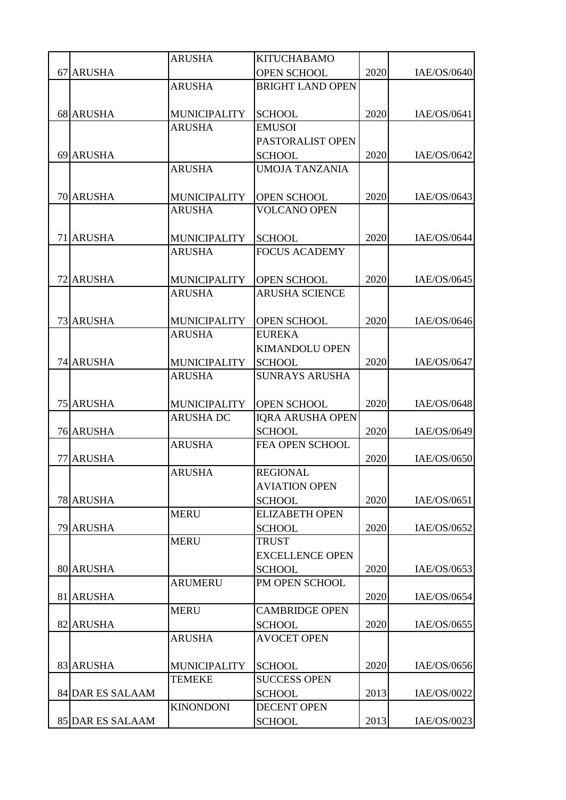|                  | <b>ARUSHA</b>       | <b>KITUCHABAMO</b>                  |      |             |
|------------------|---------------------|-------------------------------------|------|-------------|
| 67 ARUSHA        |                     | <b>OPEN SCHOOL</b>                  | 2020 | IAE/OS/0640 |
|                  | <b>ARUSHA</b>       | <b>BRIGHT LAND OPEN</b>             |      |             |
|                  |                     |                                     |      |             |
| 68 ARUSHA        | <b>MUNICIPALITY</b> | <b>SCHOOL</b>                       | 2020 | IAE/OS/0641 |
|                  | <b>ARUSHA</b>       | <b>EMUSOI</b>                       |      |             |
|                  |                     | PASTORALIST OPEN                    |      |             |
| 69 ARUSHA        |                     | <b>SCHOOL</b>                       | 2020 | IAE/OS/0642 |
|                  | <b>ARUSHA</b>       | <b>UMOJA TANZANIA</b>               |      |             |
|                  |                     |                                     |      |             |
| 70 ARUSHA        | <b>MUNICIPALITY</b> | <b>OPEN SCHOOL</b>                  | 2020 | IAE/OS/0643 |
|                  | <b>ARUSHA</b>       | <b>VOLCANO OPEN</b>                 |      |             |
|                  |                     |                                     |      |             |
| 71 ARUSHA        | <b>MUNICIPALITY</b> | <b>SCHOOL</b>                       | 2020 | IAE/OS/0644 |
|                  | <b>ARUSHA</b>       | <b>FOCUS ACADEMY</b>                |      |             |
|                  |                     |                                     |      |             |
| 72 ARUSHA        | <b>MUNICIPALITY</b> | <b>OPEN SCHOOL</b>                  | 2020 | IAE/OS/0645 |
|                  | <b>ARUSHA</b>       | <b>ARUSHA SCIENCE</b>               |      |             |
|                  |                     |                                     |      |             |
| <b>73 ARUSHA</b> | <b>MUNICIPALITY</b> | <b>OPEN SCHOOL</b>                  | 2020 | IAE/OS/0646 |
|                  | <b>ARUSHA</b>       | <b>EUREKA</b>                       |      |             |
|                  |                     | <b>KIMANDOLU OPEN</b>               |      |             |
| 74 ARUSHA        | <b>MUNICIPALITY</b> | <b>SCHOOL</b>                       | 2020 | IAE/OS/0647 |
|                  | <b>ARUSHA</b>       | <b>SUNRAYS ARUSHA</b>               |      |             |
|                  |                     |                                     |      |             |
| <b>75 ARUSHA</b> | <b>MUNICIPALITY</b> | <b>OPEN SCHOOL</b>                  | 2020 | IAE/OS/0648 |
|                  | <b>ARUSHA DC</b>    | <b>IQRA ARUSHA OPEN</b>             |      |             |
| <b>76 ARUSHA</b> |                     | <b>SCHOOL</b>                       | 2020 | IAE/OS/0649 |
|                  | <b>ARUSHA</b>       | FEA OPEN SCHOOL                     |      |             |
| 77 ARUSHA        |                     |                                     | 2020 | IAE/OS/0650 |
|                  | <b>ARUSHA</b>       | <b>REGIONAL</b>                     |      |             |
|                  |                     | <b>AVIATION OPEN</b>                |      |             |
| 78 ARUSHA        |                     | <b>SCHOOL</b>                       | 2020 | IAE/OS/0651 |
|                  | <b>MERU</b>         | <b>ELIZABETH OPEN</b>               |      |             |
| 79 ARUSHA        |                     | <b>SCHOOL</b>                       | 2020 | IAE/OS/0652 |
|                  | <b>MERU</b>         | <b>TRUST</b>                        |      |             |
|                  |                     | <b>EXCELLENCE OPEN</b>              |      |             |
| 80 ARUSHA        |                     | <b>SCHOOL</b>                       | 2020 | IAE/OS/0653 |
|                  | <b>ARUMERU</b>      | PM OPEN SCHOOL                      |      |             |
| 81 ARUSHA        |                     |                                     | 2020 | IAE/OS/0654 |
|                  | <b>MERU</b>         | <b>CAMBRIDGE OPEN</b>               |      |             |
| 82 ARUSHA        | <b>ARUSHA</b>       | <b>SCHOOL</b><br><b>AVOCET OPEN</b> | 2020 | IAE/OS/0655 |
|                  |                     |                                     |      |             |
| 83 ARUSHA        | <b>MUNICIPALITY</b> | <b>SCHOOL</b>                       | 2020 | IAE/OS/0656 |
|                  | <b>TEMEKE</b>       | <b>SUCCESS OPEN</b>                 |      |             |
| 84 DAR ES SALAAM |                     | <b>SCHOOL</b>                       | 2013 | IAE/OS/0022 |
|                  | <b>KINONDONI</b>    | <b>DECENT OPEN</b>                  |      |             |
| 85 DAR ES SALAAM |                     | <b>SCHOOL</b>                       | 2013 | IAE/OS/0023 |
|                  |                     |                                     |      |             |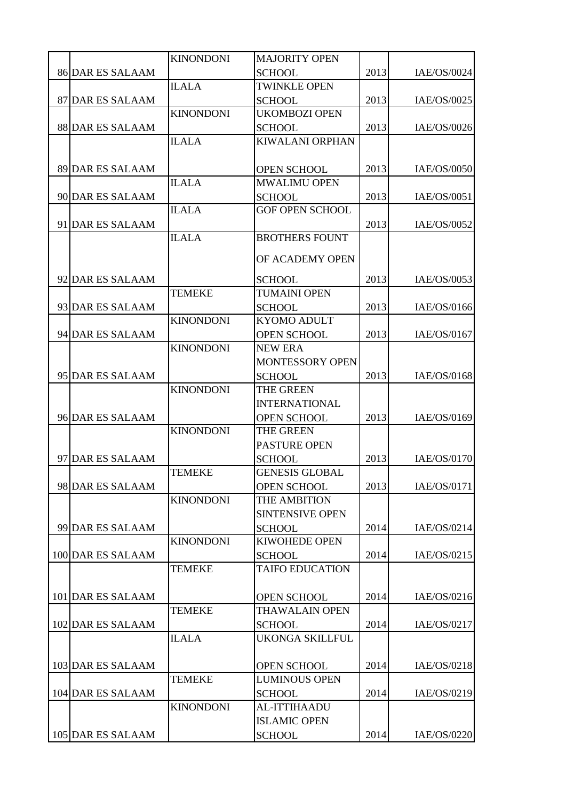|                         | <b>KINONDONI</b> | <b>MAJORITY OPEN</b>   |      |             |
|-------------------------|------------------|------------------------|------|-------------|
| <b>86 DAR ES SALAAM</b> |                  | <b>SCHOOL</b>          | 2013 | IAE/OS/0024 |
|                         | <b>ILALA</b>     | <b>TWINKLE OPEN</b>    |      |             |
| 87 DAR ES SALAAM        |                  | <b>SCHOOL</b>          | 2013 | IAE/OS/0025 |
|                         | <b>KINONDONI</b> | <b>UKOMBOZI OPEN</b>   |      |             |
| 88 DAR ES SALAAM        |                  | <b>SCHOOL</b>          | 2013 | IAE/OS/0026 |
|                         | <b>ILALA</b>     | <b>KIWALANI ORPHAN</b> |      |             |
|                         |                  |                        |      |             |
| 89 DAR ES SALAAM        |                  | OPEN SCHOOL            | 2013 | IAE/OS/0050 |
|                         | <b>ILALA</b>     | <b>MWALIMU OPEN</b>    |      |             |
| 90 DAR ES SALAAM        |                  | <b>SCHOOL</b>          | 2013 | IAE/OS/0051 |
|                         | <b>ILALA</b>     | <b>GOF OPEN SCHOOL</b> |      |             |
| 91 DAR ES SALAAM        |                  |                        | 2013 | IAE/OS/0052 |
|                         | <b>ILALA</b>     | <b>BROTHERS FOUNT</b>  |      |             |
|                         |                  |                        |      |             |
|                         |                  | OF ACADEMY OPEN        |      |             |
| 92 DAR ES SALAAM        |                  | <b>SCHOOL</b>          | 2013 | IAE/OS/0053 |
|                         | <b>TEMEKE</b>    | <b>TUMAINI OPEN</b>    |      |             |
| 93 DAR ES SALAAM        |                  | <b>SCHOOL</b>          | 2013 | IAE/OS/0166 |
|                         | <b>KINONDONI</b> | <b>KYOMO ADULT</b>     |      |             |
| 94 DAR ES SALAAM        |                  | <b>OPEN SCHOOL</b>     | 2013 | IAE/OS/0167 |
|                         | <b>KINONDONI</b> | <b>NEW ERA</b>         |      |             |
|                         |                  | MONTESSORY OPEN        |      |             |
| 95 DAR ES SALAAM        |                  | <b>SCHOOL</b>          | 2013 | IAE/OS/0168 |
|                         | <b>KINONDONI</b> | THE GREEN              |      |             |
|                         |                  | <b>INTERNATIONAL</b>   |      |             |
| 96 DAR ES SALAAM        |                  | <b>OPEN SCHOOL</b>     | 2013 | IAE/OS/0169 |
|                         | <b>KINONDONI</b> | THE GREEN              |      |             |
|                         |                  | PASTURE OPEN           |      |             |
| 97 DAR ES SALAAM        |                  | <b>SCHOOL</b>          | 2013 | IAE/OS/0170 |
|                         | <b>TEMEKE</b>    | <b>GENESIS GLOBAL</b>  |      |             |
| 98 DAR ES SALAAM        |                  | <b>OPEN SCHOOL</b>     | 2013 | IAE/OS/0171 |
|                         | <b>KINONDONI</b> | THE AMBITION           |      |             |
|                         |                  | <b>SINTENSIVE OPEN</b> |      |             |
| 99 DAR ES SALAAM        |                  | <b>SCHOOL</b>          | 2014 | IAE/OS/0214 |
|                         | <b>KINONDONI</b> | <b>KIWOHEDE OPEN</b>   |      |             |
| 100 DAR ES SALAAM       |                  | <b>SCHOOL</b>          | 2014 | IAE/OS/0215 |
|                         | <b>TEMEKE</b>    | <b>TAIFO EDUCATION</b> |      |             |
|                         |                  |                        |      |             |
| 101 DAR ES SALAAM       |                  | <b>OPEN SCHOOL</b>     | 2014 | IAE/OS/0216 |
|                         | <b>TEMEKE</b>    | <b>THAWALAIN OPEN</b>  |      |             |
| 102 DAR ES SALAAM       |                  | <b>SCHOOL</b>          | 2014 | IAE/OS/0217 |
|                         | <b>ILALA</b>     | <b>UKONGA SKILLFUL</b> |      |             |
|                         |                  |                        |      |             |
| 103 DAR ES SALAAM       |                  | <b>OPEN SCHOOL</b>     | 2014 | IAE/OS/0218 |
|                         | <b>TEMEKE</b>    | <b>LUMINOUS OPEN</b>   |      |             |
| 104 DAR ES SALAAM       |                  | <b>SCHOOL</b>          | 2014 | IAE/OS/0219 |
|                         | <b>KINONDONI</b> | <b>AL-ITTIHAADU</b>    |      |             |
|                         |                  | <b>ISLAMIC OPEN</b>    |      |             |
| 105 DAR ES SALAAM       |                  | <b>SCHOOL</b>          | 2014 | IAE/OS/0220 |
|                         |                  |                        |      |             |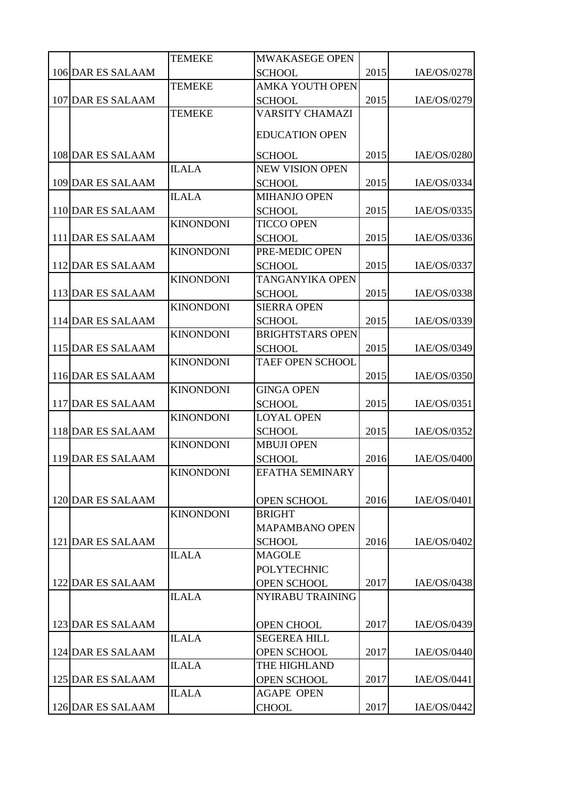| 2015<br>106 DAR ES SALAAM<br>IAE/OS/0278<br><b>SCHOOL</b><br><b>TEMEKE</b><br><b>AMKA YOUTH OPEN</b><br>107 DAR ES SALAAM<br>2015<br>IAE/OS/0279<br><b>SCHOOL</b><br><b>VARSITY CHAMAZI</b><br><b>TEMEKE</b><br><b>EDUCATION OPEN</b><br>108 DAR ES SALAAM<br>2015<br>IAE/OS/0280<br><b>SCHOOL</b><br><b>ILALA</b><br><b>NEW VISION OPEN</b><br>109 DAR ES SALAAM<br>2015<br>IAE/OS/0334<br><b>SCHOOL</b><br><b>ILALA</b><br><b>MIHANJO OPEN</b><br>2015<br>110 DAR ES SALAAM<br>IAE/OS/0335<br><b>SCHOOL</b><br><b>KINONDONI</b><br><b>TICCO OPEN</b><br>2015<br>111 DAR ES SALAAM<br>IAE/OS/0336<br><b>SCHOOL</b><br>PRE-MEDIC OPEN<br><b>KINONDONI</b><br>2015<br>112 DAR ES SALAAM<br>IAE/OS/0337<br><b>SCHOOL</b><br><b>KINONDONI</b><br><b>TANGANYIKA OPEN</b><br>113 DAR ES SALAAM<br>2015<br>IAE/OS/0338<br><b>SCHOOL</b><br><b>KINONDONI</b><br><b>SIERRA OPEN</b><br>114 DAR ES SALAAM<br>2015<br>IAE/OS/0339<br><b>SCHOOL</b><br><b>KINONDONI</b><br><b>BRIGHTSTARS OPEN</b><br>115 DAR ES SALAAM<br>2015<br>IAE/OS/0349<br><b>SCHOOL</b><br><b>KINONDONI</b><br><b>TAEF OPEN SCHOOL</b><br>2015<br>116 DAR ES SALAAM<br>IAE/OS/0350<br><b>KINONDONI</b><br><b>GINGA OPEN</b><br>2015<br>117 DAR ES SALAAM<br>IAE/OS/0351<br><b>SCHOOL</b><br><b>LOYAL OPEN</b><br><b>KINONDONI</b><br>2015<br>118 DAR ES SALAAM<br><b>SCHOOL</b><br>IAE/OS/0352<br><b>KINONDONI</b><br><b>MBUJI OPEN</b><br>119 DAR ES SALAAM<br>2016<br>IAE/OS/0400<br><b>SCHOOL</b><br><b>EFATHA SEMINARY</b><br><b>KINONDONI</b><br>120 DAR ES SALAAM<br>2016<br>IAE/OS/0401<br><b>OPEN SCHOOL</b><br><b>KINONDONI</b><br><b>BRIGHT</b><br><b>MAPAMBANO OPEN</b><br>121 DAR ES SALAAM<br>2016<br>IAE/OS/0402<br><b>SCHOOL</b><br><b>ILALA</b><br><b>MAGOLE</b><br><b>POLYTECHNIC</b><br>122 DAR ES SALAAM<br><b>OPEN SCHOOL</b><br>2017<br>IAE/OS/0438<br><b>ILALA</b><br>NYIRABU TRAINING<br>123 DAR ES SALAAM<br><b>OPEN CHOOL</b><br>2017<br>IAE/OS/0439<br><b>ILALA</b><br><b>SEGEREA HILL</b><br>124 DAR ES SALAAM<br>2017<br>IAE/OS/0440<br><b>OPEN SCHOOL</b><br><b>ILALA</b><br>THE HIGHLAND<br>125 DAR ES SALAAM<br><b>OPEN SCHOOL</b><br>2017<br>IAE/OS/0441<br><b>ILALA</b><br><b>AGAPE OPEN</b><br>126 DAR ES SALAAM<br>2017<br>IAE/OS/0442<br><b>CHOOL</b> |  | <b>TEMEKE</b> | MWAKASEGE OPEN |  |
|--------------------------------------------------------------------------------------------------------------------------------------------------------------------------------------------------------------------------------------------------------------------------------------------------------------------------------------------------------------------------------------------------------------------------------------------------------------------------------------------------------------------------------------------------------------------------------------------------------------------------------------------------------------------------------------------------------------------------------------------------------------------------------------------------------------------------------------------------------------------------------------------------------------------------------------------------------------------------------------------------------------------------------------------------------------------------------------------------------------------------------------------------------------------------------------------------------------------------------------------------------------------------------------------------------------------------------------------------------------------------------------------------------------------------------------------------------------------------------------------------------------------------------------------------------------------------------------------------------------------------------------------------------------------------------------------------------------------------------------------------------------------------------------------------------------------------------------------------------------------------------------------------------------------------------------------------------------------------------------------------------------------------------------------------------------------------------------------------------------------------------------------------------------------------------------------------------------------------------------------------------|--|---------------|----------------|--|
|                                                                                                                                                                                                                                                                                                                                                                                                                                                                                                                                                                                                                                                                                                                                                                                                                                                                                                                                                                                                                                                                                                                                                                                                                                                                                                                                                                                                                                                                                                                                                                                                                                                                                                                                                                                                                                                                                                                                                                                                                                                                                                                                                                                                                                                        |  |               |                |  |
|                                                                                                                                                                                                                                                                                                                                                                                                                                                                                                                                                                                                                                                                                                                                                                                                                                                                                                                                                                                                                                                                                                                                                                                                                                                                                                                                                                                                                                                                                                                                                                                                                                                                                                                                                                                                                                                                                                                                                                                                                                                                                                                                                                                                                                                        |  |               |                |  |
|                                                                                                                                                                                                                                                                                                                                                                                                                                                                                                                                                                                                                                                                                                                                                                                                                                                                                                                                                                                                                                                                                                                                                                                                                                                                                                                                                                                                                                                                                                                                                                                                                                                                                                                                                                                                                                                                                                                                                                                                                                                                                                                                                                                                                                                        |  |               |                |  |
|                                                                                                                                                                                                                                                                                                                                                                                                                                                                                                                                                                                                                                                                                                                                                                                                                                                                                                                                                                                                                                                                                                                                                                                                                                                                                                                                                                                                                                                                                                                                                                                                                                                                                                                                                                                                                                                                                                                                                                                                                                                                                                                                                                                                                                                        |  |               |                |  |
|                                                                                                                                                                                                                                                                                                                                                                                                                                                                                                                                                                                                                                                                                                                                                                                                                                                                                                                                                                                                                                                                                                                                                                                                                                                                                                                                                                                                                                                                                                                                                                                                                                                                                                                                                                                                                                                                                                                                                                                                                                                                                                                                                                                                                                                        |  |               |                |  |
|                                                                                                                                                                                                                                                                                                                                                                                                                                                                                                                                                                                                                                                                                                                                                                                                                                                                                                                                                                                                                                                                                                                                                                                                                                                                                                                                                                                                                                                                                                                                                                                                                                                                                                                                                                                                                                                                                                                                                                                                                                                                                                                                                                                                                                                        |  |               |                |  |
|                                                                                                                                                                                                                                                                                                                                                                                                                                                                                                                                                                                                                                                                                                                                                                                                                                                                                                                                                                                                                                                                                                                                                                                                                                                                                                                                                                                                                                                                                                                                                                                                                                                                                                                                                                                                                                                                                                                                                                                                                                                                                                                                                                                                                                                        |  |               |                |  |
|                                                                                                                                                                                                                                                                                                                                                                                                                                                                                                                                                                                                                                                                                                                                                                                                                                                                                                                                                                                                                                                                                                                                                                                                                                                                                                                                                                                                                                                                                                                                                                                                                                                                                                                                                                                                                                                                                                                                                                                                                                                                                                                                                                                                                                                        |  |               |                |  |
|                                                                                                                                                                                                                                                                                                                                                                                                                                                                                                                                                                                                                                                                                                                                                                                                                                                                                                                                                                                                                                                                                                                                                                                                                                                                                                                                                                                                                                                                                                                                                                                                                                                                                                                                                                                                                                                                                                                                                                                                                                                                                                                                                                                                                                                        |  |               |                |  |
|                                                                                                                                                                                                                                                                                                                                                                                                                                                                                                                                                                                                                                                                                                                                                                                                                                                                                                                                                                                                                                                                                                                                                                                                                                                                                                                                                                                                                                                                                                                                                                                                                                                                                                                                                                                                                                                                                                                                                                                                                                                                                                                                                                                                                                                        |  |               |                |  |
|                                                                                                                                                                                                                                                                                                                                                                                                                                                                                                                                                                                                                                                                                                                                                                                                                                                                                                                                                                                                                                                                                                                                                                                                                                                                                                                                                                                                                                                                                                                                                                                                                                                                                                                                                                                                                                                                                                                                                                                                                                                                                                                                                                                                                                                        |  |               |                |  |
|                                                                                                                                                                                                                                                                                                                                                                                                                                                                                                                                                                                                                                                                                                                                                                                                                                                                                                                                                                                                                                                                                                                                                                                                                                                                                                                                                                                                                                                                                                                                                                                                                                                                                                                                                                                                                                                                                                                                                                                                                                                                                                                                                                                                                                                        |  |               |                |  |
|                                                                                                                                                                                                                                                                                                                                                                                                                                                                                                                                                                                                                                                                                                                                                                                                                                                                                                                                                                                                                                                                                                                                                                                                                                                                                                                                                                                                                                                                                                                                                                                                                                                                                                                                                                                                                                                                                                                                                                                                                                                                                                                                                                                                                                                        |  |               |                |  |
|                                                                                                                                                                                                                                                                                                                                                                                                                                                                                                                                                                                                                                                                                                                                                                                                                                                                                                                                                                                                                                                                                                                                                                                                                                                                                                                                                                                                                                                                                                                                                                                                                                                                                                                                                                                                                                                                                                                                                                                                                                                                                                                                                                                                                                                        |  |               |                |  |
|                                                                                                                                                                                                                                                                                                                                                                                                                                                                                                                                                                                                                                                                                                                                                                                                                                                                                                                                                                                                                                                                                                                                                                                                                                                                                                                                                                                                                                                                                                                                                                                                                                                                                                                                                                                                                                                                                                                                                                                                                                                                                                                                                                                                                                                        |  |               |                |  |
|                                                                                                                                                                                                                                                                                                                                                                                                                                                                                                                                                                                                                                                                                                                                                                                                                                                                                                                                                                                                                                                                                                                                                                                                                                                                                                                                                                                                                                                                                                                                                                                                                                                                                                                                                                                                                                                                                                                                                                                                                                                                                                                                                                                                                                                        |  |               |                |  |
|                                                                                                                                                                                                                                                                                                                                                                                                                                                                                                                                                                                                                                                                                                                                                                                                                                                                                                                                                                                                                                                                                                                                                                                                                                                                                                                                                                                                                                                                                                                                                                                                                                                                                                                                                                                                                                                                                                                                                                                                                                                                                                                                                                                                                                                        |  |               |                |  |
|                                                                                                                                                                                                                                                                                                                                                                                                                                                                                                                                                                                                                                                                                                                                                                                                                                                                                                                                                                                                                                                                                                                                                                                                                                                                                                                                                                                                                                                                                                                                                                                                                                                                                                                                                                                                                                                                                                                                                                                                                                                                                                                                                                                                                                                        |  |               |                |  |
|                                                                                                                                                                                                                                                                                                                                                                                                                                                                                                                                                                                                                                                                                                                                                                                                                                                                                                                                                                                                                                                                                                                                                                                                                                                                                                                                                                                                                                                                                                                                                                                                                                                                                                                                                                                                                                                                                                                                                                                                                                                                                                                                                                                                                                                        |  |               |                |  |
|                                                                                                                                                                                                                                                                                                                                                                                                                                                                                                                                                                                                                                                                                                                                                                                                                                                                                                                                                                                                                                                                                                                                                                                                                                                                                                                                                                                                                                                                                                                                                                                                                                                                                                                                                                                                                                                                                                                                                                                                                                                                                                                                                                                                                                                        |  |               |                |  |
|                                                                                                                                                                                                                                                                                                                                                                                                                                                                                                                                                                                                                                                                                                                                                                                                                                                                                                                                                                                                                                                                                                                                                                                                                                                                                                                                                                                                                                                                                                                                                                                                                                                                                                                                                                                                                                                                                                                                                                                                                                                                                                                                                                                                                                                        |  |               |                |  |
|                                                                                                                                                                                                                                                                                                                                                                                                                                                                                                                                                                                                                                                                                                                                                                                                                                                                                                                                                                                                                                                                                                                                                                                                                                                                                                                                                                                                                                                                                                                                                                                                                                                                                                                                                                                                                                                                                                                                                                                                                                                                                                                                                                                                                                                        |  |               |                |  |
|                                                                                                                                                                                                                                                                                                                                                                                                                                                                                                                                                                                                                                                                                                                                                                                                                                                                                                                                                                                                                                                                                                                                                                                                                                                                                                                                                                                                                                                                                                                                                                                                                                                                                                                                                                                                                                                                                                                                                                                                                                                                                                                                                                                                                                                        |  |               |                |  |
|                                                                                                                                                                                                                                                                                                                                                                                                                                                                                                                                                                                                                                                                                                                                                                                                                                                                                                                                                                                                                                                                                                                                                                                                                                                                                                                                                                                                                                                                                                                                                                                                                                                                                                                                                                                                                                                                                                                                                                                                                                                                                                                                                                                                                                                        |  |               |                |  |
|                                                                                                                                                                                                                                                                                                                                                                                                                                                                                                                                                                                                                                                                                                                                                                                                                                                                                                                                                                                                                                                                                                                                                                                                                                                                                                                                                                                                                                                                                                                                                                                                                                                                                                                                                                                                                                                                                                                                                                                                                                                                                                                                                                                                                                                        |  |               |                |  |
|                                                                                                                                                                                                                                                                                                                                                                                                                                                                                                                                                                                                                                                                                                                                                                                                                                                                                                                                                                                                                                                                                                                                                                                                                                                                                                                                                                                                                                                                                                                                                                                                                                                                                                                                                                                                                                                                                                                                                                                                                                                                                                                                                                                                                                                        |  |               |                |  |
|                                                                                                                                                                                                                                                                                                                                                                                                                                                                                                                                                                                                                                                                                                                                                                                                                                                                                                                                                                                                                                                                                                                                                                                                                                                                                                                                                                                                                                                                                                                                                                                                                                                                                                                                                                                                                                                                                                                                                                                                                                                                                                                                                                                                                                                        |  |               |                |  |
|                                                                                                                                                                                                                                                                                                                                                                                                                                                                                                                                                                                                                                                                                                                                                                                                                                                                                                                                                                                                                                                                                                                                                                                                                                                                                                                                                                                                                                                                                                                                                                                                                                                                                                                                                                                                                                                                                                                                                                                                                                                                                                                                                                                                                                                        |  |               |                |  |
|                                                                                                                                                                                                                                                                                                                                                                                                                                                                                                                                                                                                                                                                                                                                                                                                                                                                                                                                                                                                                                                                                                                                                                                                                                                                                                                                                                                                                                                                                                                                                                                                                                                                                                                                                                                                                                                                                                                                                                                                                                                                                                                                                                                                                                                        |  |               |                |  |
|                                                                                                                                                                                                                                                                                                                                                                                                                                                                                                                                                                                                                                                                                                                                                                                                                                                                                                                                                                                                                                                                                                                                                                                                                                                                                                                                                                                                                                                                                                                                                                                                                                                                                                                                                                                                                                                                                                                                                                                                                                                                                                                                                                                                                                                        |  |               |                |  |
|                                                                                                                                                                                                                                                                                                                                                                                                                                                                                                                                                                                                                                                                                                                                                                                                                                                                                                                                                                                                                                                                                                                                                                                                                                                                                                                                                                                                                                                                                                                                                                                                                                                                                                                                                                                                                                                                                                                                                                                                                                                                                                                                                                                                                                                        |  |               |                |  |
|                                                                                                                                                                                                                                                                                                                                                                                                                                                                                                                                                                                                                                                                                                                                                                                                                                                                                                                                                                                                                                                                                                                                                                                                                                                                                                                                                                                                                                                                                                                                                                                                                                                                                                                                                                                                                                                                                                                                                                                                                                                                                                                                                                                                                                                        |  |               |                |  |
|                                                                                                                                                                                                                                                                                                                                                                                                                                                                                                                                                                                                                                                                                                                                                                                                                                                                                                                                                                                                                                                                                                                                                                                                                                                                                                                                                                                                                                                                                                                                                                                                                                                                                                                                                                                                                                                                                                                                                                                                                                                                                                                                                                                                                                                        |  |               |                |  |
|                                                                                                                                                                                                                                                                                                                                                                                                                                                                                                                                                                                                                                                                                                                                                                                                                                                                                                                                                                                                                                                                                                                                                                                                                                                                                                                                                                                                                                                                                                                                                                                                                                                                                                                                                                                                                                                                                                                                                                                                                                                                                                                                                                                                                                                        |  |               |                |  |
|                                                                                                                                                                                                                                                                                                                                                                                                                                                                                                                                                                                                                                                                                                                                                                                                                                                                                                                                                                                                                                                                                                                                                                                                                                                                                                                                                                                                                                                                                                                                                                                                                                                                                                                                                                                                                                                                                                                                                                                                                                                                                                                                                                                                                                                        |  |               |                |  |
|                                                                                                                                                                                                                                                                                                                                                                                                                                                                                                                                                                                                                                                                                                                                                                                                                                                                                                                                                                                                                                                                                                                                                                                                                                                                                                                                                                                                                                                                                                                                                                                                                                                                                                                                                                                                                                                                                                                                                                                                                                                                                                                                                                                                                                                        |  |               |                |  |
|                                                                                                                                                                                                                                                                                                                                                                                                                                                                                                                                                                                                                                                                                                                                                                                                                                                                                                                                                                                                                                                                                                                                                                                                                                                                                                                                                                                                                                                                                                                                                                                                                                                                                                                                                                                                                                                                                                                                                                                                                                                                                                                                                                                                                                                        |  |               |                |  |
|                                                                                                                                                                                                                                                                                                                                                                                                                                                                                                                                                                                                                                                                                                                                                                                                                                                                                                                                                                                                                                                                                                                                                                                                                                                                                                                                                                                                                                                                                                                                                                                                                                                                                                                                                                                                                                                                                                                                                                                                                                                                                                                                                                                                                                                        |  |               |                |  |
|                                                                                                                                                                                                                                                                                                                                                                                                                                                                                                                                                                                                                                                                                                                                                                                                                                                                                                                                                                                                                                                                                                                                                                                                                                                                                                                                                                                                                                                                                                                                                                                                                                                                                                                                                                                                                                                                                                                                                                                                                                                                                                                                                                                                                                                        |  |               |                |  |
|                                                                                                                                                                                                                                                                                                                                                                                                                                                                                                                                                                                                                                                                                                                                                                                                                                                                                                                                                                                                                                                                                                                                                                                                                                                                                                                                                                                                                                                                                                                                                                                                                                                                                                                                                                                                                                                                                                                                                                                                                                                                                                                                                                                                                                                        |  |               |                |  |
|                                                                                                                                                                                                                                                                                                                                                                                                                                                                                                                                                                                                                                                                                                                                                                                                                                                                                                                                                                                                                                                                                                                                                                                                                                                                                                                                                                                                                                                                                                                                                                                                                                                                                                                                                                                                                                                                                                                                                                                                                                                                                                                                                                                                                                                        |  |               |                |  |
|                                                                                                                                                                                                                                                                                                                                                                                                                                                                                                                                                                                                                                                                                                                                                                                                                                                                                                                                                                                                                                                                                                                                                                                                                                                                                                                                                                                                                                                                                                                                                                                                                                                                                                                                                                                                                                                                                                                                                                                                                                                                                                                                                                                                                                                        |  |               |                |  |
|                                                                                                                                                                                                                                                                                                                                                                                                                                                                                                                                                                                                                                                                                                                                                                                                                                                                                                                                                                                                                                                                                                                                                                                                                                                                                                                                                                                                                                                                                                                                                                                                                                                                                                                                                                                                                                                                                                                                                                                                                                                                                                                                                                                                                                                        |  |               |                |  |
|                                                                                                                                                                                                                                                                                                                                                                                                                                                                                                                                                                                                                                                                                                                                                                                                                                                                                                                                                                                                                                                                                                                                                                                                                                                                                                                                                                                                                                                                                                                                                                                                                                                                                                                                                                                                                                                                                                                                                                                                                                                                                                                                                                                                                                                        |  |               |                |  |
|                                                                                                                                                                                                                                                                                                                                                                                                                                                                                                                                                                                                                                                                                                                                                                                                                                                                                                                                                                                                                                                                                                                                                                                                                                                                                                                                                                                                                                                                                                                                                                                                                                                                                                                                                                                                                                                                                                                                                                                                                                                                                                                                                                                                                                                        |  |               |                |  |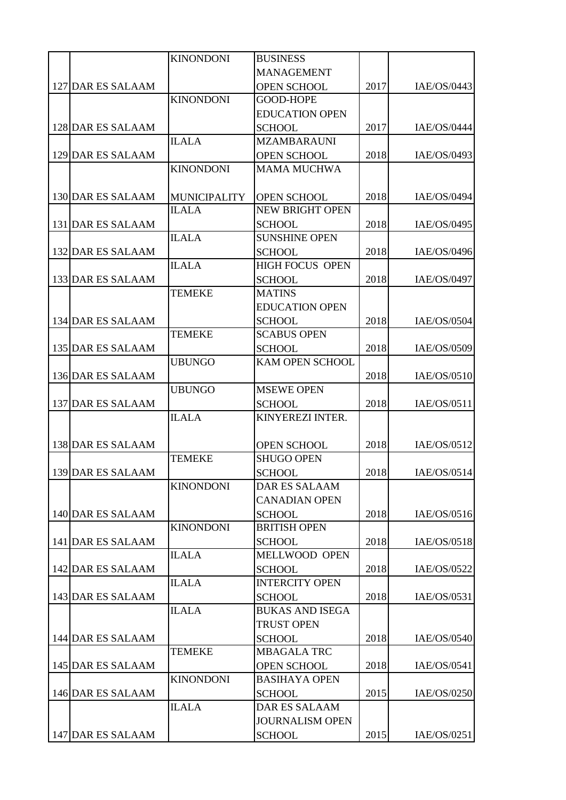|                   | <b>KINONDONI</b>    | <b>BUSINESS</b>        |      |             |
|-------------------|---------------------|------------------------|------|-------------|
|                   |                     | <b>MANAGEMENT</b>      |      |             |
| 127 DAR ES SALAAM |                     | <b>OPEN SCHOOL</b>     | 2017 | IAE/OS/0443 |
|                   | <b>KINONDONI</b>    | <b>GOOD-HOPE</b>       |      |             |
|                   |                     | <b>EDUCATION OPEN</b>  |      |             |
| 128 DAR ES SALAAM |                     | <b>SCHOOL</b>          | 2017 | IAE/OS/0444 |
|                   | <b>ILALA</b>        | <b>MZAMBARAUNI</b>     |      |             |
| 129 DAR ES SALAAM |                     | <b>OPEN SCHOOL</b>     | 2018 | IAE/OS/0493 |
|                   | <b>KINONDONI</b>    | <b>MAMA MUCHWA</b>     |      |             |
|                   |                     |                        |      |             |
| 130 DAR ES SALAAM | <b>MUNICIPALITY</b> | <b>OPEN SCHOOL</b>     | 2018 | IAE/OS/0494 |
|                   | <b>ILALA</b>        | <b>NEW BRIGHT OPEN</b> |      |             |
| 131 DAR ES SALAAM |                     | <b>SCHOOL</b>          | 2018 | IAE/OS/0495 |
|                   | <b>ILALA</b>        | <b>SUNSHINE OPEN</b>   |      |             |
| 132 DAR ES SALAAM |                     | <b>SCHOOL</b>          | 2018 | IAE/OS/0496 |
|                   | <b>ILALA</b>        | <b>HIGH FOCUS OPEN</b> |      |             |
| 133 DAR ES SALAAM |                     | <b>SCHOOL</b>          | 2018 | IAE/OS/0497 |
|                   | <b>TEMEKE</b>       | <b>MATINS</b>          |      |             |
|                   |                     | <b>EDUCATION OPEN</b>  |      |             |
| 134 DAR ES SALAAM |                     | <b>SCHOOL</b>          | 2018 | IAE/OS/0504 |
|                   | <b>TEMEKE</b>       | <b>SCABUS OPEN</b>     |      |             |
| 135 DAR ES SALAAM |                     | <b>SCHOOL</b>          | 2018 | IAE/OS/0509 |
|                   | <b>UBUNGO</b>       | KAM OPEN SCHOOL        |      |             |
| 136 DAR ES SALAAM |                     |                        | 2018 | IAE/OS/0510 |
|                   | <b>UBUNGO</b>       | <b>MSEWE OPEN</b>      |      |             |
| 137 DAR ES SALAAM |                     | <b>SCHOOL</b>          | 2018 | IAE/OS/0511 |
|                   | <b>ILALA</b>        | KINYEREZI INTER.       |      |             |
|                   |                     |                        |      |             |
| 138 DAR ES SALAAM |                     | <b>OPEN SCHOOL</b>     | 2018 | IAE/OS/0512 |
|                   | <b>TEMEKE</b>       | <b>SHUGO OPEN</b>      |      |             |
| 139 DAR ES SALAAM |                     | <b>SCHOOL</b>          | 2018 | IAE/OS/0514 |
|                   | <b>KINONDONI</b>    | <b>DAR ES SALAAM</b>   |      |             |
|                   |                     | <b>CANADIAN OPEN</b>   |      |             |
| 140 DAR ES SALAAM |                     | <b>SCHOOL</b>          | 2018 | IAE/OS/0516 |
|                   | <b>KINONDONI</b>    | <b>BRITISH OPEN</b>    |      |             |
| 141 DAR ES SALAAM |                     | <b>SCHOOL</b>          | 2018 | IAE/OS/0518 |
|                   | <b>ILALA</b>        | MELLWOOD OPEN          |      |             |
| 142 DAR ES SALAAM |                     | <b>SCHOOL</b>          | 2018 | IAE/OS/0522 |
|                   | <b>ILALA</b>        | <b>INTERCITY OPEN</b>  |      |             |
| 143 DAR ES SALAAM |                     | <b>SCHOOL</b>          | 2018 | IAE/OS/0531 |
|                   | <b>ILALA</b>        | <b>BUKAS AND ISEGA</b> |      |             |
|                   |                     | <b>TRUST OPEN</b>      |      |             |
| 144 DAR ES SALAAM |                     | <b>SCHOOL</b>          | 2018 | IAE/OS/0540 |
|                   | <b>TEMEKE</b>       | <b>MBAGALA TRC</b>     |      |             |
| 145 DAR ES SALAAM |                     | <b>OPEN SCHOOL</b>     | 2018 | IAE/OS/0541 |
|                   | <b>KINONDONI</b>    | <b>BASIHAYA OPEN</b>   |      |             |
| 146 DAR ES SALAAM |                     | <b>SCHOOL</b>          | 2015 | IAE/OS/0250 |
|                   | <b>ILALA</b>        | <b>DAR ES SALAAM</b>   |      |             |
|                   |                     | <b>JOURNALISM OPEN</b> |      |             |
| 147 DAR ES SALAAM |                     | <b>SCHOOL</b>          | 2015 | IAE/OS/0251 |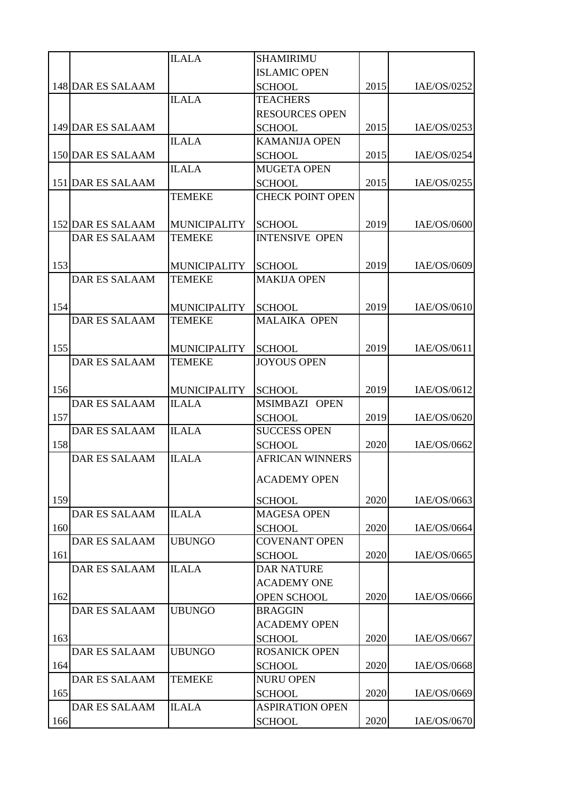|     |                      | <b>ILALA</b>        | <b>SHAMIRIMU</b>        |      |             |
|-----|----------------------|---------------------|-------------------------|------|-------------|
|     |                      |                     | <b>ISLAMIC OPEN</b>     |      |             |
|     | 148 DAR ES SALAAM    |                     | <b>SCHOOL</b>           | 2015 | IAE/OS/0252 |
|     |                      | <b>ILALA</b>        | <b>TEACHERS</b>         |      |             |
|     |                      |                     | <b>RESOURCES OPEN</b>   |      |             |
|     | 149 DAR ES SALAAM    |                     | <b>SCHOOL</b>           | 2015 | IAE/OS/0253 |
|     |                      | <b>ILALA</b>        | <b>KAMANIJA OPEN</b>    |      |             |
|     | 150 DAR ES SALAAM    |                     | <b>SCHOOL</b>           | 2015 | IAE/OS/0254 |
|     |                      | <b>ILALA</b>        | <b>MUGETA OPEN</b>      |      |             |
|     | 151 DAR ES SALAAM    |                     | <b>SCHOOL</b>           | 2015 | IAE/OS/0255 |
|     |                      | <b>TEMEKE</b>       | <b>CHECK POINT OPEN</b> |      |             |
|     |                      |                     |                         |      |             |
|     | 152 DAR ES SALAAM    | <b>MUNICIPALITY</b> | <b>SCHOOL</b>           | 2019 | IAE/OS/0600 |
|     | <b>DAR ES SALAAM</b> | <b>TEMEKE</b>       | <b>INTENSIVE OPEN</b>   |      |             |
|     |                      |                     |                         |      |             |
| 153 |                      | <b>MUNICIPALITY</b> | <b>SCHOOL</b>           | 2019 | IAE/OS/0609 |
|     | <b>DAR ES SALAAM</b> | <b>TEMEKE</b>       | <b>MAKIJA OPEN</b>      |      |             |
|     |                      |                     |                         |      |             |
| 154 |                      | <b>MUNICIPALITY</b> | <b>SCHOOL</b>           | 2019 | IAE/OS/0610 |
|     | <b>DAR ES SALAAM</b> | <b>TEMEKE</b>       | <b>MALAIKA OPEN</b>     |      |             |
|     |                      |                     |                         |      |             |
| 155 |                      | <b>MUNICIPALITY</b> | <b>SCHOOL</b>           | 2019 | IAE/OS/0611 |
|     | <b>DAR ES SALAAM</b> | <b>TEMEKE</b>       | <b>JOYOUS OPEN</b>      |      |             |
|     |                      |                     |                         |      |             |
| 156 |                      | <b>MUNICIPALITY</b> | <b>SCHOOL</b>           | 2019 | IAE/OS/0612 |
|     | <b>DAR ES SALAAM</b> | <b>ILALA</b>        | MSIMBAZI OPEN           |      |             |
| 157 |                      |                     | <b>SCHOOL</b>           | 2019 | IAE/OS/0620 |
|     | <b>DAR ES SALAAM</b> | <b>ILALA</b>        | <b>SUCCESS OPEN</b>     |      |             |
| 158 |                      |                     | <b>SCHOOL</b>           | 2020 | IAE/OS/0662 |
|     | <b>DAR ES SALAAM</b> | <b>ILALA</b>        | <b>AFRICAN WINNERS</b>  |      |             |
|     |                      |                     |                         |      |             |
|     |                      |                     | <b>ACADEMY OPEN</b>     |      |             |
| 159 |                      |                     | <b>SCHOOL</b>           | 2020 | IAE/OS/0663 |
|     | <b>DAR ES SALAAM</b> | <b>ILALA</b>        | <b>MAGESA OPEN</b>      |      |             |
| 160 |                      |                     | <b>SCHOOL</b>           | 2020 | IAE/OS/0664 |
|     | <b>DAR ES SALAAM</b> | <b>UBUNGO</b>       | <b>COVENANT OPEN</b>    |      |             |
| 161 |                      |                     | <b>SCHOOL</b>           | 2020 | IAE/OS/0665 |
|     | <b>DAR ES SALAAM</b> | <b>ILALA</b>        | <b>DAR NATURE</b>       |      |             |
|     |                      |                     | <b>ACADEMY ONE</b>      |      |             |
| 162 |                      |                     | OPEN SCHOOL             | 2020 | IAE/OS/0666 |
|     | <b>DAR ES SALAAM</b> | <b>UBUNGO</b>       | <b>BRAGGIN</b>          |      |             |
|     |                      |                     | <b>ACADEMY OPEN</b>     |      |             |
| 163 |                      |                     | <b>SCHOOL</b>           | 2020 | IAE/OS/0667 |
|     | <b>DAR ES SALAAM</b> | <b>UBUNGO</b>       | <b>ROSANICK OPEN</b>    |      |             |
| 164 |                      |                     | <b>SCHOOL</b>           | 2020 | IAE/OS/0668 |
|     | <b>DAR ES SALAAM</b> | <b>TEMEKE</b>       | <b>NURU OPEN</b>        |      |             |
| 165 |                      |                     | <b>SCHOOL</b>           | 2020 | IAE/OS/0669 |
|     | <b>DAR ES SALAAM</b> | <b>ILALA</b>        | <b>ASPIRATION OPEN</b>  |      |             |
| 166 |                      |                     | <b>SCHOOL</b>           | 2020 | IAE/OS/0670 |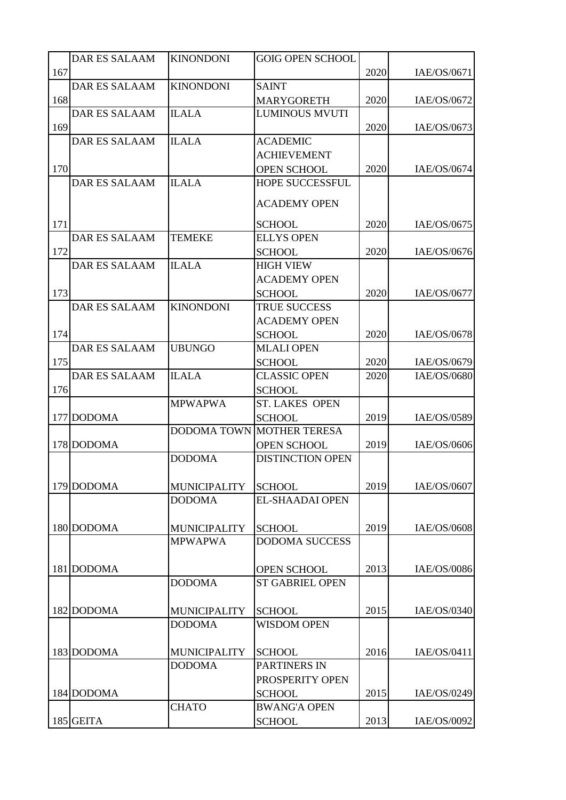|     | <b>DAR ES SALAAM</b> | <b>KINONDONI</b>                     | <b>GOIG OPEN SCHOOL</b> |      |             |
|-----|----------------------|--------------------------------------|-------------------------|------|-------------|
| 167 |                      |                                      |                         | 2020 | IAE/OS/0671 |
|     | <b>DAR ES SALAAM</b> | <b>KINONDONI</b>                     | <b>SAINT</b>            |      |             |
| 168 |                      |                                      | <b>MARYGORETH</b>       | 2020 | IAE/OS/0672 |
|     | <b>DAR ES SALAAM</b> | <b>ILALA</b>                         | <b>LUMINOUS MVUTI</b>   |      |             |
| 169 |                      |                                      |                         | 2020 | IAE/OS/0673 |
|     | <b>DAR ES SALAAM</b> | <b>ILALA</b>                         | <b>ACADEMIC</b>         |      |             |
|     |                      |                                      | <b>ACHIEVEMENT</b>      |      |             |
| 170 |                      |                                      | <b>OPEN SCHOOL</b>      | 2020 | IAE/OS/0674 |
|     | <b>DAR ES SALAAM</b> | <b>ILALA</b>                         | <b>HOPE SUCCESSFUL</b>  |      |             |
|     |                      |                                      | <b>ACADEMY OPEN</b>     |      |             |
|     |                      |                                      |                         |      |             |
| 171 |                      |                                      | <b>SCHOOL</b>           | 2020 | IAE/OS/0675 |
|     | <b>DAR ES SALAAM</b> | <b>TEMEKE</b>                        | <b>ELLYS OPEN</b>       |      |             |
| 172 |                      |                                      | <b>SCHOOL</b>           | 2020 | IAE/OS/0676 |
|     | <b>DAR ES SALAAM</b> | <b>ILALA</b>                         | <b>HIGH VIEW</b>        |      |             |
|     |                      |                                      | <b>ACADEMY OPEN</b>     |      |             |
| 173 |                      |                                      | <b>SCHOOL</b>           | 2020 | IAE/OS/0677 |
|     | <b>DAR ES SALAAM</b> | <b>KINONDONI</b>                     | <b>TRUE SUCCESS</b>     |      |             |
|     |                      |                                      | <b>ACADEMY OPEN</b>     |      |             |
| 174 |                      |                                      | <b>SCHOOL</b>           | 2020 | IAE/OS/0678 |
|     | <b>DAR ES SALAAM</b> | <b>UBUNGO</b>                        | <b>MLALI OPEN</b>       |      |             |
| 175 |                      |                                      | <b>SCHOOL</b>           | 2020 | IAE/OS/0679 |
|     | <b>DAR ES SALAAM</b> | <b>ILALA</b>                         | <b>CLASSIC OPEN</b>     | 2020 | IAE/OS/0680 |
| 176 |                      |                                      | <b>SCHOOL</b>           |      |             |
|     |                      | <b>MPWAPWA</b>                       | <b>ST. LAKES OPEN</b>   |      |             |
|     | 177 DODOMA           |                                      | <b>SCHOOL</b>           | 2019 | IAE/OS/0589 |
|     |                      | <b>DODOMA TOWN</b>                   | <b>MOTHER TERESA</b>    |      |             |
|     | 178 DODOMA           |                                      | <b>OPEN SCHOOL</b>      | 2019 | IAE/OS/0606 |
|     |                      | <b>DODOMA</b>                        | <b>DISTINCTION OPEN</b> |      |             |
|     |                      |                                      |                         |      |             |
|     | 179 DODOMA           | <b>MUNICIPALITY</b>                  | <b>SCHOOL</b>           | 2019 | IAE/OS/0607 |
|     |                      | <b>DODOMA</b>                        | <b>EL-SHAADAI OPEN</b>  |      |             |
|     |                      |                                      |                         |      |             |
|     | 180 DODOMA           | <b>MUNICIPALITY</b>                  | <b>SCHOOL</b>           | 2019 | IAE/OS/0608 |
|     |                      | <b>MPWAPWA</b>                       | <b>DODOMA SUCCESS</b>   |      |             |
|     |                      |                                      |                         |      |             |
|     | 181 DODOMA           |                                      | <b>OPEN SCHOOL</b>      | 2013 | IAE/OS/0086 |
|     |                      | <b>DODOMA</b>                        | <b>ST GABRIEL OPEN</b>  |      |             |
|     | 182 DODOMA           | <b>MUNICIPALITY</b>                  | <b>SCHOOL</b>           | 2015 | IAE/OS/0340 |
|     |                      | <b>DODOMA</b>                        | <b>WISDOM OPEN</b>      |      |             |
|     |                      |                                      |                         |      |             |
|     | 183 DODOMA           |                                      | <b>SCHOOL</b>           | 2016 | IAE/OS/0411 |
|     |                      | <b>MUNICIPALITY</b><br><b>DODOMA</b> | PARTINERS IN            |      |             |
|     |                      |                                      | PROSPERITY OPEN         |      |             |
|     | 184 DODOMA           |                                      | <b>SCHOOL</b>           | 2015 | IAE/OS/0249 |
|     |                      | <b>CHATO</b>                         | <b>BWANG'A OPEN</b>     |      |             |
|     | 185 GEITA            |                                      | <b>SCHOOL</b>           | 2013 | IAE/OS/0092 |
|     |                      |                                      |                         |      |             |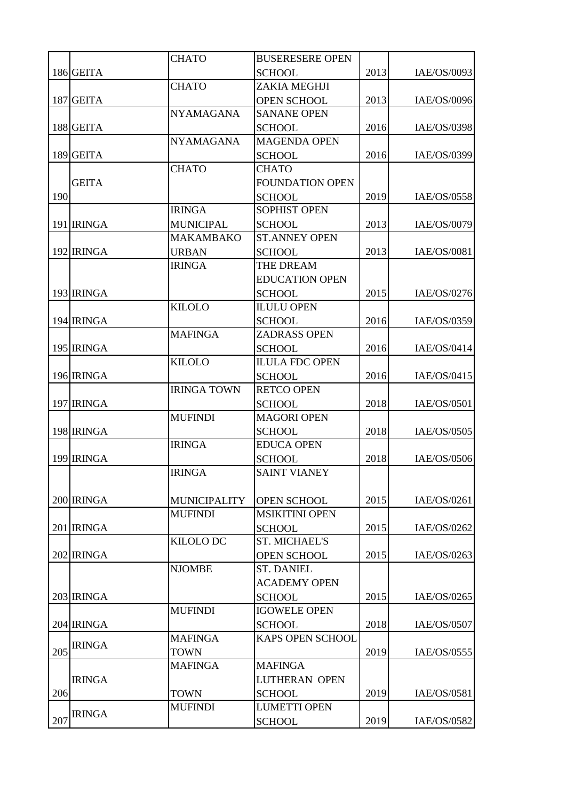|     |               | <b>CHATO</b>                          | <b>BUSERESERE OPEN</b>                |      |             |
|-----|---------------|---------------------------------------|---------------------------------------|------|-------------|
|     | 186 GEITA     |                                       | <b>SCHOOL</b>                         | 2013 | IAE/OS/0093 |
|     |               | <b>CHATO</b>                          | ZAKIA MEGHJI                          |      |             |
|     | 187 GEITA     |                                       | <b>OPEN SCHOOL</b>                    | 2013 | IAE/OS/0096 |
|     |               | <b>NYAMAGANA</b>                      | <b>SANANE OPEN</b>                    |      |             |
|     | 188 GEITA     |                                       | <b>SCHOOL</b>                         | 2016 | IAE/OS/0398 |
|     |               | <b>NYAMAGANA</b>                      | <b>MAGENDA OPEN</b>                   |      |             |
|     | 189 GEITA     |                                       | <b>SCHOOL</b>                         | 2016 | IAE/OS/0399 |
|     |               | <b>CHATO</b>                          | <b>CHATO</b>                          |      |             |
|     | <b>GEITA</b>  |                                       | <b>FOUNDATION OPEN</b>                |      |             |
| 190 |               |                                       | <b>SCHOOL</b>                         | 2019 | IAE/OS/0558 |
|     |               | <b>IRINGA</b>                         | <b>SOPHIST OPEN</b>                   |      |             |
|     | 191 IRINGA    | <b>MUNICIPAL</b>                      | <b>SCHOOL</b>                         | 2013 | IAE/OS/0079 |
|     |               | <b>MAKAMBAKO</b>                      | <b>ST.ANNEY OPEN</b>                  |      |             |
|     | 192 IRINGA    | <b>URBAN</b>                          | <b>SCHOOL</b>                         | 2013 | IAE/OS/0081 |
|     |               | <b>IRINGA</b>                         | THE DREAM                             |      |             |
|     |               |                                       | <b>EDUCATION OPEN</b>                 |      |             |
|     | 193 IRINGA    |                                       | <b>SCHOOL</b>                         | 2015 | IAE/OS/0276 |
|     |               | <b>KILOLO</b>                         | <b>ILULU OPEN</b>                     |      |             |
|     | 194 IRINGA    |                                       | <b>SCHOOL</b>                         | 2016 | IAE/OS/0359 |
|     |               | <b>MAFINGA</b>                        | <b>ZADRASS OPEN</b>                   |      |             |
|     | 195 IRINGA    |                                       | <b>SCHOOL</b>                         | 2016 | IAE/OS/0414 |
|     |               | <b>KILOLO</b>                         | <b>ILULA FDC OPEN</b>                 |      |             |
|     | 196 IRINGA    |                                       | <b>SCHOOL</b>                         | 2016 | IAE/OS/0415 |
|     |               | <b>IRINGA TOWN</b>                    | <b>RETCO OPEN</b>                     |      |             |
|     | 197 IRINGA    |                                       | <b>SCHOOL</b>                         | 2018 | IAE/OS/0501 |
|     |               | <b>MUFINDI</b>                        | <b>MAGORI OPEN</b>                    |      |             |
|     | 198 IRINGA    |                                       | <b>SCHOOL</b>                         | 2018 | IAE/OS/0505 |
|     |               | <b>IRINGA</b>                         | <b>EDUCA OPEN</b>                     |      |             |
|     | 199 IRINGA    |                                       | <b>SCHOOL</b>                         | 2018 | IAE/OS/0506 |
|     |               | <b>IRINGA</b>                         | <b>SAINT VIANEY</b>                   |      |             |
|     |               |                                       |                                       |      |             |
|     | 200 IRINGA    | <b>MUNICIPALITY</b><br><b>MUFINDI</b> | OPEN SCHOOL<br><b>MSIKITINI OPEN</b>  | 2015 | IAE/OS/0261 |
|     | 201 IRINGA    |                                       |                                       | 2015 | IAE/OS/0262 |
|     |               | <b>KILOLO DC</b>                      | <b>SCHOOL</b><br><b>ST. MICHAEL'S</b> |      |             |
|     | 202 IRINGA    |                                       | <b>OPEN SCHOOL</b>                    | 2015 | IAE/OS/0263 |
|     |               | <b>NJOMBE</b>                         | <b>ST. DANIEL</b>                     |      |             |
|     |               |                                       | <b>ACADEMY OPEN</b>                   |      |             |
|     | 203 IRINGA    |                                       | <b>SCHOOL</b>                         | 2015 | IAE/OS/0265 |
|     |               | <b>MUFINDI</b>                        | <b>IGOWELE OPEN</b>                   |      |             |
|     | 204 IRINGA    |                                       | <b>SCHOOL</b>                         | 2018 | IAE/OS/0507 |
|     |               | <b>MAFINGA</b>                        | <b>KAPS OPEN SCHOOL</b>               |      |             |
| 205 | <b>IRINGA</b> | <b>TOWN</b>                           |                                       | 2019 | IAE/OS/0555 |
|     |               | <b>MAFINGA</b>                        | <b>MAFINGA</b>                        |      |             |
|     | <b>IRINGA</b> |                                       | <b>LUTHERAN OPEN</b>                  |      |             |
| 206 |               | <b>TOWN</b>                           | <b>SCHOOL</b>                         | 2019 | IAE/OS/0581 |
|     |               | <b>MUFINDI</b>                        | <b>LUMETTI OPEN</b>                   |      |             |
| 207 | <b>IRINGA</b> |                                       | <b>SCHOOL</b>                         | 2019 | IAE/OS/0582 |
|     |               |                                       |                                       |      |             |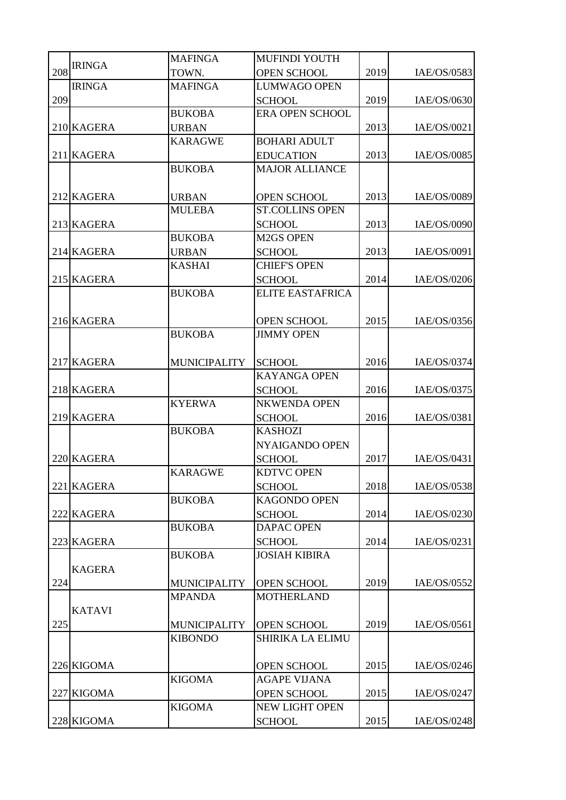|     |               | <b>MAFINGA</b>      | <b>MUFINDI YOUTH</b>    |      |             |
|-----|---------------|---------------------|-------------------------|------|-------------|
| 208 | <b>IRINGA</b> | TOWN.               | <b>OPEN SCHOOL</b>      | 2019 | IAE/OS/0583 |
|     | <b>IRINGA</b> | <b>MAFINGA</b>      | <b>LUMWAGO OPEN</b>     |      |             |
| 209 |               |                     | <b>SCHOOL</b>           | 2019 | IAE/OS/0630 |
|     |               | <b>BUKOBA</b>       | <b>ERA OPEN SCHOOL</b>  |      |             |
|     | 210 KAGERA    | <b>URBAN</b>        |                         | 2013 | IAE/OS/0021 |
|     |               | <b>KARAGWE</b>      | <b>BOHARI ADULT</b>     |      |             |
|     | 211 KAGERA    |                     | <b>EDUCATION</b>        | 2013 | IAE/OS/0085 |
|     |               | <b>BUKOBA</b>       | <b>MAJOR ALLIANCE</b>   |      |             |
|     |               |                     |                         |      |             |
|     | 212 KAGERA    | <b>URBAN</b>        | <b>OPEN SCHOOL</b>      | 2013 | IAE/OS/0089 |
|     |               | <b>MULEBA</b>       | <b>ST.COLLINS OPEN</b>  |      |             |
|     | 213 KAGERA    |                     | <b>SCHOOL</b>           | 2013 | IAE/OS/0090 |
|     |               | <b>BUKOBA</b>       | <b>M2GS OPEN</b>        |      |             |
|     | 214 KAGERA    | <b>URBAN</b>        | <b>SCHOOL</b>           | 2013 | IAE/OS/0091 |
|     |               | <b>KASHAI</b>       | <b>CHIEF'S OPEN</b>     |      |             |
|     | 215 KAGERA    |                     | <b>SCHOOL</b>           | 2014 | IAE/OS/0206 |
|     |               | <b>BUKOBA</b>       | <b>ELITE EASTAFRICA</b> |      |             |
|     |               |                     |                         |      |             |
|     | 216 KAGERA    |                     | <b>OPEN SCHOOL</b>      | 2015 | IAE/OS/0356 |
|     |               | <b>BUKOBA</b>       | <b>JIMMY OPEN</b>       |      |             |
|     |               |                     |                         |      |             |
|     | 217 KAGERA    | <b>MUNICIPALITY</b> | <b>SCHOOL</b>           | 2016 | IAE/OS/0374 |
|     |               |                     | <b>KAYANGA OPEN</b>     |      |             |
|     | 218 KAGERA    |                     | <b>SCHOOL</b>           | 2016 | IAE/OS/0375 |
|     |               | <b>KYERWA</b>       | <b>NKWENDA OPEN</b>     |      |             |
|     | 219 KAGERA    |                     | <b>SCHOOL</b>           | 2016 | IAE/OS/0381 |
|     |               | <b>BUKOBA</b>       | <b>KASHOZI</b>          |      |             |
|     |               |                     | NYAIGANDO OPEN          |      |             |
|     | 220 KAGERA    |                     | <b>SCHOOL</b>           | 2017 | IAE/OS/0431 |
|     |               | <b>KARAGWE</b>      | <b>KDTVC OPEN</b>       |      |             |
|     | 221 KAGERA    |                     | <b>SCHOOL</b>           | 2018 | IAE/OS/0538 |
|     |               | <b>BUKOBA</b>       | <b>KAGONDO OPEN</b>     |      |             |
|     | 222 KAGERA    |                     | <b>SCHOOL</b>           | 2014 | IAE/OS/0230 |
|     |               | <b>BUKOBA</b>       | <b>DAPAC OPEN</b>       |      |             |
|     | 223 KAGERA    |                     | <b>SCHOOL</b>           | 2014 | IAE/OS/0231 |
|     |               | <b>BUKOBA</b>       | <b>JOSIAH KIBIRA</b>    |      |             |
|     | <b>KAGERA</b> |                     |                         |      |             |
| 224 |               | <b>MUNICIPALITY</b> | OPEN SCHOOL             | 2019 | IAE/OS/0552 |
|     |               | <b>MPANDA</b>       | <b>MOTHERLAND</b>       |      |             |
|     | <b>KATAVI</b> |                     |                         |      |             |
| 225 |               | <b>MUNICIPALITY</b> | OPEN SCHOOL             | 2019 | IAE/OS/0561 |
|     |               | <b>KIBONDO</b>      | <b>SHIRIKA LA ELIMU</b> |      |             |
|     |               |                     |                         |      |             |
|     | 226 KIGOMA    |                     | <b>OPEN SCHOOL</b>      | 2015 | IAE/OS/0246 |
|     |               | <b>KIGOMA</b>       | <b>AGAPE VIJANA</b>     |      |             |
|     | 227 KIGOMA    |                     | <b>OPEN SCHOOL</b>      | 2015 | IAE/OS/0247 |
|     |               | <b>KIGOMA</b>       | NEW LIGHT OPEN          |      |             |
|     | 228 KIGOMA    |                     | <b>SCHOOL</b>           | 2015 | IAE/OS/0248 |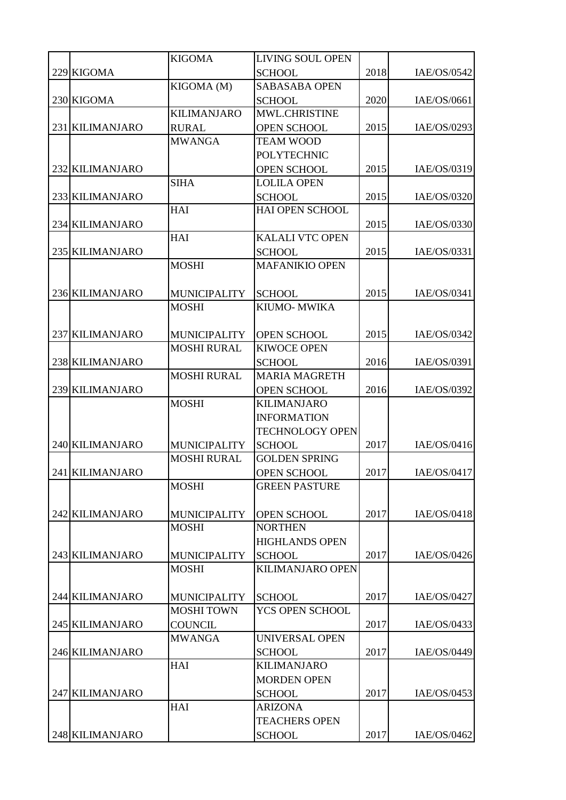|                 | <b>KIGOMA</b>       | <b>LIVING SOUL OPEN</b> |      |             |
|-----------------|---------------------|-------------------------|------|-------------|
| 229 KIGOMA      |                     | <b>SCHOOL</b>           | 2018 | IAE/OS/0542 |
|                 | KIGOMA (M)          | <b>SABASABA OPEN</b>    |      |             |
| 230 KIGOMA      |                     | <b>SCHOOL</b>           | 2020 | IAE/OS/0661 |
|                 | <b>KILIMANJARO</b>  | MWL.CHRISTINE           |      |             |
| 231 KILIMANJARO | <b>RURAL</b>        | <b>OPEN SCHOOL</b>      | 2015 | IAE/OS/0293 |
|                 | <b>MWANGA</b>       | <b>TEAM WOOD</b>        |      |             |
|                 |                     | <b>POLYTECHNIC</b>      |      |             |
| 232 KILIMANJARO |                     | <b>OPEN SCHOOL</b>      | 2015 | IAE/OS/0319 |
|                 | <b>SIHA</b>         | <b>LOLILA OPEN</b>      |      |             |
| 233 KILIMANJARO |                     | <b>SCHOOL</b>           | 2015 | IAE/OS/0320 |
|                 | HAI                 | <b>HAI OPEN SCHOOL</b>  |      |             |
| 234 KILIMANJARO |                     |                         | 2015 | IAE/OS/0330 |
|                 | HAI                 | <b>KALALI VTC OPEN</b>  |      |             |
| 235 KILIMANJARO |                     | <b>SCHOOL</b>           | 2015 | IAE/OS/0331 |
|                 | <b>MOSHI</b>        | <b>MAFANIKIO OPEN</b>   |      |             |
|                 |                     |                         |      |             |
| 236 KILIMANJARO | <b>MUNICIPALITY</b> | <b>SCHOOL</b>           | 2015 | IAE/OS/0341 |
|                 | <b>MOSHI</b>        | <b>KIUMO- MWIKA</b>     |      |             |
|                 |                     |                         |      |             |
| 237 KILIMANJARO | <b>MUNICIPALITY</b> | <b>OPEN SCHOOL</b>      | 2015 | IAE/OS/0342 |
|                 | <b>MOSHI RURAL</b>  | <b>KIWOCE OPEN</b>      |      |             |
| 238 KILIMANJARO |                     | <b>SCHOOL</b>           | 2016 | IAE/OS/0391 |
|                 | <b>MOSHI RURAL</b>  | <b>MARIA MAGRETH</b>    |      |             |
| 239 KILIMANJARO |                     | <b>OPEN SCHOOL</b>      | 2016 | IAE/OS/0392 |
|                 | <b>MOSHI</b>        | <b>KILIMANJARO</b>      |      |             |
|                 |                     | <b>INFORMATION</b>      |      |             |
|                 |                     | <b>TECHNOLOGY OPEN</b>  |      |             |
| 240 KILIMANJARO | <b>MUNICIPALITY</b> | <b>SCHOOL</b>           | 2017 | IAE/OS/0416 |
|                 | <b>MOSHI RURAL</b>  | <b>GOLDEN SPRING</b>    |      |             |
| 241 KILIMANJARO |                     | <b>OPEN SCHOOL</b>      | 2017 | IAE/OS/0417 |
|                 | <b>MOSHI</b>        | <b>GREEN PASTURE</b>    |      |             |
|                 |                     |                         |      |             |
| 242 KILIMANJARO | <b>MUNICIPALITY</b> | OPEN SCHOOL             | 2017 | IAE/OS/0418 |
|                 | <b>MOSHI</b>        | <b>NORTHEN</b>          |      |             |
|                 |                     | <b>HIGHLANDS OPEN</b>   |      |             |
| 243 KILIMANJARO | <b>MUNICIPALITY</b> | <b>SCHOOL</b>           | 2017 | IAE/OS/0426 |
|                 | <b>MOSHI</b>        | <b>KILIMANJARO OPEN</b> |      |             |
|                 |                     |                         |      |             |
| 244 KILIMANJARO | <b>MUNICIPALITY</b> | <b>SCHOOL</b>           | 2017 | IAE/OS/0427 |
|                 | <b>MOSHI TOWN</b>   | YCS OPEN SCHOOL         |      |             |
| 245 KILIMANJARO | <b>COUNCIL</b>      |                         | 2017 | IAE/OS/0433 |
|                 | <b>MWANGA</b>       | <b>UNIVERSAL OPEN</b>   |      |             |
| 246 KILIMANJARO |                     | <b>SCHOOL</b>           | 2017 | IAE/OS/0449 |
|                 | HAI                 | <b>KILIMANJARO</b>      |      |             |
|                 |                     | <b>MORDEN OPEN</b>      |      |             |
| 247 KILIMANJARO |                     | <b>SCHOOL</b>           | 2017 | IAE/OS/0453 |
|                 | HAI                 | <b>ARIZONA</b>          |      |             |
|                 |                     | <b>TEACHERS OPEN</b>    |      |             |
| 248 KILIMANJARO |                     | <b>SCHOOL</b>           | 2017 | IAE/OS/0462 |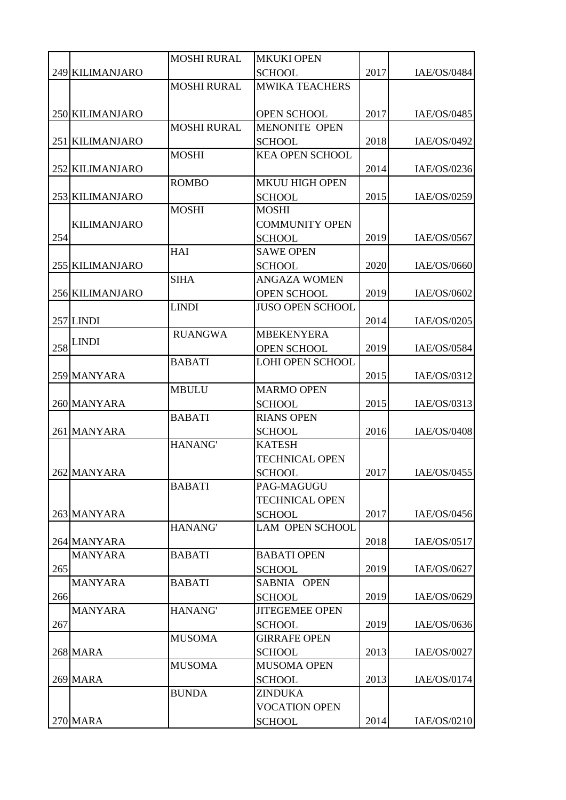|     |                    | <b>MOSHI RURAL</b> | <b>MKUKI OPEN</b>       |      |             |
|-----|--------------------|--------------------|-------------------------|------|-------------|
|     | 249 KILIMANJARO    |                    | <b>SCHOOL</b>           | 2017 | IAE/OS/0484 |
|     |                    | <b>MOSHI RURAL</b> | <b>MWIKA TEACHERS</b>   |      |             |
|     |                    |                    |                         |      |             |
|     | 250 KILIMANJARO    |                    | <b>OPEN SCHOOL</b>      | 2017 | IAE/OS/0485 |
|     |                    | <b>MOSHI RURAL</b> | <b>MENONITE OPEN</b>    |      |             |
|     | 251 KILIMANJARO    |                    | <b>SCHOOL</b>           | 2018 | IAE/OS/0492 |
|     |                    | <b>MOSHI</b>       | <b>KEA OPEN SCHOOL</b>  |      |             |
|     | 252 KILIMANJARO    |                    |                         | 2014 | IAE/OS/0236 |
|     |                    | <b>ROMBO</b>       | <b>MKUU HIGH OPEN</b>   |      |             |
|     | 253 KILIMANJARO    |                    | <b>SCHOOL</b>           | 2015 | IAE/OS/0259 |
|     |                    | <b>MOSHI</b>       | <b>MOSHI</b>            |      |             |
|     | <b>KILIMANJARO</b> |                    | <b>COMMUNITY OPEN</b>   |      |             |
| 254 |                    |                    | <b>SCHOOL</b>           | 2019 | IAE/OS/0567 |
|     |                    | <b>HAI</b>         | <b>SAWE OPEN</b>        |      |             |
|     | 255 KILIMANJARO    |                    | <b>SCHOOL</b>           | 2020 | IAE/OS/0660 |
|     |                    | <b>SIHA</b>        | <b>ANGAZA WOMEN</b>     |      |             |
|     | 256 KILIMANJARO    |                    | <b>OPEN SCHOOL</b>      | 2019 | IAE/OS/0602 |
|     |                    | <b>LINDI</b>       | <b>JUSO OPEN SCHOOL</b> |      |             |
|     | $257$ LINDI        |                    |                         | 2014 | IAE/OS/0205 |
|     |                    | <b>RUANGWA</b>     | <b>MBEKENYERA</b>       |      |             |
| 258 | <b>LINDI</b>       |                    | <b>OPEN SCHOOL</b>      | 2019 | IAE/OS/0584 |
|     |                    | <b>BABATI</b>      | <b>LOHI OPEN SCHOOL</b> |      |             |
|     | 259 MANYARA        |                    |                         | 2015 | IAE/OS/0312 |
|     |                    | <b>MBULU</b>       | <b>MARMO OPEN</b>       |      |             |
|     | 260 MANYARA        |                    | <b>SCHOOL</b>           | 2015 | IAE/OS/0313 |
|     |                    | <b>BABATI</b>      | <b>RIANS OPEN</b>       |      |             |
|     | 261 MANYARA        |                    | <b>SCHOOL</b>           | 2016 | IAE/OS/0408 |
|     |                    | HANANG'            | <b>KATESH</b>           |      |             |
|     |                    |                    | <b>TECHNICAL OPEN</b>   |      |             |
|     | 262 MANYARA        |                    | <b>SCHOOL</b>           | 2017 | IAE/OS/0455 |
|     |                    | <b>BABATI</b>      | PAG-MAGUGU              |      |             |
|     |                    |                    | <b>TECHNICAL OPEN</b>   |      |             |
|     | 263 MANYARA        |                    | <b>SCHOOL</b>           | 2017 | IAE/OS/0456 |
|     |                    | HANANG'            | <b>LAM OPEN SCHOOL</b>  |      |             |
|     | 264 MANYARA        |                    |                         | 2018 | IAE/OS/0517 |
|     | <b>MANYARA</b>     | <b>BABATI</b>      | <b>BABATI OPEN</b>      |      |             |
| 265 |                    |                    | <b>SCHOOL</b>           | 2019 | IAE/OS/0627 |
|     | <b>MANYARA</b>     | <b>BABATI</b>      | SABNIA OPEN             |      |             |
| 266 |                    |                    | <b>SCHOOL</b>           | 2019 | IAE/OS/0629 |
|     | <b>MANYARA</b>     | HANANG'            | <b>JITEGEMEE OPEN</b>   |      |             |
| 267 |                    |                    | <b>SCHOOL</b>           | 2019 | IAE/OS/0636 |
|     |                    | <b>MUSOMA</b>      | <b>GIRRAFE OPEN</b>     |      |             |
|     | 268 MARA           |                    | <b>SCHOOL</b>           | 2013 | IAE/OS/0027 |
|     |                    | <b>MUSOMA</b>      | <b>MUSOMA OPEN</b>      |      |             |
|     | 269 MARA           |                    | <b>SCHOOL</b>           | 2013 | IAE/OS/0174 |
|     |                    | <b>BUNDA</b>       | <b>ZINDUKA</b>          |      |             |
|     |                    |                    | <b>VOCATION OPEN</b>    |      |             |
|     | <b>270 MARA</b>    |                    | <b>SCHOOL</b>           | 2014 | IAE/OS/0210 |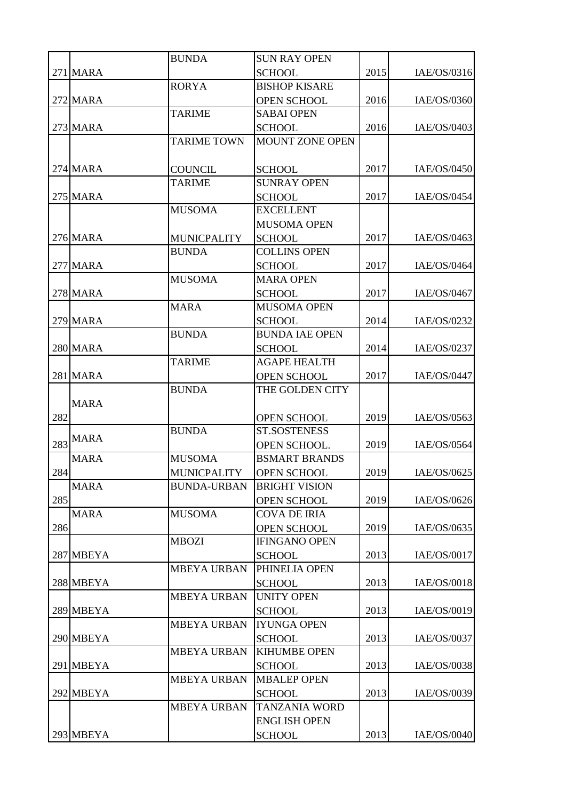|     |                 | <b>BUNDA</b>       | <b>SUN RAY OPEN</b>                  |      |             |
|-----|-----------------|--------------------|--------------------------------------|------|-------------|
|     | <b>271 MARA</b> |                    | <b>SCHOOL</b>                        | 2015 | IAE/OS/0316 |
|     |                 | <b>RORYA</b>       | <b>BISHOP KISARE</b>                 |      |             |
|     | <b>272 MARA</b> |                    | <b>OPEN SCHOOL</b>                   | 2016 | IAE/OS/0360 |
|     |                 | <b>TARIME</b>      | <b>SABAI OPEN</b>                    |      |             |
|     | <b>273 MARA</b> |                    | <b>SCHOOL</b>                        | 2016 | IAE/OS/0403 |
|     |                 | <b>TARIME TOWN</b> | <b>MOUNT ZONE OPEN</b>               |      |             |
|     |                 |                    |                                      |      |             |
|     | <b>274 MARA</b> | <b>COUNCIL</b>     | <b>SCHOOL</b>                        | 2017 | IAE/OS/0450 |
|     |                 | <b>TARIME</b>      | <b>SUNRAY OPEN</b>                   |      |             |
|     | <b>275 MARA</b> |                    | <b>SCHOOL</b>                        | 2017 | IAE/OS/0454 |
|     |                 | <b>MUSOMA</b>      | <b>EXCELLENT</b>                     |      |             |
|     |                 |                    | <b>MUSOMA OPEN</b>                   |      |             |
|     | <b>276 MARA</b> | <b>MUNICPALITY</b> | <b>SCHOOL</b>                        | 2017 | IAE/OS/0463 |
|     |                 | <b>BUNDA</b>       | <b>COLLINS OPEN</b>                  |      |             |
|     | 277 MARA        |                    | <b>SCHOOL</b>                        | 2017 | IAE/OS/0464 |
|     |                 | <b>MUSOMA</b>      | <b>MARA OPEN</b>                     |      |             |
|     | <b>278 MARA</b> |                    | <b>SCHOOL</b>                        | 2017 | IAE/OS/0467 |
|     |                 | <b>MARA</b>        | <b>MUSOMA OPEN</b>                   |      |             |
|     | <b>279 MARA</b> |                    | <b>SCHOOL</b>                        | 2014 | IAE/OS/0232 |
|     |                 | <b>BUNDA</b>       | <b>BUNDA IAE OPEN</b>                |      |             |
|     | 280 MARA        |                    | <b>SCHOOL</b>                        | 2014 | IAE/OS/0237 |
|     |                 | <b>TARIME</b>      | <b>AGAPE HEALTH</b>                  |      |             |
|     | 281 MARA        |                    | <b>OPEN SCHOOL</b>                   | 2017 | IAE/OS/0447 |
|     |                 | <b>BUNDA</b>       | THE GOLDEN CITY                      |      |             |
|     | <b>MARA</b>     |                    |                                      |      |             |
| 282 |                 |                    | <b>OPEN SCHOOL</b>                   | 2019 | IAE/OS/0563 |
|     | <b>MARA</b>     | <b>BUNDA</b>       | <b>ST.SOSTENESS</b>                  |      |             |
| 283 |                 |                    | OPEN SCHOOL.                         | 2019 | IAE/OS/0564 |
|     | <b>MARA</b>     | <b>MUSOMA</b>      | <b>BSMART BRANDS</b>                 |      |             |
| 284 |                 | <b>MUNICPALITY</b> | <b>OPEN SCHOOL</b>                   | 2019 | IAE/OS/0625 |
|     | <b>MARA</b>     | <b>BUNDA-URBAN</b> | <b>BRIGHT VISION</b>                 |      |             |
| 285 |                 |                    | <b>OPEN SCHOOL</b>                   | 2019 | IAE/OS/0626 |
|     | <b>MARA</b>     | <b>MUSOMA</b>      | <b>COVA DE IRIA</b>                  |      |             |
| 286 |                 |                    | <b>OPEN SCHOOL</b>                   | 2019 | IAE/OS/0635 |
|     |                 | <b>MBOZI</b>       | <b>IFINGANO OPEN</b>                 |      |             |
|     | 287 MBEYA       |                    | <b>SCHOOL</b>                        | 2013 | IAE/OS/0017 |
|     |                 | <b>MBEYA URBAN</b> | PHINELIA OPEN                        |      |             |
|     | 288 MBEYA       | <b>MBEYA URBAN</b> | <b>SCHOOL</b><br><b>UNITY OPEN</b>   | 2013 | IAE/OS/0018 |
|     | 289 MBEYA       |                    |                                      | 2013 | IAE/OS/0019 |
|     |                 | <b>MBEYA URBAN</b> | <b>SCHOOL</b><br><b>IYUNGA OPEN</b>  |      |             |
|     | 290 MBEYA       |                    |                                      | 2013 | IAE/OS/0037 |
|     |                 | <b>MBEYA URBAN</b> | <b>SCHOOL</b><br><b>KIHUMBE OPEN</b> |      |             |
|     | 291 MBEYA       |                    | <b>SCHOOL</b>                        | 2013 | IAE/OS/0038 |
|     |                 | <b>MBEYA URBAN</b> | <b>MBALEP OPEN</b>                   |      |             |
|     | 292 MBEYA       |                    | <b>SCHOOL</b>                        | 2013 | IAE/OS/0039 |
|     |                 | <b>MBEYA URBAN</b> | <b>TANZANIA WORD</b>                 |      |             |
|     |                 |                    | <b>ENGLISH OPEN</b>                  |      |             |
|     | 293 MBEYA       |                    | <b>SCHOOL</b>                        | 2013 | IAE/OS/0040 |
|     |                 |                    |                                      |      |             |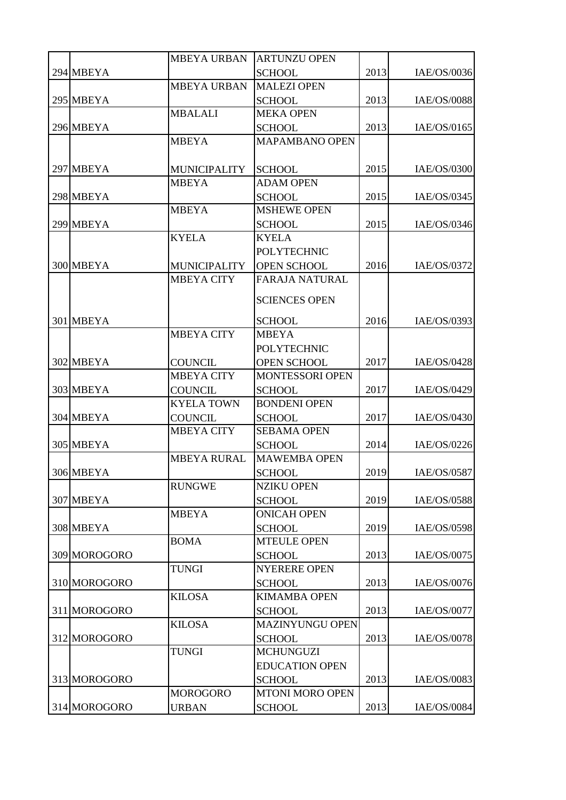|              | <b>MBEYA URBAN</b>  | <b>ARTUNZU OPEN</b>    |      |             |
|--------------|---------------------|------------------------|------|-------------|
| 294 MBEYA    |                     | <b>SCHOOL</b>          | 2013 | IAE/OS/0036 |
|              | <b>MBEYA URBAN</b>  | <b>MALEZI OPEN</b>     |      |             |
| 295 MBEYA    |                     | <b>SCHOOL</b>          | 2013 | IAE/OS/0088 |
|              | <b>MBALALI</b>      | <b>MEKA OPEN</b>       |      |             |
| 296 MBEYA    |                     | <b>SCHOOL</b>          | 2013 | IAE/OS/0165 |
|              | <b>MBEYA</b>        | <b>MAPAMBANO OPEN</b>  |      |             |
|              |                     |                        |      |             |
| 297 MBEYA    | <b>MUNICIPALITY</b> | <b>SCHOOL</b>          | 2015 | IAE/OS/0300 |
|              | <b>MBEYA</b>        | <b>ADAM OPEN</b>       |      |             |
| 298 MBEYA    |                     | <b>SCHOOL</b>          | 2015 | IAE/OS/0345 |
|              | <b>MBEYA</b>        | <b>MSHEWE OPEN</b>     |      |             |
| 299 MBEYA    |                     | <b>SCHOOL</b>          | 2015 | IAE/OS/0346 |
|              | <b>KYELA</b>        | <b>KYELA</b>           |      |             |
|              |                     | <b>POLYTECHNIC</b>     |      |             |
| 300 MBEYA    | <b>MUNICIPALITY</b> | OPEN SCHOOL            | 2016 | IAE/OS/0372 |
|              | <b>MBEYA CITY</b>   | <b>FARAJA NATURAL</b>  |      |             |
|              |                     | <b>SCIENCES OPEN</b>   |      |             |
| 301 MBEYA    |                     | <b>SCHOOL</b>          | 2016 | IAE/OS/0393 |
|              | <b>MBEYA CITY</b>   | <b>MBEYA</b>           |      |             |
|              |                     | <b>POLYTECHNIC</b>     |      |             |
| 302 MBEYA    | <b>COUNCIL</b>      | <b>OPEN SCHOOL</b>     | 2017 | IAE/OS/0428 |
|              | <b>MBEYA CITY</b>   | MONTESSORI OPEN        |      |             |
| 303 MBEYA    | <b>COUNCIL</b>      | <b>SCHOOL</b>          | 2017 | IAE/OS/0429 |
|              | <b>KYELA TOWN</b>   | <b>BONDENI OPEN</b>    |      |             |
| 304 MBEYA    | <b>COUNCIL</b>      | <b>SCHOOL</b>          | 2017 | IAE/OS/0430 |
|              | <b>MBEYA CITY</b>   | <b>SEBAMA OPEN</b>     |      |             |
| 305 MBEYA    |                     | <b>SCHOOL</b>          | 2014 | IAE/OS/0226 |
|              | <b>MBEYA RURAL</b>  | <b>MAWEMBA OPEN</b>    |      |             |
| 306 MBEYA    |                     | <b>SCHOOL</b>          | 2019 | IAE/OS/0587 |
|              | <b>RUNGWE</b>       | <b>NZIKU OPEN</b>      |      |             |
| 307 MBEYA    |                     | <b>SCHOOL</b>          | 2019 | IAE/OS/0588 |
|              | <b>MBEYA</b>        | <b>ONICAH OPEN</b>     |      |             |
| 308 MBEYA    |                     | <b>SCHOOL</b>          | 2019 | IAE/OS/0598 |
|              | <b>BOMA</b>         | <b>MTEULE OPEN</b>     |      |             |
| 309 MOROGORO |                     | <b>SCHOOL</b>          | 2013 | IAE/OS/0075 |
|              | <b>TUNGI</b>        | <b>NYERERE OPEN</b>    |      |             |
| 310 MOROGORO |                     | <b>SCHOOL</b>          | 2013 | IAE/OS/0076 |
|              | <b>KILOSA</b>       | <b>KIMAMBA OPEN</b>    |      |             |
| 311 MOROGORO |                     | <b>SCHOOL</b>          | 2013 | IAE/OS/0077 |
|              | <b>KILOSA</b>       | <b>MAZINYUNGU OPEN</b> |      |             |
| 312 MOROGORO |                     | <b>SCHOOL</b>          | 2013 | IAE/OS/0078 |
|              | <b>TUNGI</b>        | <b>MCHUNGUZI</b>       |      |             |
|              |                     | <b>EDUCATION OPEN</b>  |      |             |
| 313 MOROGORO |                     | <b>SCHOOL</b>          | 2013 | IAE/OS/0083 |
|              | <b>MOROGORO</b>     | <b>MTONI MORO OPEN</b> |      |             |
| 314 MOROGORO | <b>URBAN</b>        | <b>SCHOOL</b>          | 2013 | IAE/OS/0084 |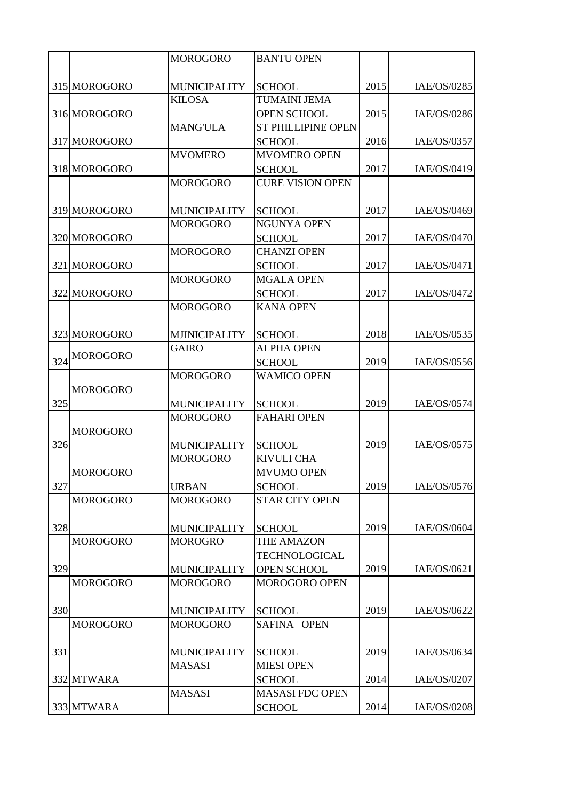|     |                 | <b>MOROGORO</b>      | <b>BANTU OPEN</b>         |      |             |
|-----|-----------------|----------------------|---------------------------|------|-------------|
|     |                 |                      |                           |      |             |
|     | 315 MOROGORO    | <b>MUNICIPALITY</b>  | <b>SCHOOL</b>             | 2015 | IAE/OS/0285 |
|     |                 | <b>KILOSA</b>        | <b>TUMAINI JEMA</b>       |      |             |
|     | 316 MOROGORO    |                      | <b>OPEN SCHOOL</b>        | 2015 | IAE/OS/0286 |
|     |                 | <b>MANG'ULA</b>      | <b>ST PHILLIPINE OPEN</b> |      |             |
|     | 317 MOROGORO    |                      | <b>SCHOOL</b>             | 2016 | IAE/OS/0357 |
|     |                 | <b>MVOMERO</b>       | <b>MVOMERO OPEN</b>       |      |             |
|     | 318 MOROGORO    |                      | <b>SCHOOL</b>             | 2017 | IAE/OS/0419 |
|     |                 | <b>MOROGORO</b>      | <b>CURE VISION OPEN</b>   |      |             |
|     |                 |                      |                           |      |             |
|     | 319 MOROGORO    | <b>MUNICIPALITY</b>  | <b>SCHOOL</b>             | 2017 | IAE/OS/0469 |
|     |                 | <b>MOROGORO</b>      | <b>NGUNYA OPEN</b>        |      |             |
|     | 320 MOROGORO    |                      | <b>SCHOOL</b>             | 2017 | IAE/OS/0470 |
|     |                 | <b>MOROGORO</b>      | <b>CHANZI OPEN</b>        |      |             |
|     | 321 MOROGORO    |                      | <b>SCHOOL</b>             | 2017 | IAE/OS/0471 |
|     |                 | <b>MOROGORO</b>      | <b>MGALA OPEN</b>         |      |             |
|     | 322 MOROGORO    |                      | <b>SCHOOL</b>             | 2017 | IAE/OS/0472 |
|     |                 | <b>MOROGORO</b>      | <b>KANA OPEN</b>          |      |             |
|     |                 |                      |                           |      |             |
|     | 323 MOROGORO    | <b>MJINICIPALITY</b> | <b>SCHOOL</b>             | 2018 | IAE/OS/0535 |
|     | <b>MOROGORO</b> | <b>GAIRO</b>         | <b>ALPHA OPEN</b>         |      |             |
| 324 |                 |                      | <b>SCHOOL</b>             | 2019 | IAE/OS/0556 |
|     |                 | <b>MOROGORO</b>      | <b>WAMICO OPEN</b>        |      |             |
|     | <b>MOROGORO</b> |                      |                           |      |             |
| 325 |                 | <b>MUNICIPALITY</b>  | <b>SCHOOL</b>             | 2019 | IAE/OS/0574 |
|     |                 | <b>MOROGORO</b>      | <b>FAHARI OPEN</b>        |      |             |
|     | <b>MOROGORO</b> |                      |                           |      |             |
| 326 |                 | <b>MUNICIPALITY</b>  | <b>SCHOOL</b>             | 2019 | IAE/OS/0575 |
|     |                 | <b>MOROGORO</b>      | <b>KIVULI CHA</b>         |      |             |
|     | <b>MOROGORO</b> |                      | <b>MVUMO OPEN</b>         |      |             |
| 327 |                 | <b>URBAN</b>         | <b>SCHOOL</b>             | 2019 | IAE/OS/0576 |
|     | <b>MOROGORO</b> | <b>MOROGORO</b>      | <b>STAR CITY OPEN</b>     |      |             |
|     |                 |                      |                           |      |             |
| 328 |                 | <b>MUNICIPALITY</b>  | <b>SCHOOL</b>             | 2019 | IAE/OS/0604 |
|     | <b>MOROGORO</b> | <b>MOROGRO</b>       | THE AMAZON                |      |             |
|     |                 |                      | TECHNOLOGICAL             |      |             |
| 329 |                 | <b>MUNICIPALITY</b>  | <b>OPEN SCHOOL</b>        | 2019 | IAE/OS/0621 |
|     | <b>MOROGORO</b> | <b>MOROGORO</b>      | MOROGORO OPEN             |      |             |
|     |                 |                      |                           |      |             |
| 330 |                 | <b>MUNICIPALITY</b>  | <b>SCHOOL</b>             | 2019 | IAE/OS/0622 |
|     | <b>MOROGORO</b> | <b>MOROGORO</b>      | SAFINA OPEN               |      |             |
|     |                 |                      |                           |      |             |
| 331 |                 | <b>MUNICIPALITY</b>  | <b>SCHOOL</b>             | 2019 | IAE/OS/0634 |
|     |                 | <b>MASASI</b>        | <b>MIESI OPEN</b>         |      |             |
|     | 332 MTWARA      |                      | <b>SCHOOL</b>             | 2014 | IAE/OS/0207 |
|     |                 | <b>MASASI</b>        | <b>MASASI FDC OPEN</b>    |      |             |
|     | 333 MTWARA      |                      | <b>SCHOOL</b>             | 2014 | IAE/OS/0208 |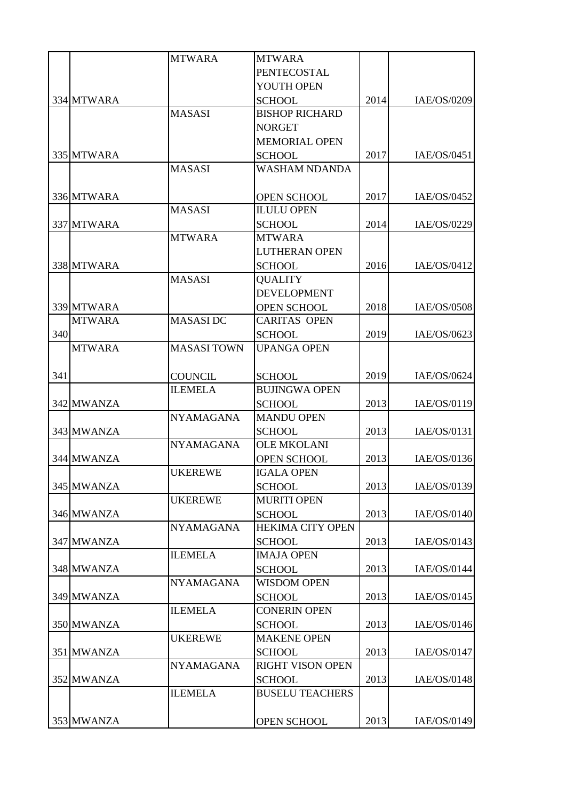|     |               | <b>MTWARA</b>      | <b>MTWARA</b>           |      |             |
|-----|---------------|--------------------|-------------------------|------|-------------|
|     |               |                    | <b>PENTECOSTAL</b>      |      |             |
|     |               |                    | YOUTH OPEN              |      |             |
|     | 334 MTWARA    |                    | <b>SCHOOL</b>           | 2014 | IAE/OS/0209 |
|     |               | <b>MASASI</b>      | <b>BISHOP RICHARD</b>   |      |             |
|     |               |                    | <b>NORGET</b>           |      |             |
|     |               |                    | <b>MEMORIAL OPEN</b>    |      |             |
|     | 335 MTWARA    |                    | <b>SCHOOL</b>           | 2017 | IAE/OS/0451 |
|     |               | <b>MASASI</b>      | <b>WASHAM NDANDA</b>    |      |             |
|     |               |                    |                         |      |             |
|     | 336 MTWARA    |                    | <b>OPEN SCHOOL</b>      | 2017 | IAE/OS/0452 |
|     |               | <b>MASASI</b>      | <b>ILULU OPEN</b>       |      |             |
|     | 337 MTWARA    |                    | <b>SCHOOL</b>           | 2014 | IAE/OS/0229 |
|     |               | <b>MTWARA</b>      | <b>MTWARA</b>           |      |             |
|     |               |                    | <b>LUTHERAN OPEN</b>    |      |             |
|     | 338 MTWARA    |                    | <b>SCHOOL</b>           | 2016 | IAE/OS/0412 |
|     |               | <b>MASASI</b>      | <b>QUALITY</b>          |      |             |
|     |               |                    | <b>DEVELOPMENT</b>      |      |             |
|     | 339 MTWARA    |                    | <b>OPEN SCHOOL</b>      | 2018 | IAE/OS/0508 |
|     | <b>MTWARA</b> | <b>MASASIDC</b>    | <b>CARITAS OPEN</b>     |      |             |
| 340 |               |                    | <b>SCHOOL</b>           | 2019 | IAE/OS/0623 |
|     | <b>MTWARA</b> | <b>MASASI TOWN</b> | <b>UPANGA OPEN</b>      |      |             |
|     |               |                    |                         |      |             |
| 341 |               | <b>COUNCIL</b>     | <b>SCHOOL</b>           | 2019 | IAE/OS/0624 |
|     |               | <b>ILEMELA</b>     | <b>BUJINGWA OPEN</b>    |      |             |
|     | 342 MWANZA    |                    | <b>SCHOOL</b>           | 2013 | IAE/OS/0119 |
|     |               | <b>NYAMAGANA</b>   | <b>MANDU OPEN</b>       |      |             |
|     | 343 MWANZA    |                    | <b>SCHOOL</b>           | 2013 | IAE/OS/0131 |
|     |               | <b>NYAMAGANA</b>   | <b>OLE MKOLANI</b>      |      |             |
|     | 344 MWANZA    |                    | <b>OPEN SCHOOL</b>      | 2013 | IAE/OS/0136 |
|     |               | <b>UKEREWE</b>     | <b>IGALA OPEN</b>       |      |             |
|     | 345 MWANZA    |                    | <b>SCHOOL</b>           | 2013 | IAE/OS/0139 |
|     |               | <b>UKEREWE</b>     | <b>MURITI OPEN</b>      |      |             |
|     | 346 MWANZA    |                    | <b>SCHOOL</b>           | 2013 | IAE/OS/0140 |
|     |               | <b>NYAMAGANA</b>   | <b>HEKIMA CITY OPEN</b> |      |             |
|     | 347 MWANZA    |                    | <b>SCHOOL</b>           | 2013 | IAE/OS/0143 |
|     |               | <b>ILEMELA</b>     | <b>IMAJA OPEN</b>       |      |             |
|     | 348 MWANZA    |                    | <b>SCHOOL</b>           | 2013 | IAE/OS/0144 |
|     |               | <b>NYAMAGANA</b>   | <b>WISDOM OPEN</b>      |      |             |
|     | 349 MWANZA    |                    | <b>SCHOOL</b>           | 2013 | IAE/OS/0145 |
|     |               | <b>ILEMELA</b>     | <b>CONERIN OPEN</b>     |      |             |
|     | 350 MWANZA    |                    | <b>SCHOOL</b>           | 2013 | IAE/OS/0146 |
|     |               | <b>UKEREWE</b>     | <b>MAKENE OPEN</b>      |      |             |
|     | 351 MWANZA    |                    | <b>SCHOOL</b>           | 2013 | IAE/OS/0147 |
|     |               | <b>NYAMAGANA</b>   | <b>RIGHT VISON OPEN</b> |      |             |
|     | 352 MWANZA    |                    | <b>SCHOOL</b>           | 2013 | IAE/OS/0148 |
|     |               | <b>ILEMELA</b>     | <b>BUSELU TEACHERS</b>  |      |             |
|     |               |                    |                         |      |             |
|     | 353 MWANZA    |                    | <b>OPEN SCHOOL</b>      | 2013 | IAE/OS/0149 |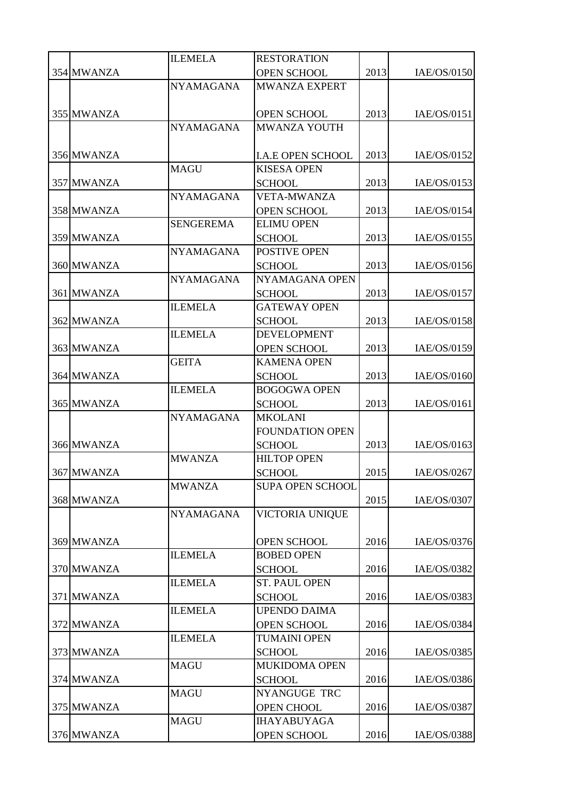|            | <b>ILEMELA</b>   | <b>RESTORATION</b>                       |      |             |
|------------|------------------|------------------------------------------|------|-------------|
| 354 MWANZA |                  | <b>OPEN SCHOOL</b>                       | 2013 | IAE/OS/0150 |
|            | <b>NYAMAGANA</b> | <b>MWANZA EXPERT</b>                     |      |             |
|            |                  |                                          |      |             |
| 355 MWANZA |                  | <b>OPEN SCHOOL</b>                       | 2013 | IAE/OS/0151 |
|            | <b>NYAMAGANA</b> | MWANZA YOUTH                             |      |             |
|            |                  |                                          |      |             |
| 356 MWANZA |                  | <b>I.A.E OPEN SCHOOL</b>                 | 2013 | IAE/OS/0152 |
|            | <b>MAGU</b>      | <b>KISESA OPEN</b>                       |      |             |
| 357 MWANZA |                  | <b>SCHOOL</b>                            | 2013 | IAE/OS/0153 |
|            | <b>NYAMAGANA</b> | <b>VETA-MWANZA</b>                       |      |             |
| 358 MWANZA |                  | <b>OPEN SCHOOL</b>                       | 2013 | IAE/OS/0154 |
|            | <b>SENGEREMA</b> | <b>ELIMU OPEN</b>                        |      |             |
| 359 MWANZA |                  | <b>SCHOOL</b>                            | 2013 | IAE/OS/0155 |
|            | <b>NYAMAGANA</b> | POSTIVE OPEN                             |      |             |
| 360 MWANZA |                  | <b>SCHOOL</b>                            | 2013 | IAE/OS/0156 |
|            | <b>NYAMAGANA</b> | NYAMAGANA OPEN                           |      |             |
| 361 MWANZA |                  | <b>SCHOOL</b>                            | 2013 | IAE/OS/0157 |
|            | <b>ILEMELA</b>   | <b>GATEWAY OPEN</b>                      |      |             |
| 362 MWANZA |                  | <b>SCHOOL</b>                            | 2013 | IAE/OS/0158 |
|            | <b>ILEMELA</b>   | <b>DEVELOPMENT</b>                       |      |             |
| 363 MWANZA |                  | <b>OPEN SCHOOL</b>                       | 2013 | IAE/OS/0159 |
|            | <b>GEITA</b>     | <b>KAMENA OPEN</b>                       |      |             |
| 364 MWANZA |                  | <b>SCHOOL</b>                            | 2013 | IAE/OS/0160 |
|            | <b>ILEMELA</b>   | <b>BOGOGWA OPEN</b>                      |      |             |
| 365 MWANZA |                  | <b>SCHOOL</b>                            | 2013 | IAE/OS/0161 |
|            | <b>NYAMAGANA</b> | <b>MKOLANI</b>                           |      |             |
|            |                  | <b>FOUNDATION OPEN</b>                   |      |             |
| 366 MWANZA | <b>MWANZA</b>    | <b>SCHOOL</b><br><b>HILTOP OPEN</b>      | 2013 | IAE/OS/0163 |
|            |                  |                                          |      |             |
| 367 MWANZA | <b>MWANZA</b>    | <b>SCHOOL</b><br><b>SUPA OPEN SCHOOL</b> | 2015 | IAE/OS/0267 |
| 368 MWANZA |                  |                                          | 2015 | IAE/OS/0307 |
|            | <b>NYAMAGANA</b> | VICTORIA UNIQUE                          |      |             |
|            |                  |                                          |      |             |
| 369 MWANZA |                  | <b>OPEN SCHOOL</b>                       | 2016 | IAE/OS/0376 |
|            | <b>ILEMELA</b>   | <b>BOBED OPEN</b>                        |      |             |
| 370 MWANZA |                  | <b>SCHOOL</b>                            | 2016 | IAE/OS/0382 |
|            | <b>ILEMELA</b>   | <b>ST. PAUL OPEN</b>                     |      |             |
| 371 MWANZA |                  | <b>SCHOOL</b>                            | 2016 | IAE/OS/0383 |
|            | <b>ILEMELA</b>   | <b>UPENDO DAIMA</b>                      |      |             |
| 372 MWANZA |                  | <b>OPEN SCHOOL</b>                       | 2016 | IAE/OS/0384 |
|            | <b>ILEMELA</b>   | <b>TUMAINI OPEN</b>                      |      |             |
| 373 MWANZA |                  | <b>SCHOOL</b>                            | 2016 | IAE/OS/0385 |
|            | <b>MAGU</b>      | <b>MUKIDOMA OPEN</b>                     |      |             |
| 374 MWANZA |                  | <b>SCHOOL</b>                            | 2016 | IAE/OS/0386 |
|            | <b>MAGU</b>      | <b>NYANGUGE TRC</b>                      |      |             |
| 375 MWANZA |                  | <b>OPEN CHOOL</b>                        | 2016 | IAE/OS/0387 |
|            | <b>MAGU</b>      | <b>IHAYABUYAGA</b>                       |      |             |
| 376 MWANZA |                  | <b>OPEN SCHOOL</b>                       | 2016 | IAE/OS/0388 |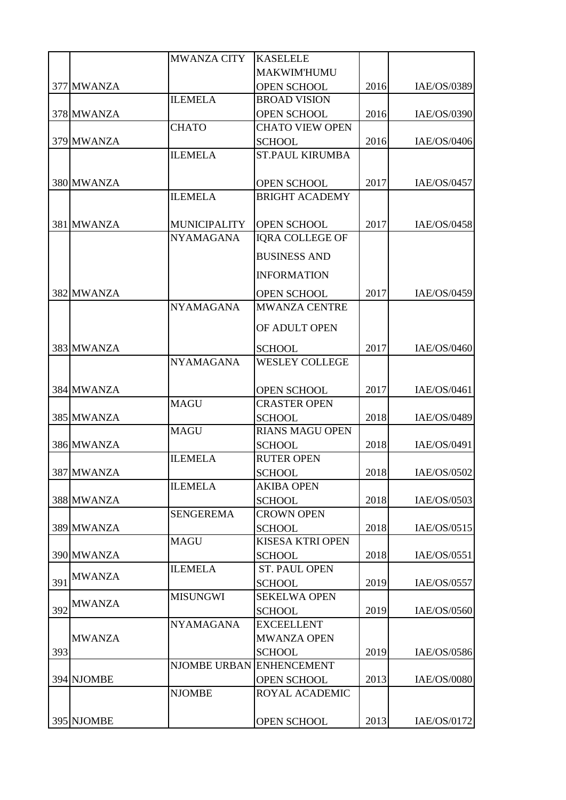|     |               | <b>MWANZA CITY</b>       | <b>KASELELE</b>         |      |             |
|-----|---------------|--------------------------|-------------------------|------|-------------|
|     |               |                          | <b>MAKWIM'HUMU</b>      |      |             |
|     | 377 MWANZA    |                          | <b>OPEN SCHOOL</b>      | 2016 | IAE/OS/0389 |
|     |               | <b>ILEMELA</b>           | <b>BROAD VISION</b>     |      |             |
|     | 378 MWANZA    |                          | <b>OPEN SCHOOL</b>      | 2016 | IAE/OS/0390 |
|     |               | <b>CHATO</b>             | <b>CHATO VIEW OPEN</b>  |      |             |
|     | 379 MWANZA    |                          | <b>SCHOOL</b>           | 2016 | IAE/OS/0406 |
|     |               | <b>ILEMELA</b>           | <b>ST.PAUL KIRUMBA</b>  |      |             |
|     |               |                          |                         |      |             |
|     | 380 MWANZA    |                          | <b>OPEN SCHOOL</b>      | 2017 | IAE/OS/0457 |
|     |               | <b>ILEMELA</b>           | <b>BRIGHT ACADEMY</b>   |      |             |
|     |               |                          |                         |      |             |
|     | 381 MWANZA    | <b>MUNICIPALITY</b>      | OPEN SCHOOL             | 2017 | IAE/OS/0458 |
|     |               | <b>NYAMAGANA</b>         | <b>IQRA COLLEGE OF</b>  |      |             |
|     |               |                          | <b>BUSINESS AND</b>     |      |             |
|     |               |                          | <b>INFORMATION</b>      |      |             |
|     | 382 MWANZA    |                          | <b>OPEN SCHOOL</b>      | 2017 | IAE/OS/0459 |
|     |               | <b>NYAMAGANA</b>         | <b>MWANZA CENTRE</b>    |      |             |
|     |               |                          |                         |      |             |
|     |               |                          | OF ADULT OPEN           |      |             |
|     | 383 MWANZA    |                          | <b>SCHOOL</b>           | 2017 | IAE/OS/0460 |
|     |               | <b>NYAMAGANA</b>         | <b>WESLEY COLLEGE</b>   |      |             |
|     |               |                          |                         |      |             |
|     | 384 MWANZA    |                          | <b>OPEN SCHOOL</b>      | 2017 | IAE/OS/0461 |
|     |               | <b>MAGU</b>              | <b>CRASTER OPEN</b>     |      |             |
|     | 385 MWANZA    |                          | <b>SCHOOL</b>           | 2018 | IAE/OS/0489 |
|     |               | <b>MAGU</b>              | <b>RIANS MAGU OPEN</b>  |      |             |
|     | 386 MWANZA    |                          | <b>SCHOOL</b>           | 2018 | IAE/OS/0491 |
|     |               | <b>ILEMELA</b>           | <b>RUTER OPEN</b>       |      |             |
|     | 387 MWANZA    |                          | <b>SCHOOL</b>           | 2018 | IAE/OS/0502 |
|     |               | <b>ILEMELA</b>           | <b>AKIBA OPEN</b>       |      |             |
|     | 388 MWANZA    |                          | <b>SCHOOL</b>           | 2018 | IAE/OS/0503 |
|     |               | <b>SENGEREMA</b>         | <b>CROWN OPEN</b>       |      |             |
|     | 389 MWANZA    |                          | <b>SCHOOL</b>           | 2018 | IAE/OS/0515 |
|     |               | <b>MAGU</b>              | <b>KISESA KTRI OPEN</b> |      |             |
|     | 390 MWANZA    |                          | <b>SCHOOL</b>           | 2018 | IAE/OS/0551 |
|     | <b>MWANZA</b> | <b>ILEMELA</b>           | <b>ST. PAUL OPEN</b>    |      |             |
| 391 |               |                          | <b>SCHOOL</b>           | 2019 | IAE/OS/0557 |
|     | <b>MWANZA</b> | <b>MISUNGWI</b>          | <b>SEKELWA OPEN</b>     |      |             |
| 392 |               |                          | <b>SCHOOL</b>           | 2019 | IAE/OS/0560 |
|     |               | <b>NYAMAGANA</b>         | <b>EXCEELLENT</b>       |      |             |
|     | <b>MWANZA</b> |                          | <b>MWANZA OPEN</b>      |      |             |
| 393 |               |                          | <b>SCHOOL</b>           | 2019 | IAE/OS/0586 |
|     |               | NJOMBE URBAN ENHENCEMENT |                         |      |             |
|     | 394 NJOMBE    | <b>NJOMBE</b>            | <b>OPEN SCHOOL</b>      | 2013 | IAE/OS/0080 |
|     |               |                          | ROYAL ACADEMIC          |      |             |
|     | 395 NJOMBE    |                          | OPEN SCHOOL             | 2013 | IAE/OS/0172 |
|     |               |                          |                         |      |             |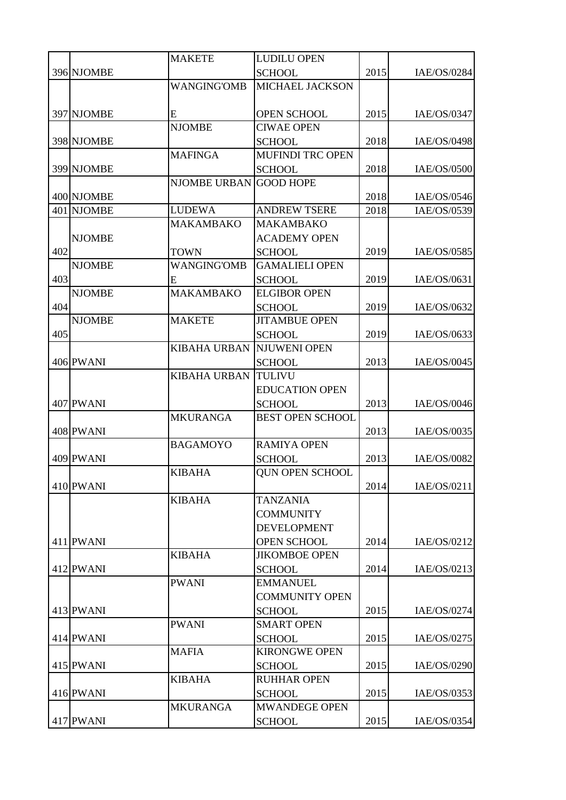|     |               | <b>MAKETE</b>       | <b>LUDILU OPEN</b>      |      |             |
|-----|---------------|---------------------|-------------------------|------|-------------|
|     | 396 NJOMBE    |                     | <b>SCHOOL</b>           | 2015 | IAE/OS/0284 |
|     |               | <b>WANGING'OMB</b>  | <b>MICHAEL JACKSON</b>  |      |             |
|     |               |                     |                         |      |             |
|     | 397 NJOMBE    | E                   | <b>OPEN SCHOOL</b>      | 2015 | IAE/OS/0347 |
|     |               | <b>NJOMBE</b>       | <b>CIWAE OPEN</b>       |      |             |
|     | 398 NJOMBE    |                     | <b>SCHOOL</b>           | 2018 | IAE/OS/0498 |
|     |               | <b>MAFINGA</b>      | <b>MUFINDI TRC OPEN</b> |      |             |
|     | 399 NJOMBE    |                     | <b>SCHOOL</b>           | 2018 | IAE/OS/0500 |
|     |               | <b>NJOMBE URBAN</b> | <b>GOOD HOPE</b>        |      |             |
|     | 400 NJOMBE    |                     |                         | 2018 | IAE/OS/0546 |
|     | 401 NJOMBE    | <b>LUDEWA</b>       | <b>ANDREW TSERE</b>     | 2018 | IAE/OS/0539 |
|     |               | <b>MAKAMBAKO</b>    | <b>MAKAMBAKO</b>        |      |             |
|     | <b>NJOMBE</b> |                     | <b>ACADEMY OPEN</b>     |      |             |
| 402 |               | <b>TOWN</b>         | <b>SCHOOL</b>           | 2019 | IAE/OS/0585 |
|     | <b>NJOMBE</b> | <b>WANGING'OMB</b>  | <b>GAMALIELI OPEN</b>   |      |             |
| 403 |               | E                   | <b>SCHOOL</b>           | 2019 | IAE/OS/0631 |
|     | <b>NJOMBE</b> | <b>MAKAMBAKO</b>    | <b>ELGIBOR OPEN</b>     |      |             |
| 404 |               |                     | <b>SCHOOL</b>           | 2019 | IAE/OS/0632 |
|     | <b>NJOMBE</b> | <b>MAKETE</b>       | <b>JITAMBUE OPEN</b>    |      |             |
| 405 |               |                     | <b>SCHOOL</b>           | 2019 | IAE/OS/0633 |
|     |               | <b>KIBAHA URBAN</b> | <b>NJUWENI OPEN</b>     |      |             |
|     | 406 PWANI     |                     | <b>SCHOOL</b>           | 2013 | IAE/OS/0045 |
|     |               | <b>KIBAHA URBAN</b> | <b>TULIVU</b>           |      |             |
|     |               |                     | <b>EDUCATION OPEN</b>   |      |             |
|     | 407 PWANI     |                     | <b>SCHOOL</b>           | 2013 | IAE/OS/0046 |
|     |               | <b>MKURANGA</b>     | <b>BEST OPEN SCHOOL</b> |      |             |
|     | 408 PWANI     |                     |                         | 2013 | IAE/OS/0035 |
|     |               | <b>BAGAMOYO</b>     | <b>RAMIYA OPEN</b>      |      |             |
|     | 409 PWANI     |                     | <b>SCHOOL</b>           | 2013 | IAE/OS/0082 |
|     |               | <b>KIBAHA</b>       | <b>QUN OPEN SCHOOL</b>  |      |             |
|     | 410 PWANI     |                     |                         | 2014 | IAE/OS/0211 |
|     |               | <b>KIBAHA</b>       | <b>TANZANIA</b>         |      |             |
|     |               |                     | <b>COMMUNITY</b>        |      |             |
|     |               |                     | <b>DEVELOPMENT</b>      |      |             |
|     | 411 PWANI     |                     | <b>OPEN SCHOOL</b>      | 2014 | IAE/OS/0212 |
|     |               | <b>KIBAHA</b>       | <b>JIKOMBOE OPEN</b>    |      |             |
|     | 412 PWANI     |                     | <b>SCHOOL</b>           | 2014 | IAE/OS/0213 |
|     |               | <b>PWANI</b>        | <b>EMMANUEL</b>         |      |             |
|     |               |                     | <b>COMMUNITY OPEN</b>   |      |             |
|     | 413 PWANI     |                     | <b>SCHOOL</b>           | 2015 | IAE/OS/0274 |
|     |               | <b>PWANI</b>        | <b>SMART OPEN</b>       |      |             |
|     | 414 PWANI     |                     | <b>SCHOOL</b>           | 2015 | IAE/OS/0275 |
|     |               | <b>MAFIA</b>        | <b>KIRONGWE OPEN</b>    |      |             |
|     | 415 PWANI     |                     | <b>SCHOOL</b>           | 2015 | IAE/OS/0290 |
|     |               | <b>KIBAHA</b>       | <b>RUHHAR OPEN</b>      |      |             |
|     | 416 PWANI     |                     | <b>SCHOOL</b>           | 2015 | IAE/OS/0353 |
|     |               | <b>MKURANGA</b>     | <b>MWANDEGE OPEN</b>    |      |             |
|     | 417 PWANI     |                     | <b>SCHOOL</b>           | 2015 | IAE/OS/0354 |
|     |               |                     |                         |      |             |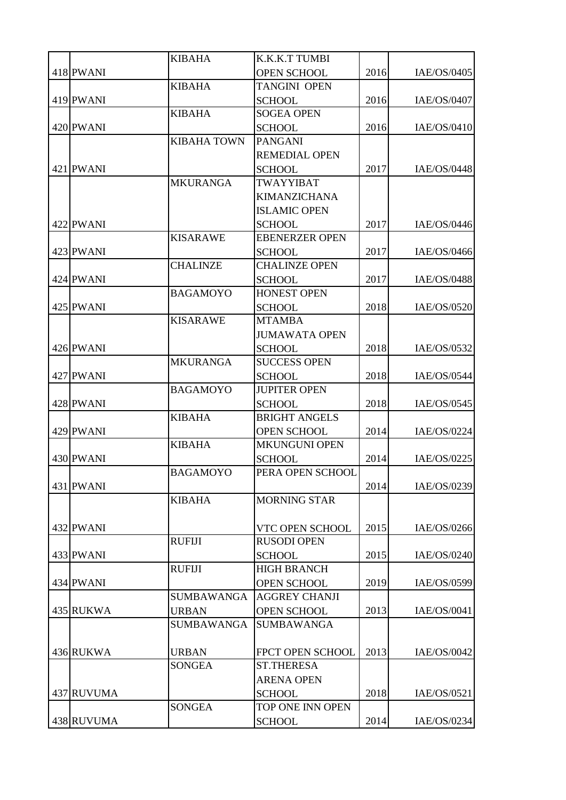|            | <b>KIBAHA</b>      | K.K.K.T TUMBI         |      |             |
|------------|--------------------|-----------------------|------|-------------|
| 418 PWANI  |                    | <b>OPEN SCHOOL</b>    | 2016 | IAE/OS/0405 |
|            | <b>KIBAHA</b>      | <b>TANGINI OPEN</b>   |      |             |
| 419 PWANI  |                    | <b>SCHOOL</b>         | 2016 | IAE/OS/0407 |
|            | <b>KIBAHA</b>      | <b>SOGEA OPEN</b>     |      |             |
| 420 PWANI  |                    | <b>SCHOOL</b>         | 2016 | IAE/OS/0410 |
|            | <b>KIBAHA TOWN</b> | <b>PANGANI</b>        |      |             |
|            |                    | <b>REMEDIAL OPEN</b>  |      |             |
| 421 PWANI  |                    | <b>SCHOOL</b>         | 2017 | IAE/OS/0448 |
|            | <b>MKURANGA</b>    | TWAYYIBAT             |      |             |
|            |                    | <b>KIMANZICHANA</b>   |      |             |
|            |                    | <b>ISLAMIC OPEN</b>   |      |             |
| 422 PWANI  |                    | <b>SCHOOL</b>         | 2017 | IAE/OS/0446 |
|            | <b>KISARAWE</b>    | <b>EBENERZER OPEN</b> |      |             |
| 423 PWANI  |                    | <b>SCHOOL</b>         | 2017 | IAE/OS/0466 |
|            | <b>CHALINZE</b>    | <b>CHALINZE OPEN</b>  |      |             |
| 424 PWANI  |                    | <b>SCHOOL</b>         | 2017 | IAE/OS/0488 |
|            | <b>BAGAMOYO</b>    | <b>HONEST OPEN</b>    |      |             |
| 425 PWANI  |                    | <b>SCHOOL</b>         | 2018 | IAE/OS/0520 |
|            | <b>KISARAWE</b>    | <b>MTAMBA</b>         |      |             |
|            |                    | <b>JUMAWATA OPEN</b>  |      |             |
| 426 PWANI  |                    | <b>SCHOOL</b>         | 2018 | IAE/OS/0532 |
|            | <b>MKURANGA</b>    | <b>SUCCESS OPEN</b>   |      |             |
| 427 PWANI  |                    | <b>SCHOOL</b>         | 2018 | IAE/OS/0544 |
|            | <b>BAGAMOYO</b>    | <b>JUPITER OPEN</b>   |      |             |
| 428 PWANI  |                    | <b>SCHOOL</b>         | 2018 | IAE/OS/0545 |
|            | <b>KIBAHA</b>      | <b>BRIGHT ANGELS</b>  |      |             |
| 429 PWANI  |                    | <b>OPEN SCHOOL</b>    | 2014 | IAE/OS/0224 |
| 430 PWANI  | <b>KIBAHA</b>      | <b>MKUNGUNI OPEN</b>  | 2014 | IAE/OS/0225 |
|            | <b>BAGAMOYO</b>    | <b>SCHOOL</b>         |      |             |
| 431 PWANI  |                    | PERA OPEN SCHOOL      | 2014 | IAE/OS/0239 |
|            | <b>KIBAHA</b>      | <b>MORNING STAR</b>   |      |             |
|            |                    |                       |      |             |
| 432 PWANI  |                    | VTC OPEN SCHOOL       | 2015 | IAE/OS/0266 |
|            | <b>RUFIJI</b>      | <b>RUSODI OPEN</b>    |      |             |
| 433 PWANI  |                    | <b>SCHOOL</b>         | 2015 | IAE/OS/0240 |
|            | <b>RUFIJI</b>      | <b>HIGH BRANCH</b>    |      |             |
| 434 PWANI  |                    | <b>OPEN SCHOOL</b>    | 2019 | IAE/OS/0599 |
|            | <b>SUMBAWANGA</b>  | <b>AGGREY CHANJI</b>  |      |             |
| 435 RUKWA  | <b>URBAN</b>       | <b>OPEN SCHOOL</b>    | 2013 | IAE/OS/0041 |
|            | <b>SUMBAWANGA</b>  | <b>SUMBAWANGA</b>     |      |             |
|            |                    |                       |      |             |
| 436 RUKWA  | <b>URBAN</b>       | FPCT OPEN SCHOOL      | 2013 | IAE/OS/0042 |
|            | <b>SONGEA</b>      | <b>ST.THERESA</b>     |      |             |
|            |                    | <b>ARENA OPEN</b>     |      |             |
| 437 RUVUMA |                    | <b>SCHOOL</b>         | 2018 | IAE/OS/0521 |
|            | <b>SONGEA</b>      | TOP ONE INN OPEN      |      |             |
| 438 RUVUMA |                    | <b>SCHOOL</b>         | 2014 | IAE/OS/0234 |
|            |                    |                       |      |             |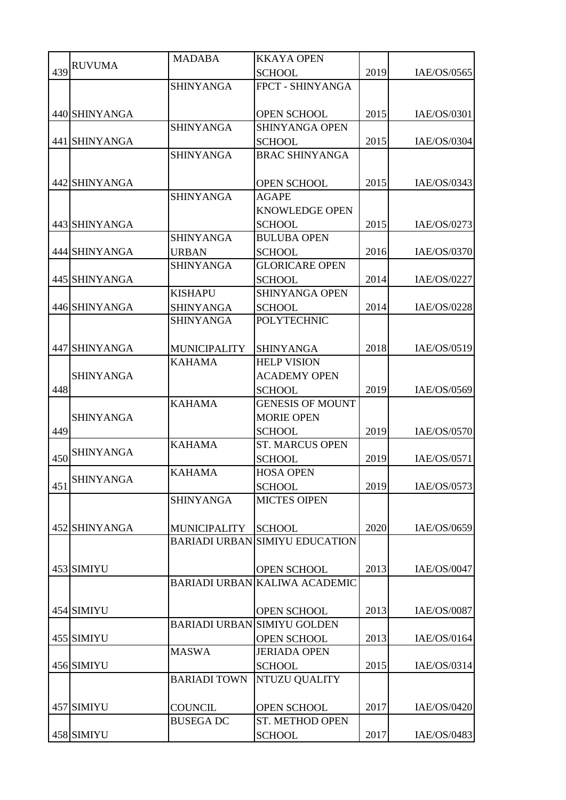|     |                  | <b>MADABA</b>       | <b>KKAYA OPEN</b>                     |      |             |
|-----|------------------|---------------------|---------------------------------------|------|-------------|
| 439 | <b>RUVUMA</b>    |                     | <b>SCHOOL</b>                         | 2019 | IAE/OS/0565 |
|     |                  | <b>SHINYANGA</b>    | FPCT - SHINYANGA                      |      |             |
|     |                  |                     |                                       |      |             |
|     | 440 SHINYANGA    |                     | <b>OPEN SCHOOL</b>                    | 2015 | IAE/OS/0301 |
|     |                  | <b>SHINYANGA</b>    | <b>SHINYANGA OPEN</b>                 |      |             |
|     | 441 SHINYANGA    |                     | <b>SCHOOL</b>                         | 2015 | IAE/OS/0304 |
|     |                  | <b>SHINYANGA</b>    | <b>BRAC SHINYANGA</b>                 |      |             |
|     |                  |                     |                                       |      |             |
|     | 442 SHINYANGA    |                     | <b>OPEN SCHOOL</b>                    | 2015 | IAE/OS/0343 |
|     |                  | <b>SHINYANGA</b>    | <b>AGAPE</b>                          |      |             |
|     |                  |                     | <b>KNOWLEDGE OPEN</b>                 |      |             |
|     | 443 SHINYANGA    |                     | <b>SCHOOL</b>                         | 2015 | IAE/OS/0273 |
|     |                  | <b>SHINYANGA</b>    | <b>BULUBA OPEN</b>                    |      |             |
|     | 444 SHINYANGA    | <b>URBAN</b>        | <b>SCHOOL</b>                         | 2016 | IAE/OS/0370 |
|     |                  | <b>SHINYANGA</b>    | <b>GLORICARE OPEN</b>                 |      |             |
|     | 445 SHINYANGA    |                     | <b>SCHOOL</b>                         | 2014 | IAE/OS/0227 |
|     |                  | <b>KISHAPU</b>      | <b>SHINYANGA OPEN</b>                 |      |             |
|     | 446 SHINYANGA    | <b>SHINYANGA</b>    | <b>SCHOOL</b>                         | 2014 | IAE/OS/0228 |
|     |                  | <b>SHINYANGA</b>    | <b>POLYTECHNIC</b>                    |      |             |
|     |                  |                     |                                       |      |             |
|     | 447 SHINYANGA    | <b>MUNICIPALITY</b> | <b>SHINYANGA</b>                      | 2018 | IAE/OS/0519 |
|     |                  | <b>KAHAMA</b>       | <b>HELP VISION</b>                    |      |             |
|     | <b>SHINYANGA</b> |                     | <b>ACADEMY OPEN</b>                   |      |             |
| 448 |                  |                     | <b>SCHOOL</b>                         | 2019 | IAE/OS/0569 |
|     |                  | <b>KAHAMA</b>       | <b>GENESIS OF MOUNT</b>               |      |             |
|     | <b>SHINYANGA</b> |                     | <b>MORIE OPEN</b>                     |      |             |
| 449 |                  |                     | <b>SCHOOL</b>                         | 2019 | IAE/OS/0570 |
|     |                  | <b>KAHAMA</b>       | <b>ST. MARCUS OPEN</b>                |      |             |
| 450 | <b>SHINYANGA</b> |                     | <b>SCHOOL</b>                         | 2019 | IAE/OS/0571 |
|     |                  | <b>KAHAMA</b>       | <b>HOSA OPEN</b>                      |      |             |
|     | 451 SHINYANGA    |                     | <b>SCHOOL</b>                         | 2019 | IAE/OS/0573 |
|     |                  | <b>SHINYANGA</b>    | <b>MICTES OIPEN</b>                   |      |             |
|     |                  |                     |                                       |      |             |
|     | 452 SHINYANGA    | <b>MUNICIPALITY</b> | <b>SCHOOL</b>                         | 2020 | IAE/OS/0659 |
|     |                  |                     | <b>BARIADI URBAN SIMIYU EDUCATION</b> |      |             |
|     |                  |                     |                                       |      |             |
|     | 453 SIMIYU       |                     | OPEN SCHOOL                           | 2013 | IAE/OS/0047 |
|     |                  |                     | BARIADI URBAN KALIWA ACADEMIC         |      |             |
|     |                  |                     |                                       |      |             |
|     | 454 SIMIYU       |                     | OPEN SCHOOL                           | 2013 | IAE/OS/0087 |
|     |                  |                     | <b>BARIADI URBAN SIMIYU GOLDEN</b>    |      |             |
|     | 455 SIMIYU       |                     | <b>OPEN SCHOOL</b>                    | 2013 | IAE/OS/0164 |
|     |                  | <b>MASWA</b>        | <b>JERIADA OPEN</b>                   |      |             |
|     | 456 SIMIYU       |                     | <b>SCHOOL</b>                         | 2015 | IAE/OS/0314 |
|     |                  | <b>BARIADI TOWN</b> | NTUZU QUALITY                         |      |             |
|     |                  |                     |                                       |      |             |
|     | 457 SIMIYU       | <b>COUNCIL</b>      | OPEN SCHOOL                           | 2017 | IAE/OS/0420 |
|     |                  | <b>BUSEGA DC</b>    | ST. METHOD OPEN                       |      |             |
|     | 458 SIMIYU       |                     | <b>SCHOOL</b>                         | 2017 | IAE/OS/0483 |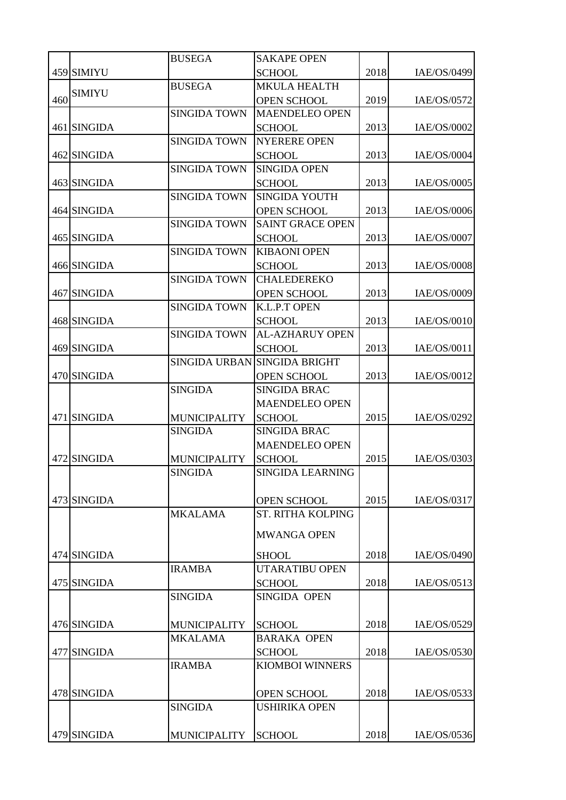|     |               | <b>BUSEGA</b>                         | <b>SAKAPE OPEN</b>                   |      |             |
|-----|---------------|---------------------------------------|--------------------------------------|------|-------------|
|     | 459 SIMIYU    |                                       | <b>SCHOOL</b>                        | 2018 | IAE/OS/0499 |
|     |               | <b>BUSEGA</b>                         | <b>MKULA HEALTH</b>                  |      |             |
| 460 | <b>SIMIYU</b> |                                       | <b>OPEN SCHOOL</b>                   | 2019 | IAE/OS/0572 |
|     |               | <b>SINGIDA TOWN</b>                   | <b>MAENDELEO OPEN</b>                |      |             |
|     | 461 SINGIDA   |                                       | <b>SCHOOL</b>                        | 2013 | IAE/OS/0002 |
|     |               | <b>SINGIDA TOWN</b>                   | <b>NYERERE OPEN</b>                  |      |             |
|     | 462 SINGIDA   |                                       | <b>SCHOOL</b>                        | 2013 | IAE/OS/0004 |
|     |               | <b>SINGIDA TOWN</b>                   | <b>SINGIDA OPEN</b>                  |      |             |
|     | 463 SINGIDA   |                                       | <b>SCHOOL</b>                        | 2013 | IAE/OS/0005 |
|     |               | <b>SINGIDA TOWN</b>                   | SINGIDA YOUTH                        |      |             |
|     | 464 SINGIDA   |                                       | <b>OPEN SCHOOL</b>                   | 2013 | IAE/OS/0006 |
|     |               | <b>SINGIDA TOWN</b>                   | <b>SAINT GRACE OPEN</b>              |      |             |
|     | 465 SINGIDA   |                                       | <b>SCHOOL</b>                        | 2013 | IAE/OS/0007 |
|     |               | <b>SINGIDA TOWN</b>                   | <b>KIBAONI OPEN</b>                  |      |             |
|     | 466 SINGIDA   |                                       | <b>SCHOOL</b>                        | 2013 | IAE/OS/0008 |
|     |               | <b>SINGIDA TOWN</b>                   | <b>CHALEDEREKO</b>                   |      |             |
|     | 467 SINGIDA   |                                       | <b>OPEN SCHOOL</b>                   | 2013 | IAE/OS/0009 |
|     |               | <b>SINGIDA TOWN</b>                   | K.L.P.T OPEN                         |      |             |
|     | 468 SINGIDA   |                                       | <b>SCHOOL</b>                        | 2013 | IAE/OS/0010 |
|     |               | <b>SINGIDA TOWN</b>                   | <b>AL-AZHARUY OPEN</b>               |      |             |
|     | 469 SINGIDA   |                                       | <b>SCHOOL</b>                        | 2013 | IAE/OS/0011 |
|     |               |                                       | SINGIDA URBAN SINGIDA BRIGHT         |      |             |
|     | 470 SINGIDA   |                                       | <b>OPEN SCHOOL</b>                   | 2013 | IAE/OS/0012 |
|     |               | <b>SINGIDA</b>                        | <b>SINGIDA BRAC</b>                  |      |             |
|     |               |                                       | <b>MAENDELEO OPEN</b>                |      |             |
|     | 471 SINGIDA   | <b>MUNICIPALITY</b><br><b>SINGIDA</b> | <b>SCHOOL</b><br><b>SINGIDA BRAC</b> | 2015 | IAE/OS/0292 |
|     |               |                                       | <b>MAENDELEO OPEN</b>                |      |             |
|     | 472 SINGIDA   | <b>MUNICIPALITY</b>                   | <b>SCHOOL</b>                        | 2015 | IAE/OS/0303 |
|     |               | <b>SINGIDA</b>                        | <b>SINGIDA LEARNING</b>              |      |             |
|     |               |                                       |                                      |      |             |
|     | 473 SINGIDA   |                                       | <b>OPEN SCHOOL</b>                   | 2015 | IAE/OS/0317 |
|     |               | <b>MKALAMA</b>                        | <b>ST. RITHA KOLPING</b>             |      |             |
|     |               |                                       |                                      |      |             |
|     |               |                                       | <b>MWANGA OPEN</b>                   |      |             |
|     | 474 SINGIDA   |                                       | <b>SHOOL</b>                         | 2018 | IAE/OS/0490 |
|     |               | <b>IRAMBA</b>                         | <b>UTARATIBU OPEN</b>                |      |             |
|     | 475 SINGIDA   |                                       | <b>SCHOOL</b>                        | 2018 | IAE/OS/0513 |
|     |               | <b>SINGIDA</b>                        | SINGIDA OPEN                         |      |             |
|     |               |                                       |                                      |      |             |
|     | 476 SINGIDA   | <b>MUNICIPALITY</b>                   | <b>SCHOOL</b>                        | 2018 | IAE/OS/0529 |
|     |               | <b>MKALAMA</b>                        | <b>BARAKA OPEN</b>                   |      |             |
|     | 477 SINGIDA   |                                       | <b>SCHOOL</b>                        | 2018 | IAE/OS/0530 |
|     |               | <b>IRAMBA</b>                         | <b>KIOMBOI WINNERS</b>               |      |             |
|     |               |                                       |                                      |      |             |
|     | 478 SINGIDA   |                                       | <b>OPEN SCHOOL</b>                   | 2018 | IAE/OS/0533 |
|     |               | <b>SINGIDA</b>                        | <b>USHIRIKA OPEN</b>                 |      |             |
|     |               |                                       |                                      |      |             |
|     | 479 SINGIDA   | <b>MUNICIPALITY</b>                   | <b>SCHOOL</b>                        | 2018 | IAE/OS/0536 |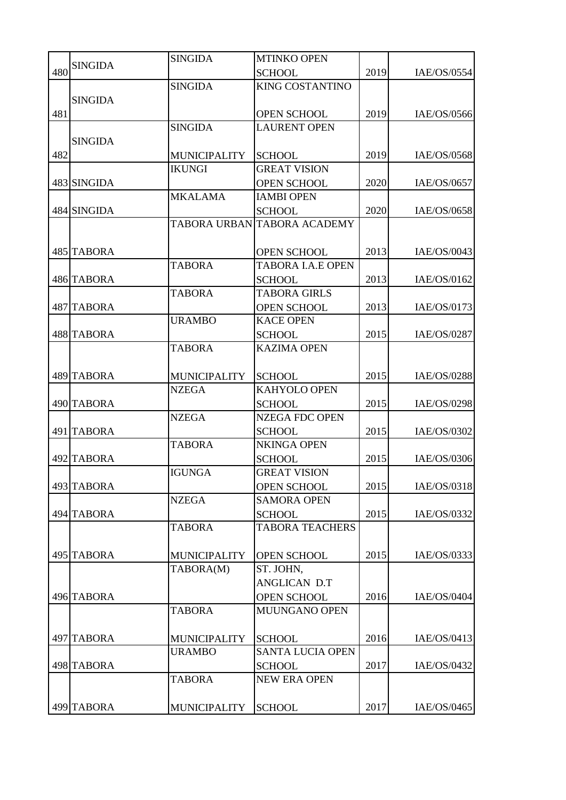|     |                | <b>SINGIDA</b>      | <b>MTINKO OPEN</b>          |      |             |
|-----|----------------|---------------------|-----------------------------|------|-------------|
| 480 | <b>SINGIDA</b> |                     | <b>SCHOOL</b>               | 2019 | IAE/OS/0554 |
|     |                | <b>SINGIDA</b>      | <b>KING COSTANTINO</b>      |      |             |
|     | <b>SINGIDA</b> |                     |                             |      |             |
| 481 |                |                     | <b>OPEN SCHOOL</b>          | 2019 | IAE/OS/0566 |
|     |                | <b>SINGIDA</b>      | <b>LAURENT OPEN</b>         |      |             |
|     | <b>SINGIDA</b> |                     |                             |      |             |
| 482 |                | <b>MUNICIPALITY</b> | <b>SCHOOL</b>               | 2019 | IAE/OS/0568 |
|     |                | <b>IKUNGI</b>       | <b>GREAT VISION</b>         |      |             |
|     | 483 SINGIDA    |                     | <b>OPEN SCHOOL</b>          | 2020 | IAE/OS/0657 |
|     |                | <b>MKALAMA</b>      | <b>IAMBI OPEN</b>           |      |             |
|     | 484 SINGIDA    |                     | <b>SCHOOL</b>               | 2020 | IAE/OS/0658 |
|     |                |                     | TABORA URBAN TABORA ACADEMY |      |             |
|     |                |                     |                             |      |             |
|     | 485 TABORA     |                     | <b>OPEN SCHOOL</b>          | 2013 | IAE/OS/0043 |
|     |                | <b>TABORA</b>       | <b>TABORA I.A.E OPEN</b>    |      |             |
|     | 486 TABORA     |                     | <b>SCHOOL</b>               | 2013 | IAE/OS/0162 |
|     |                | <b>TABORA</b>       | <b>TABORA GIRLS</b>         |      |             |
|     | 487 TABORA     |                     | <b>OPEN SCHOOL</b>          | 2013 | IAE/OS/0173 |
|     |                | <b>URAMBO</b>       | <b>KACE OPEN</b>            |      |             |
|     | 488 TABORA     |                     | <b>SCHOOL</b>               | 2015 | IAE/OS/0287 |
|     |                | <b>TABORA</b>       | <b>KAZIMA OPEN</b>          |      |             |
|     |                |                     |                             |      |             |
|     | 489 TABORA     | <b>MUNICIPALITY</b> | <b>SCHOOL</b>               | 2015 | IAE/OS/0288 |
|     |                | <b>NZEGA</b>        | KAHYOLO OPEN                |      |             |
|     | 490 TABORA     |                     | <b>SCHOOL</b>               | 2015 | IAE/OS/0298 |
|     |                | <b>NZEGA</b>        | <b>NZEGA FDC OPEN</b>       |      |             |
|     | 491 TABORA     |                     | <b>SCHOOL</b>               | 2015 | IAE/OS/0302 |
|     |                | <b>TABORA</b>       | <b>NKINGA OPEN</b>          |      |             |
|     | 492 TABORA     |                     | <b>SCHOOL</b>               | 2015 | IAE/OS/0306 |
|     |                | <b>IGUNGA</b>       | <b>GREAT VISION</b>         |      |             |
|     | 493 TABORA     |                     | <b>OPEN SCHOOL</b>          | 2015 | IAE/OS/0318 |
|     |                | <b>NZEGA</b>        | <b>SAMORA OPEN</b>          |      |             |
|     | 494 TABORA     |                     | <b>SCHOOL</b>               | 2015 | IAE/OS/0332 |
|     |                | <b>TABORA</b>       | <b>TABORA TEACHERS</b>      |      |             |
|     |                |                     |                             |      |             |
|     | 495 TABORA     | <b>MUNICIPALITY</b> | OPEN SCHOOL                 | 2015 | IAE/OS/0333 |
|     |                | TABORA(M)           | ST. JOHN,                   |      |             |
|     |                |                     | <b>ANGLICAN D.T</b>         |      |             |
|     | 496 TABORA     |                     | <b>OPEN SCHOOL</b>          | 2016 | IAE/OS/0404 |
|     |                | <b>TABORA</b>       | MUUNGANO OPEN               |      |             |
|     |                |                     |                             |      |             |
|     | 497 TABORA     | <b>MUNICIPALITY</b> | <b>SCHOOL</b>               | 2016 | IAE/OS/0413 |
|     |                | <b>URAMBO</b>       | <b>SANTA LUCIA OPEN</b>     |      |             |
|     | 498 TABORA     |                     | <b>SCHOOL</b>               | 2017 | IAE/OS/0432 |
|     |                | <b>TABORA</b>       | <b>NEW ERA OPEN</b>         |      |             |
|     |                |                     |                             |      |             |
|     | 499 TABORA     | MUNICIPALITY        | <b>SCHOOL</b>               | 2017 | IAE/OS/0465 |
|     |                |                     |                             |      |             |